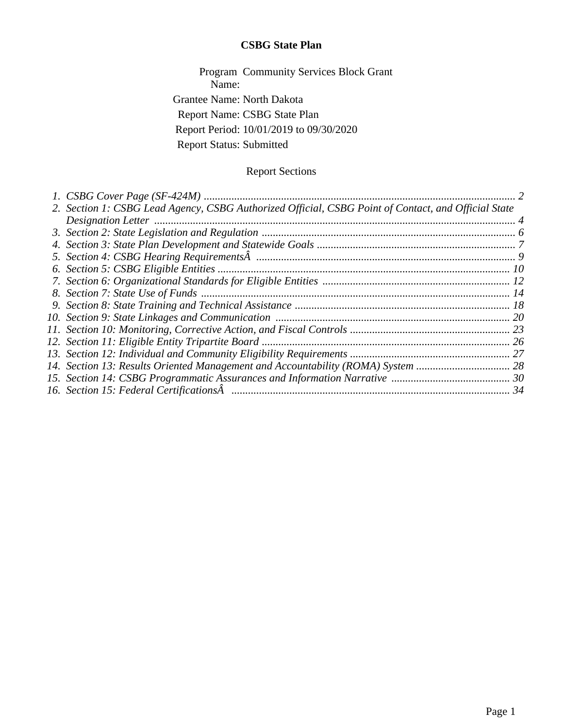## **CSBG State Plan**

Program Community Services Block Grant Name: Grantee Name: North Dakota Report Name: CSBG State Plan Report Period: 10/01/2019 to 09/30/2020 Report Status: Submitted

## Report Sections

| 2. Section 1: CSBG Lead Agency, CSBG Authorized Official, CSBG Point of Contact, and Official State |  |
|-----------------------------------------------------------------------------------------------------|--|
|                                                                                                     |  |
|                                                                                                     |  |
|                                                                                                     |  |
|                                                                                                     |  |
|                                                                                                     |  |
|                                                                                                     |  |
|                                                                                                     |  |
|                                                                                                     |  |
|                                                                                                     |  |
|                                                                                                     |  |
|                                                                                                     |  |
|                                                                                                     |  |
|                                                                                                     |  |
|                                                                                                     |  |
|                                                                                                     |  |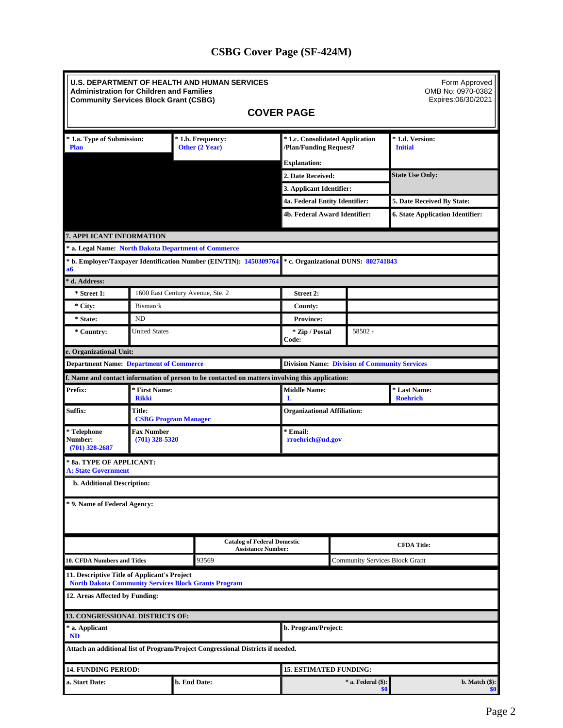# **CSBG Cover Page (SF-424M)**

<span id="page-1-0"></span>

| <b>U.S. DEPARTMENT OF HEALTH AND HUMAN SERVICES</b><br>Form Approved<br>OMB No: 0970-0382<br><b>Administration for Children and Families</b><br>Expires:06/30/2021<br><b>Community Services Block Grant (CSBG)</b> |                                                        |  |                                                                                                  |                                                           |                                       |         |                                         |  |  |
|--------------------------------------------------------------------------------------------------------------------------------------------------------------------------------------------------------------------|--------------------------------------------------------|--|--------------------------------------------------------------------------------------------------|-----------------------------------------------------------|---------------------------------------|---------|-----------------------------------------|--|--|
|                                                                                                                                                                                                                    |                                                        |  |                                                                                                  | <b>COVER PAGE</b>                                         |                                       |         |                                         |  |  |
| * 1.a. Type of Submission:<br><b>Plan</b>                                                                                                                                                                          |                                                        |  | * 1.b. Frequency:<br>Other (2 Year)                                                              | * 1.c. Consolidated Application<br>/Plan/Funding Request? |                                       |         | * 1.d. Version:<br><b>Initial</b>       |  |  |
|                                                                                                                                                                                                                    |                                                        |  |                                                                                                  | <b>Explanation:</b>                                       |                                       |         |                                         |  |  |
|                                                                                                                                                                                                                    |                                                        |  |                                                                                                  | 2. Date Received:                                         |                                       |         | <b>State Use Only:</b>                  |  |  |
|                                                                                                                                                                                                                    |                                                        |  |                                                                                                  | 3. Applicant Identifier:                                  |                                       |         |                                         |  |  |
|                                                                                                                                                                                                                    |                                                        |  |                                                                                                  | 4a. Federal Entity Identifier:                            |                                       |         | 5. Date Received By State:              |  |  |
|                                                                                                                                                                                                                    |                                                        |  |                                                                                                  | 4b. Federal Award Identifier:                             |                                       |         | <b>6. State Application Identifier:</b> |  |  |
| 7. APPLICANT INFORMATION                                                                                                                                                                                           |                                                        |  |                                                                                                  |                                                           |                                       |         |                                         |  |  |
| * a. Legal Name: North Dakota Department of Commerce                                                                                                                                                               |                                                        |  |                                                                                                  |                                                           |                                       |         |                                         |  |  |
| a6                                                                                                                                                                                                                 |                                                        |  | * b. Employer/Taxpayer Identification Number (EIN/TIN): 1450309764                               | * c. Organizational DUNS: 802741843                       |                                       |         |                                         |  |  |
| d. Address:                                                                                                                                                                                                        |                                                        |  |                                                                                                  |                                                           |                                       |         |                                         |  |  |
| * Street 1:                                                                                                                                                                                                        | 1600 East Century Avenue, Ste. 2                       |  |                                                                                                  | Street 2:                                                 |                                       |         |                                         |  |  |
| * City:                                                                                                                                                                                                            | <b>Bismarck</b>                                        |  |                                                                                                  | <b>County:</b>                                            |                                       |         |                                         |  |  |
| * State:                                                                                                                                                                                                           | <b>ND</b>                                              |  |                                                                                                  | <b>Province:</b>                                          |                                       |         |                                         |  |  |
| * Country:                                                                                                                                                                                                         | <b>United States</b>                                   |  |                                                                                                  | * Zip / Postal<br>Code:                                   |                                       | 58502 - |                                         |  |  |
| e. Organizational Unit:                                                                                                                                                                                            |                                                        |  |                                                                                                  |                                                           |                                       |         |                                         |  |  |
| <b>Department Name: Department of Commerce</b>                                                                                                                                                                     |                                                        |  |                                                                                                  | <b>Division Name: Division of Community Services</b>      |                                       |         |                                         |  |  |
|                                                                                                                                                                                                                    |                                                        |  | f. Name and contact information of person to be contacted on matters involving this application: |                                                           |                                       |         |                                         |  |  |
| Prefix:                                                                                                                                                                                                            | * First Name:<br><b>Rikki</b>                          |  |                                                                                                  | <b>Middle Name:</b><br>Т.                                 |                                       |         | * Last Name:<br><b>Roehrich</b>         |  |  |
| Suffix:                                                                                                                                                                                                            | <b>Title:</b><br><b>CSBG Program Manager</b>           |  |                                                                                                  |                                                           | <b>Organizational Affiliation:</b>    |         |                                         |  |  |
| * Telephone<br><b>Number:</b><br>$(701)$ 328-2687                                                                                                                                                                  | <b>Fax Number</b><br>$(701)$ 328-5320                  |  |                                                                                                  | * Email:                                                  | rroehrich@nd.gov                      |         |                                         |  |  |
|                                                                                                                                                                                                                    | * 8a. TYPE OF APPLICANT:<br><b>A: State Government</b> |  |                                                                                                  |                                                           |                                       |         |                                         |  |  |
| <b>b. Additional Description:</b>                                                                                                                                                                                  |                                                        |  |                                                                                                  |                                                           |                                       |         |                                         |  |  |
| * 9. Name of Federal Agency:                                                                                                                                                                                       |                                                        |  |                                                                                                  |                                                           |                                       |         |                                         |  |  |
|                                                                                                                                                                                                                    |                                                        |  | <b>Catalog of Federal Domestic</b><br><b>Assistance Number:</b>                                  |                                                           |                                       |         | <b>CFDA Title:</b>                      |  |  |
| <b>10. CFDA Numbers and Titles</b>                                                                                                                                                                                 |                                                        |  | 93569                                                                                            |                                                           | <b>Community Services Block Grant</b> |         |                                         |  |  |
| 11. Descriptive Title of Applicant's Project<br><b>North Dakota Community Services Block Grants Program</b>                                                                                                        |                                                        |  |                                                                                                  |                                                           |                                       |         |                                         |  |  |
| 12. Areas Affected by Funding:                                                                                                                                                                                     |                                                        |  |                                                                                                  |                                                           |                                       |         |                                         |  |  |
|                                                                                                                                                                                                                    | <b>13. CONGRESSIONAL DISTRICTS OF:</b>                 |  |                                                                                                  |                                                           |                                       |         |                                         |  |  |
| * a. Applicant<br><b>ND</b>                                                                                                                                                                                        |                                                        |  |                                                                                                  | b. Program/Project:                                       |                                       |         |                                         |  |  |
|                                                                                                                                                                                                                    |                                                        |  | Attach an additional list of Program/Project Congressional Districts if needed.                  |                                                           |                                       |         |                                         |  |  |
| <b>14. FUNDING PERIOD:</b>                                                                                                                                                                                         |                                                        |  |                                                                                                  | <b>15. ESTIMATED FUNDING:</b>                             |                                       |         |                                         |  |  |
| b. End Date:<br>* a. Federal (\$):<br>a. Start Date:<br>\$0                                                                                                                                                        |                                                        |  |                                                                                                  | b. Match $(\$):$<br>\$0 <sub>1</sub>                      |                                       |         |                                         |  |  |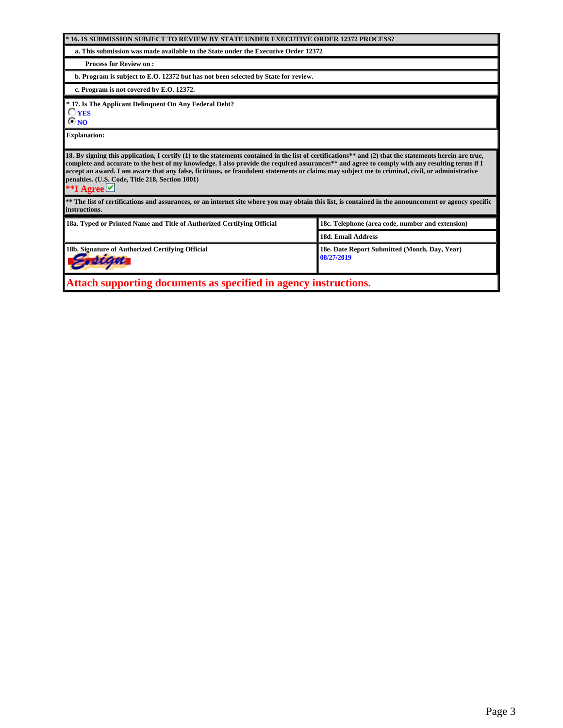| * 16. IS SUBMISSION SUBJECT TO REVIEW BY STATE UNDER EXECUTIVE ORDER 12372 PROCESS?                                                                                                                                                                                                                                                                                                                                                                                                                                                |                                                  |  |  |  |  |  |  |
|------------------------------------------------------------------------------------------------------------------------------------------------------------------------------------------------------------------------------------------------------------------------------------------------------------------------------------------------------------------------------------------------------------------------------------------------------------------------------------------------------------------------------------|--------------------------------------------------|--|--|--|--|--|--|
| a. This submission was made available to the State under the Executive Order 12372                                                                                                                                                                                                                                                                                                                                                                                                                                                 |                                                  |  |  |  |  |  |  |
| <b>Process for Review on:</b>                                                                                                                                                                                                                                                                                                                                                                                                                                                                                                      |                                                  |  |  |  |  |  |  |
| b. Program is subject to E.O. 12372 but has not been selected by State for review.                                                                                                                                                                                                                                                                                                                                                                                                                                                 |                                                  |  |  |  |  |  |  |
| c. Program is not covered by E.O. 12372.                                                                                                                                                                                                                                                                                                                                                                                                                                                                                           |                                                  |  |  |  |  |  |  |
| * 17. Is The Applicant Delinquent On Any Federal Debt?<br>$\bigcirc$ yes<br>®no                                                                                                                                                                                                                                                                                                                                                                                                                                                    |                                                  |  |  |  |  |  |  |
| <b>Explanation:</b>                                                                                                                                                                                                                                                                                                                                                                                                                                                                                                                |                                                  |  |  |  |  |  |  |
| 18. By signing this application, I certify (1) to the statements contained in the list of certifications** and (2) that the statements herein are true,<br>complete and accurate to the best of my knowledge. I also provide the required assurances** and agree to comply with any resulting terms if I<br>accept an award. I am aware that any false, fictitious, or fraudulent statements or claims may subject me to criminal, civil, or administrative<br>penalties. (U.S. Code, Title 218, Section 1001)<br>**I Agree $\vee$ |                                                  |  |  |  |  |  |  |
| ** The list of certifications and assurances, or an internet site where you may obtain this list, is contained in the announcement or agency specific<br>linstructions.                                                                                                                                                                                                                                                                                                                                                            |                                                  |  |  |  |  |  |  |
| 18a. Typed or Printed Name and Title of Authorized Certifying Official                                                                                                                                                                                                                                                                                                                                                                                                                                                             | 18c. Telephone (area code, number and extension) |  |  |  |  |  |  |
|                                                                                                                                                                                                                                                                                                                                                                                                                                                                                                                                    | <b>18d. Email Address</b>                        |  |  |  |  |  |  |
| 18b. Signature of Authorized Certifying Official<br>18e. Date Report Submitted (Month, Dav, Year)<br>08/27/2019                                                                                                                                                                                                                                                                                                                                                                                                                    |                                                  |  |  |  |  |  |  |
| Attach supporting documents as specified in agency instructions.                                                                                                                                                                                                                                                                                                                                                                                                                                                                   |                                                  |  |  |  |  |  |  |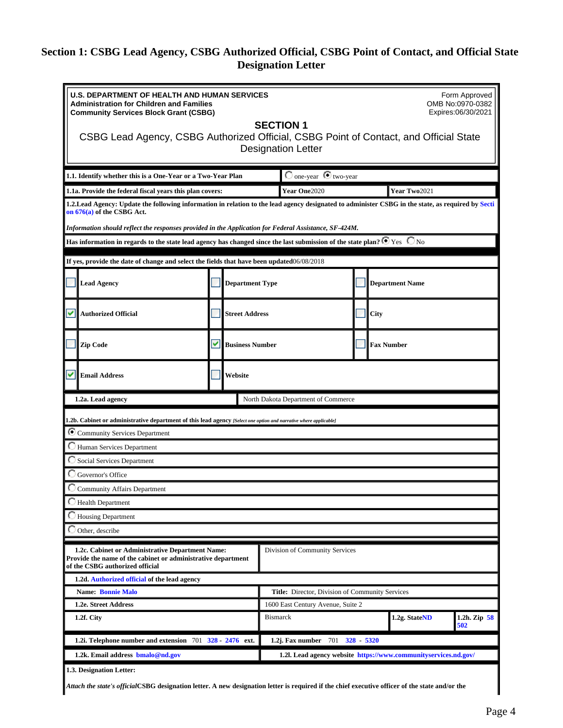# <span id="page-3-0"></span>**Section 1: CSBG Lead Agency, CSBG Authorized Official, CSBG Point of Contact, and Official State Designation Letter**

| <b>U.S. DEPARTMENT OF HEALTH AND HUMAN SERVICES</b><br>Form Approved<br><b>Administration for Children and Families</b><br>OMB No:0970-0382<br>Expires:06/30/2021<br><b>Community Services Block Grant (CSBG)</b><br><b>SECTION 1</b><br>CSBG Lead Agency, CSBG Authorized Official, CSBG Point of Contact, and Official State |         |                        |                                             |                                                 |  |                 |                     |
|--------------------------------------------------------------------------------------------------------------------------------------------------------------------------------------------------------------------------------------------------------------------------------------------------------------------------------|---------|------------------------|---------------------------------------------|-------------------------------------------------|--|-----------------|---------------------|
|                                                                                                                                                                                                                                                                                                                                |         |                        | <b>Designation Letter</b>                   |                                                 |  |                 |                     |
| 1.1. Identify whether this is a One-Year or a Two-Year Plan                                                                                                                                                                                                                                                                    |         |                        |                                             | $\bigcirc$ one-year $\bigcirc$ two-year         |  |                 |                     |
| Year One2020<br>Year Two2021<br>1.1a. Provide the federal fiscal years this plan covers:                                                                                                                                                                                                                                       |         |                        |                                             |                                                 |  |                 |                     |
| 1.2.Lead Agency: Update the following information in relation to the lead agency designated to administer CSBG in the state, as required by Secti<br>on 676(a) of the CSBG Act.                                                                                                                                                |         |                        |                                             |                                                 |  |                 |                     |
| Information should reflect the responses provided in the Application for Federal Assistance, SF-424M.                                                                                                                                                                                                                          |         |                        |                                             |                                                 |  |                 |                     |
| Has information in regards to the state lead agency has changed since the last submission of the state plan? $\bullet$ Yes $~\bullet$ No                                                                                                                                                                                       |         |                        |                                             |                                                 |  |                 |                     |
| If yes, provide the date of change and select the fields that have been updated06/08/2018                                                                                                                                                                                                                                      |         |                        |                                             |                                                 |  |                 |                     |
| <b>Lead Agency</b>                                                                                                                                                                                                                                                                                                             |         | <b>Department Type</b> |                                             |                                                 |  | Department Name |                     |
| ◡<br><b>Authorized Official</b>                                                                                                                                                                                                                                                                                                |         | <b>Street Address</b>  |                                             |                                                 |  | $\Box$ City     |                     |
| Zip Code                                                                                                                                                                                                                                                                                                                       | ᢦ       |                        | <b>Fax Number</b><br><b>Business Number</b> |                                                 |  |                 |                     |
| v<br><b>Email Address</b>                                                                                                                                                                                                                                                                                                      | Website |                        |                                             |                                                 |  |                 |                     |
| North Dakota Department of Commerce<br>1.2a. Lead agency                                                                                                                                                                                                                                                                       |         |                        |                                             |                                                 |  |                 |                     |
| 1.2b. Cabinet or administrative department of this lead agency [Select one option and narrative where applicable]                                                                                                                                                                                                              |         |                        |                                             |                                                 |  |                 |                     |
| Community Services Department                                                                                                                                                                                                                                                                                                  |         |                        |                                             |                                                 |  |                 |                     |
| Human Services Department                                                                                                                                                                                                                                                                                                      |         |                        |                                             |                                                 |  |                 |                     |
| Social Services Department                                                                                                                                                                                                                                                                                                     |         |                        |                                             |                                                 |  |                 |                     |
| Governor's Office                                                                                                                                                                                                                                                                                                              |         |                        |                                             |                                                 |  |                 |                     |
| <b>Community Affairs Department</b>                                                                                                                                                                                                                                                                                            |         |                        |                                             |                                                 |  |                 |                     |
| Health Department                                                                                                                                                                                                                                                                                                              |         |                        |                                             |                                                 |  |                 |                     |
| Housing Department                                                                                                                                                                                                                                                                                                             |         |                        |                                             |                                                 |  |                 |                     |
| Other, describe                                                                                                                                                                                                                                                                                                                |         |                        |                                             |                                                 |  |                 |                     |
| 1.2c. Cabinet or Administrative Department Name:<br>Provide the name of the cabinet or administrative department<br>of the CSBG authorized official                                                                                                                                                                            |         |                        |                                             | Division of Community Services                  |  |                 |                     |
| 1.2d. Authorized official of the lead agency                                                                                                                                                                                                                                                                                   |         |                        |                                             |                                                 |  |                 |                     |
| <b>Name: Bonnie Malo</b>                                                                                                                                                                                                                                                                                                       |         |                        |                                             | Title: Director, Division of Community Services |  |                 |                     |
| 1.2e. Street Address                                                                                                                                                                                                                                                                                                           |         |                        |                                             | 1600 East Century Avenue, Suite 2               |  |                 |                     |
| 1.2f. City                                                                                                                                                                                                                                                                                                                     |         |                        | <b>Bismarck</b>                             |                                                 |  | 1.2g. StateND   | 1.2h. Zip 58<br>502 |
| $328 - 5320$<br>1.2i. Telephone number and extension $701 \text{ } 328 \text{ } 2476 \text{ }$ ext.<br>1.2j. Fax number<br>701                                                                                                                                                                                                 |         |                        |                                             |                                                 |  |                 |                     |
| 1.2k. Email address bmalo@nd.gov<br>1.2l. Lead agency website https://www.communityservices.nd.gov/                                                                                                                                                                                                                            |         |                        |                                             |                                                 |  |                 |                     |
| 1.3. Designation Letter:                                                                                                                                                                                                                                                                                                       |         |                        |                                             |                                                 |  |                 |                     |
| Attach the state's officialCSBG designation letter. A new designation letter is required if the chief executive officer of the state and/or the                                                                                                                                                                                |         |                        |                                             |                                                 |  |                 |                     |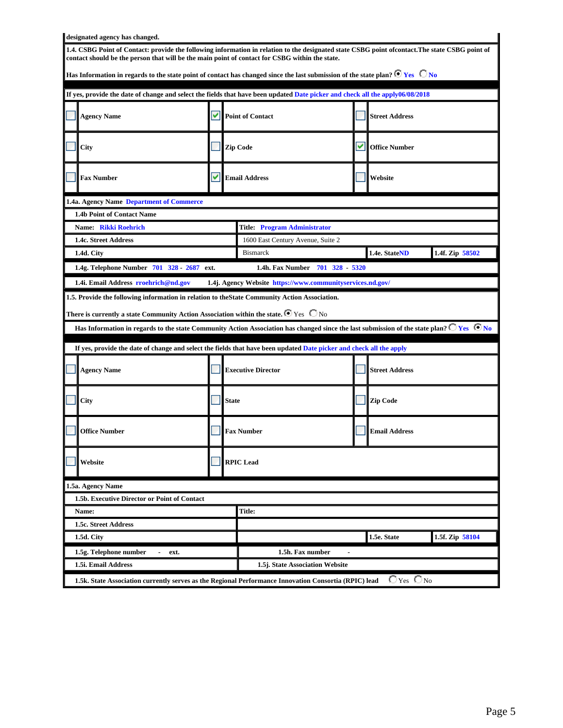| designated agency has changed.                                                                                                                                                                                                                                                                                                                                                                                                                                                             |  |                                                            |                             |                              |                 |  |  |  |  |
|--------------------------------------------------------------------------------------------------------------------------------------------------------------------------------------------------------------------------------------------------------------------------------------------------------------------------------------------------------------------------------------------------------------------------------------------------------------------------------------------|--|------------------------------------------------------------|-----------------------------|------------------------------|-----------------|--|--|--|--|
| 1.4. CSBG Point of Contact: provide the following information in relation to the designated state CSBG point ofcontact. The state CSBG point of<br>contact should be the person that will be the main point of contact for CSBG within the state.                                                                                                                                                                                                                                          |  |                                                            |                             |                              |                 |  |  |  |  |
| Has Information in regards to the state point of contact has changed since the last submission of the state plan? $\bullet$ Yes $\circ$ No                                                                                                                                                                                                                                                                                                                                                 |  |                                                            |                             |                              |                 |  |  |  |  |
| If yes, provide the date of change and select the fields that have been updated Date picker and check all the apply06/08/2018                                                                                                                                                                                                                                                                                                                                                              |  |                                                            |                             |                              |                 |  |  |  |  |
| <b>Agency Name</b>                                                                                                                                                                                                                                                                                                                                                                                                                                                                         |  | Point of Contact<br><b>Street Address</b>                  |                             |                              |                 |  |  |  |  |
| City                                                                                                                                                                                                                                                                                                                                                                                                                                                                                       |  | <b>Zip Code</b>                                            | VII<br><b>Office Number</b> |                              |                 |  |  |  |  |
| <b>Fax Number</b>                                                                                                                                                                                                                                                                                                                                                                                                                                                                          |  | $\triangledown$ Email Address                              |                             | Website                      |                 |  |  |  |  |
| 1.4a. Agency Name Department of Commerce                                                                                                                                                                                                                                                                                                                                                                                                                                                   |  |                                                            |                             |                              |                 |  |  |  |  |
| 1.4b Point of Contact Name                                                                                                                                                                                                                                                                                                                                                                                                                                                                 |  |                                                            |                             |                              |                 |  |  |  |  |
| Name: Rikki Roehrich                                                                                                                                                                                                                                                                                                                                                                                                                                                                       |  | <b>Title: Program Administrator</b>                        |                             |                              |                 |  |  |  |  |
| 1.4c. Street Address                                                                                                                                                                                                                                                                                                                                                                                                                                                                       |  | 1600 East Century Avenue, Suite 2                          |                             |                              |                 |  |  |  |  |
| 1.4d. City                                                                                                                                                                                                                                                                                                                                                                                                                                                                                 |  | <b>Bismarck</b>                                            |                             | 1.4e. StateND                | 1.4f. Zip 58502 |  |  |  |  |
| 1.4g. Telephone Number 701 328 - 2687 ext.                                                                                                                                                                                                                                                                                                                                                                                                                                                 |  | 1.4h. Fax Number 701 328 - 5320                            |                             |                              |                 |  |  |  |  |
| 1.4i. Email Address rrochrich@nd.gov                                                                                                                                                                                                                                                                                                                                                                                                                                                       |  | 1.4j. Agency Website https://www.communityservices.nd.gov/ |                             |                              |                 |  |  |  |  |
| 1.5. Provide the following information in relation to the State Community Action Association.<br>There is currently a state Community Action Association within the state. $\blacksquare$ Yes $\;\bigcirc$ No<br>Has Information in regards to the state Community Action Association has changed since the last submission of the state plan? $\Box$ Yes $\Box$ No<br>If yes, provide the date of change and select the fields that have been updated Date picker and check all the apply |  |                                                            |                             |                              |                 |  |  |  |  |
| <b>Agency Name</b>                                                                                                                                                                                                                                                                                                                                                                                                                                                                         |  | <b>Executive Director</b>                                  |                             | <b>Street Address</b>        |                 |  |  |  |  |
| City                                                                                                                                                                                                                                                                                                                                                                                                                                                                                       |  | <b>State</b>                                               |                             | Zip Code                     |                 |  |  |  |  |
| <b>Office Number</b>                                                                                                                                                                                                                                                                                                                                                                                                                                                                       |  | <b>Fax Number</b>                                          |                             | <b>Email Address</b>         |                 |  |  |  |  |
| Website                                                                                                                                                                                                                                                                                                                                                                                                                                                                                    |  | <b>RPIC</b> Lead                                           |                             |                              |                 |  |  |  |  |
| 1.5a. Agency Name                                                                                                                                                                                                                                                                                                                                                                                                                                                                          |  |                                                            |                             |                              |                 |  |  |  |  |
| 1.5b. Executive Director or Point of Contact                                                                                                                                                                                                                                                                                                                                                                                                                                               |  |                                                            |                             |                              |                 |  |  |  |  |
| Name:                                                                                                                                                                                                                                                                                                                                                                                                                                                                                      |  | Title:                                                     |                             |                              |                 |  |  |  |  |
| 1.5c. Street Address                                                                                                                                                                                                                                                                                                                                                                                                                                                                       |  |                                                            |                             |                              |                 |  |  |  |  |
| 1.5d. City                                                                                                                                                                                                                                                                                                                                                                                                                                                                                 |  |                                                            |                             | 1.5e. State                  | 1.5f. Zip 58104 |  |  |  |  |
| 1.5g. Telephone number<br>ext.                                                                                                                                                                                                                                                                                                                                                                                                                                                             |  | 1.5h. Fax number                                           |                             |                              |                 |  |  |  |  |
| 1.5i. Email Address<br>1.5j. State Association Website                                                                                                                                                                                                                                                                                                                                                                                                                                     |  |                                                            |                             |                              |                 |  |  |  |  |
| 1.5k. State Association currently serves as the Regional Performance Innovation Consortia (RPIC) lead                                                                                                                                                                                                                                                                                                                                                                                      |  |                                                            |                             | $\bigcirc$ Yes $\bigcirc$ No |                 |  |  |  |  |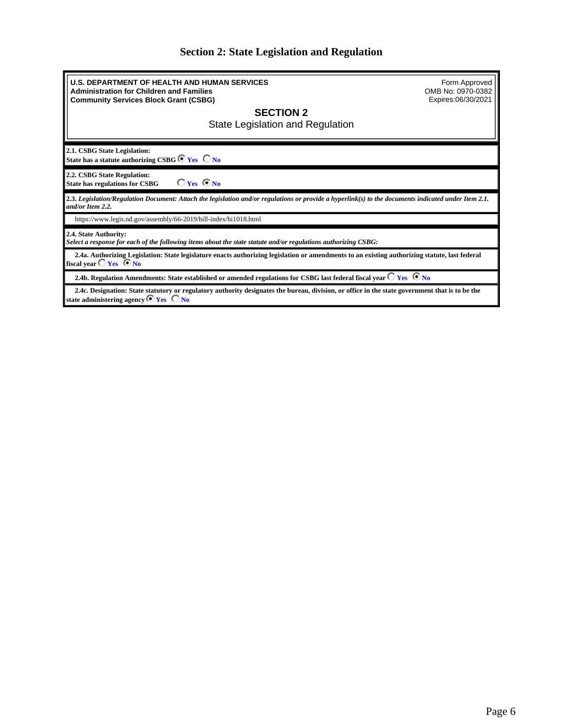# **Section 2: State Legislation and Regulation**

<span id="page-5-0"></span>

| <b>U.S. DEPARTMENT OF HEALTH AND HUMAN SERVICES</b><br><b>Administration for Children and Families</b><br><b>Community Services Block Grant (CSBG)</b>                                                   | Form Approved<br>OMB No: 0970-0382<br>Expires:06/30/2021 |
|----------------------------------------------------------------------------------------------------------------------------------------------------------------------------------------------------------|----------------------------------------------------------|
| <b>SECTION 2</b><br>State Legislation and Regulation                                                                                                                                                     |                                                          |
| 2.1. CSBG State Legislation:<br>State has a statute authorizing CSBG $\bullet$ Yes $\Box$ No                                                                                                             |                                                          |
| 2.2. CSBG State Regulation:<br>$C_{\text{Yes}}$ $C_{\text{No}}$<br><b>State has regulations for CSBG</b>                                                                                                 |                                                          |
| 2.3. Legislation/Regulation Document: Attach the legislation and/or regulations or provide a hyperlink(s) to the documents indicated under Item 2.1.<br>and/or Item 2.2.                                 |                                                          |
| https://www.legis.nd.gov/assembly/66-2019/bill-index/bi1018.html                                                                                                                                         |                                                          |
| 2.4. State Authority:<br>Select a response for each of the following items about the state statute and/or regulations authorizing CSBG:                                                                  |                                                          |
| 2.4a. Authorizing Legislation: State legislature enacts authorizing legislation or amendments to an existing authorizing statute, last federal<br>fiscal year $\Box$ Yes $\Box$ No                       |                                                          |
| 2.4b. Regulation Amendments: State established or amended regulations for CSBG last federal fiscal year $\bigcirc$ Yes $\bigcirc$ No                                                                     |                                                          |
| 2.4c. Designation: State statutory or regulatory authority designates the bureau, division, or office in the state government that is to be the<br>state administering agency $\bullet$ Yes $\bullet$ No |                                                          |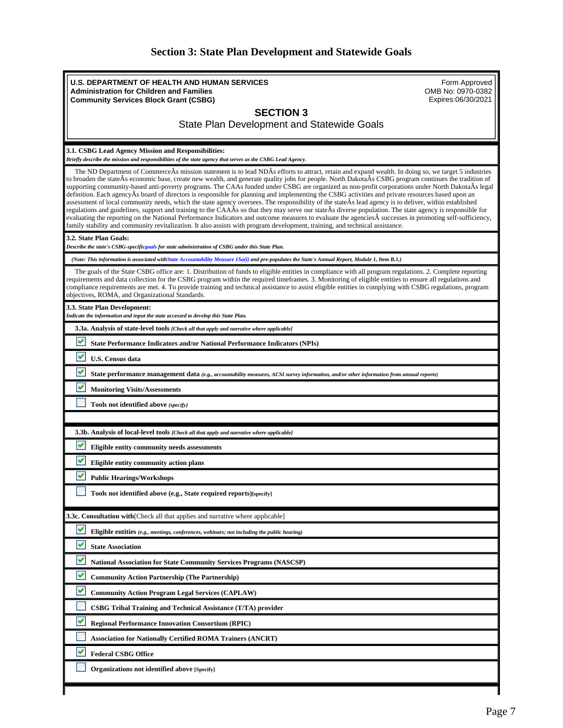| <b>Section 3: State Plan Development and Statewide Goals</b> |  |
|--------------------------------------------------------------|--|
|--------------------------------------------------------------|--|

<span id="page-6-0"></span>

| <b>U.S. DEPARTMENT OF HEALTH AND HUMAN SERVICES</b><br>Form Approved<br>OMB No: 0970-0382<br><b>Administration for Children and Families</b><br>Expires:06/30/2021<br><b>Community Services Block Grant (CSBG)</b>                                                                                                                                                                                                                                                                                                                                                                                                                                                                                                                                                                                                                                                                                                                                                                                                                                                                                                                                                                                                                                 |
|----------------------------------------------------------------------------------------------------------------------------------------------------------------------------------------------------------------------------------------------------------------------------------------------------------------------------------------------------------------------------------------------------------------------------------------------------------------------------------------------------------------------------------------------------------------------------------------------------------------------------------------------------------------------------------------------------------------------------------------------------------------------------------------------------------------------------------------------------------------------------------------------------------------------------------------------------------------------------------------------------------------------------------------------------------------------------------------------------------------------------------------------------------------------------------------------------------------------------------------------------|
| <b>SECTION 3</b><br><b>State Plan Development and Statewide Goals</b>                                                                                                                                                                                                                                                                                                                                                                                                                                                                                                                                                                                                                                                                                                                                                                                                                                                                                                                                                                                                                                                                                                                                                                              |
| 3.1. CSBG Lead Agency Mission and Responsibilities:<br>Briefly describe the mission and responsibilities of the state agency that serves as the CSBG Lead Agency.                                                                                                                                                                                                                                                                                                                                                                                                                                                                                                                                                                                                                                                                                                                                                                                                                                                                                                                                                                                                                                                                                  |
| The ND Department of CommerceÂs mission statement is to lead NDÂs efforts to attract, retain and expand wealth. In doing so, we target 5 industries<br>to broaden the state As economic base, create new wealth, and generate quality jobs for people. North Dakota As CSBG program continues the tradition of<br>supporting community-based anti-poverty programs. The CAAs funded under CSBG are organized as non-profit corporations under North DakotaÂs legal<br>definition. Each agency As board of directors is responsible for planning and implementing the CSBG activities and private resources based upon an<br>assessment of local community needs, which the state agency oversees. The responsibility of the state $\hat{A}$ s lead agency is to deliver, within established<br>regulations and guidelines, support and training to the CAAAs so that they may serve our stateAs diverse population. The state agency is responsible for<br>evaluating the reporting on the National Performance Indicators and outcome measures to evaluate the agencies  successes in promoting self-sufficiency,<br>family stability and community revitalization. It also assists with program development, training, and technical assistance. |
| 3.2. State Plan Goals:<br>Describe the state's CSBG-specificgoals for state administration of CSBG under this State Plan.                                                                                                                                                                                                                                                                                                                                                                                                                                                                                                                                                                                                                                                                                                                                                                                                                                                                                                                                                                                                                                                                                                                          |
| (Note: This information is associated with State Accountability Measure 1Sa(i) and pre-populates the State's Annual Report, Module 1, Item B.1.)                                                                                                                                                                                                                                                                                                                                                                                                                                                                                                                                                                                                                                                                                                                                                                                                                                                                                                                                                                                                                                                                                                   |
| The goals of the State CSBG office are: 1. Distribution of funds to eligible entities in compliance with all program regulations. 2. Complete reporting<br>requirements and data collection for the CSBG program within the required timeframes. 3. Monitoring of eligible entities to ensure all regulations and<br>compliance requirements are met. 4. To provide training and technical assistance to assist eligible entities in complying with CSBG regulations, program<br>objectives, ROMA, and Organizational Standards.                                                                                                                                                                                                                                                                                                                                                                                                                                                                                                                                                                                                                                                                                                                   |
| 3.3. State Plan Development:<br>Indicate the information and input the state accessed to develop this State Plan.                                                                                                                                                                                                                                                                                                                                                                                                                                                                                                                                                                                                                                                                                                                                                                                                                                                                                                                                                                                                                                                                                                                                  |
| 3.3a. Analysis of state-level tools [Check all that apply and narrative where applicable]                                                                                                                                                                                                                                                                                                                                                                                                                                                                                                                                                                                                                                                                                                                                                                                                                                                                                                                                                                                                                                                                                                                                                          |
| ᢦ<br><b>State Performance Indicators and/or National Performance Indicators (NPIs)</b>                                                                                                                                                                                                                                                                                                                                                                                                                                                                                                                                                                                                                                                                                                                                                                                                                                                                                                                                                                                                                                                                                                                                                             |
| ᢦ<br>U.S. Census data                                                                                                                                                                                                                                                                                                                                                                                                                                                                                                                                                                                                                                                                                                                                                                                                                                                                                                                                                                                                                                                                                                                                                                                                                              |
| ✓<br>State performance management data (e.g., accountability measures, ACSI survey information, and/or other information from annual reports)                                                                                                                                                                                                                                                                                                                                                                                                                                                                                                                                                                                                                                                                                                                                                                                                                                                                                                                                                                                                                                                                                                      |
| ᢦ<br><b>Monitoring Visits/Assessments</b>                                                                                                                                                                                                                                                                                                                                                                                                                                                                                                                                                                                                                                                                                                                                                                                                                                                                                                                                                                                                                                                                                                                                                                                                          |
| Tools not identified above (specify)                                                                                                                                                                                                                                                                                                                                                                                                                                                                                                                                                                                                                                                                                                                                                                                                                                                                                                                                                                                                                                                                                                                                                                                                               |
|                                                                                                                                                                                                                                                                                                                                                                                                                                                                                                                                                                                                                                                                                                                                                                                                                                                                                                                                                                                                                                                                                                                                                                                                                                                    |
| 3.3b. Analysis of local-level tools [Check all that apply and narrative where applicable]                                                                                                                                                                                                                                                                                                                                                                                                                                                                                                                                                                                                                                                                                                                                                                                                                                                                                                                                                                                                                                                                                                                                                          |
| v<br>Eligible entity community needs assessments                                                                                                                                                                                                                                                                                                                                                                                                                                                                                                                                                                                                                                                                                                                                                                                                                                                                                                                                                                                                                                                                                                                                                                                                   |
| ✓<br>Eligible entity community action plans                                                                                                                                                                                                                                                                                                                                                                                                                                                                                                                                                                                                                                                                                                                                                                                                                                                                                                                                                                                                                                                                                                                                                                                                        |
| ✓<br><b>Public Hearings/Workshops</b>                                                                                                                                                                                                                                                                                                                                                                                                                                                                                                                                                                                                                                                                                                                                                                                                                                                                                                                                                                                                                                                                                                                                                                                                              |
| Tools not identified above (e.g., State required reports)[specify]                                                                                                                                                                                                                                                                                                                                                                                                                                                                                                                                                                                                                                                                                                                                                                                                                                                                                                                                                                                                                                                                                                                                                                                 |
| <b>3.3c. Consultation with</b> [Check all that applies and narrative where applicable]                                                                                                                                                                                                                                                                                                                                                                                                                                                                                                                                                                                                                                                                                                                                                                                                                                                                                                                                                                                                                                                                                                                                                             |
| Eligible entities (e.g., meetings, conferences, webinars; not including the public hearing)                                                                                                                                                                                                                                                                                                                                                                                                                                                                                                                                                                                                                                                                                                                                                                                                                                                                                                                                                                                                                                                                                                                                                        |
| v<br><b>State Association</b>                                                                                                                                                                                                                                                                                                                                                                                                                                                                                                                                                                                                                                                                                                                                                                                                                                                                                                                                                                                                                                                                                                                                                                                                                      |
| v<br><b>National Association for State Community Services Programs (NASCSP)</b>                                                                                                                                                                                                                                                                                                                                                                                                                                                                                                                                                                                                                                                                                                                                                                                                                                                                                                                                                                                                                                                                                                                                                                    |
| v<br><b>Community Action Partnership (The Partnership)</b>                                                                                                                                                                                                                                                                                                                                                                                                                                                                                                                                                                                                                                                                                                                                                                                                                                                                                                                                                                                                                                                                                                                                                                                         |
| v<br><b>Community Action Program Legal Services (CAPLAW)</b>                                                                                                                                                                                                                                                                                                                                                                                                                                                                                                                                                                                                                                                                                                                                                                                                                                                                                                                                                                                                                                                                                                                                                                                       |
| CSBG Tribal Training and Technical Assistance (T/TA) provider                                                                                                                                                                                                                                                                                                                                                                                                                                                                                                                                                                                                                                                                                                                                                                                                                                                                                                                                                                                                                                                                                                                                                                                      |
| v<br><b>Regional Performance Innovation Consortium (RPIC)</b>                                                                                                                                                                                                                                                                                                                                                                                                                                                                                                                                                                                                                                                                                                                                                                                                                                                                                                                                                                                                                                                                                                                                                                                      |
| <b>Association for Nationally Certified ROMA Trainers (ANCRT)</b>                                                                                                                                                                                                                                                                                                                                                                                                                                                                                                                                                                                                                                                                                                                                                                                                                                                                                                                                                                                                                                                                                                                                                                                  |
| ✓<br><b>Federal CSBG Office</b>                                                                                                                                                                                                                                                                                                                                                                                                                                                                                                                                                                                                                                                                                                                                                                                                                                                                                                                                                                                                                                                                                                                                                                                                                    |
| Organizations not identified above [Specify]                                                                                                                                                                                                                                                                                                                                                                                                                                                                                                                                                                                                                                                                                                                                                                                                                                                                                                                                                                                                                                                                                                                                                                                                       |
|                                                                                                                                                                                                                                                                                                                                                                                                                                                                                                                                                                                                                                                                                                                                                                                                                                                                                                                                                                                                                                                                                                                                                                                                                                                    |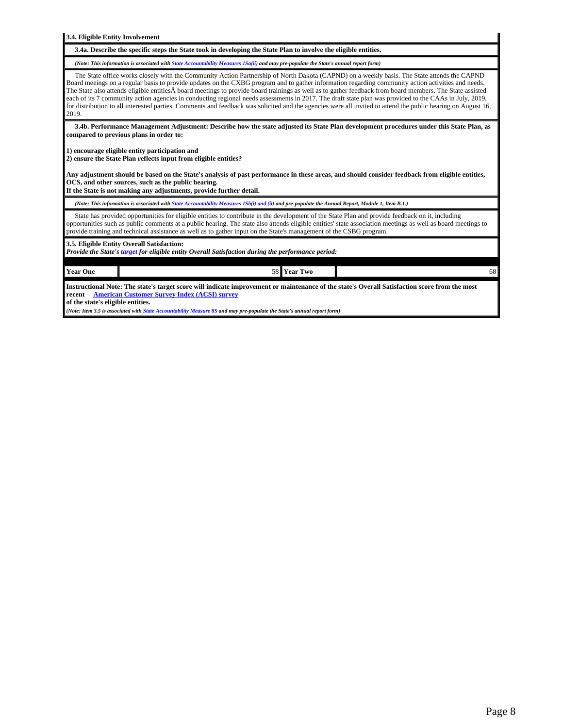**3.4. Eligible Entity Involvement 3.4a. Describe the specific steps the State took in developing the State Plan to involve the eligible entities.** *(Note: This information is associated with State Accountability Measures 1Sa(ii) and may pre-populate the State's annual report form)* The State office works closely with the Community Action Partnership of North Dakota (CAPND) on a weekly basis. The State attends the CAPND Board meeings on a regular basis to provide updates on the CXBG program and to gather information regarding community action activities and needs. The State also attends eligible entities board meetings to provide board trainings as well as to gather feedback from board members. The State assisted each of its 7 community action agencies in conducting regional needs assessments in 2017. The draft state plan was provided to the CAAs in July, 2019, for distribution to all interested parties. Comments and feedback was solicited and the agencies were all invited to attend the public hearing on August 16, 2019. **3.4b. Performance Management Adjustment: Describe how the state adjusted its State Plan development procedures under this State Plan, as compared to previous plans in order to: 1) encourage eligible entity participation and 2) ensure the State Plan reflects input from eligible entities? Any adjustment should be based on the State's analysis of past performance in these areas, and should consider feedback from eligible entities, OCS, and other sources, such as the public hearing. If the State is not making any adjustments, provide further detail.** *(Note: This information is associated with State Accountability Measures 1Sb(i) and (ii) and pre-populate the Annual Report, Module 1, Item B.1.)* State has provided opportunities for eligible entities to contribute in the development of the State Plan and provide feedback on it, including opportunities such as public comments at a public hearing. The state also attends eligible entities' state association meetings as well as board meetings to provide training and technical assistance as well as to gather input on the State's management of the CSBG program. **3.5. Eligible Entity Overall Satisfaction:** *Provide the State's target for eligible entity Overall Satisfaction during the performance period:* **Year One** 58 **Year Two** 68

**Instructional Note: The state's target score will indicate improvement or maintenance of the state's Overall Satisfaction score from the most recent [American Customer Survey Index \(ACSI\) survey](https://www.acf.hhs.gov/ocs/resource/csbg-im-150-use-of-the-american-customer-satisfaction-index-acsi-to-improve-network-effectiveness/)**

**of the state's eligible entities.** 

*(Note: Item 3.5 is associated with State Accountability Measure 8S and may pre-populate the State's annual report form)*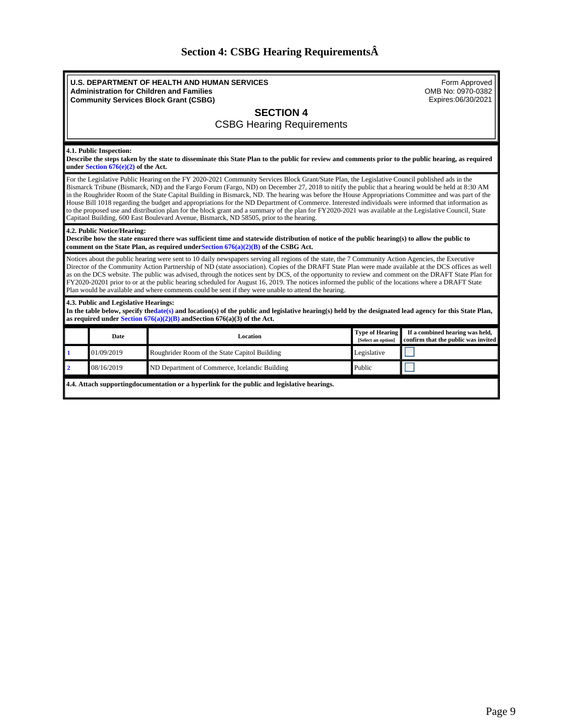# **Section 4: CSBG Hearing Requirements**

<span id="page-8-0"></span>

| <b>U.S. DEPARTMENT OF HEALTH AND HUMAN SERVICES</b><br>Form Approved<br>OMB No: 0970-0382<br><b>Administration for Children and Families</b><br>Expires:06/30/2021<br><b>Community Services Block Grant (CSBG)</b>                                                                                                                                                                                                                                                                                                                                                                                                                                                                                                               |                                                                                                                                                                                                                                                                                                                                                                                                                                                                                                                                                                                                                                                                                                                                                                                                                                                                         |                                               |                                              |                                                                        |  |  |  |  |
|----------------------------------------------------------------------------------------------------------------------------------------------------------------------------------------------------------------------------------------------------------------------------------------------------------------------------------------------------------------------------------------------------------------------------------------------------------------------------------------------------------------------------------------------------------------------------------------------------------------------------------------------------------------------------------------------------------------------------------|-------------------------------------------------------------------------------------------------------------------------------------------------------------------------------------------------------------------------------------------------------------------------------------------------------------------------------------------------------------------------------------------------------------------------------------------------------------------------------------------------------------------------------------------------------------------------------------------------------------------------------------------------------------------------------------------------------------------------------------------------------------------------------------------------------------------------------------------------------------------------|-----------------------------------------------|----------------------------------------------|------------------------------------------------------------------------|--|--|--|--|
| <b>SECTION 4</b>                                                                                                                                                                                                                                                                                                                                                                                                                                                                                                                                                                                                                                                                                                                 |                                                                                                                                                                                                                                                                                                                                                                                                                                                                                                                                                                                                                                                                                                                                                                                                                                                                         |                                               |                                              |                                                                        |  |  |  |  |
|                                                                                                                                                                                                                                                                                                                                                                                                                                                                                                                                                                                                                                                                                                                                  |                                                                                                                                                                                                                                                                                                                                                                                                                                                                                                                                                                                                                                                                                                                                                                                                                                                                         | <b>CSBG Hearing Requirements</b>              |                                              |                                                                        |  |  |  |  |
|                                                                                                                                                                                                                                                                                                                                                                                                                                                                                                                                                                                                                                                                                                                                  |                                                                                                                                                                                                                                                                                                                                                                                                                                                                                                                                                                                                                                                                                                                                                                                                                                                                         |                                               |                                              |                                                                        |  |  |  |  |
| 4.1. Public Inspection:<br>Describe the steps taken by the state to disseminate this State Plan to the public for review and comments prior to the public hearing, as required<br>under Section $676(e)(2)$ of the Act.                                                                                                                                                                                                                                                                                                                                                                                                                                                                                                          |                                                                                                                                                                                                                                                                                                                                                                                                                                                                                                                                                                                                                                                                                                                                                                                                                                                                         |                                               |                                              |                                                                        |  |  |  |  |
|                                                                                                                                                                                                                                                                                                                                                                                                                                                                                                                                                                                                                                                                                                                                  | For the Legislative Public Hearing on the FY 2020-2021 Community Services Block Grant/State Plan, the Legislative Council published ads in the<br>Bismarck Tribune (Bismarck, ND) and the Fargo Forum (Fargo, ND) on December 27, 2018 to nitify the public that a hearing would be held at 8:30 AM<br>in the Roughrider Room of the State Capital Building in Bismarck, ND. The hearing was before the House Appropriations Committee and was part of the<br>House Bill 1018 regarding the budget and appropriations for the ND Department of Commerce. Interested individuals were informed that information as<br>to the proposed use and distribution plan for the block grant and a summary of the plan for FY2020-2021 was available at the Legislative Council, State<br>Capitaol Building, 600 East Boulevard Avenue, Bismarck, ND 58505, prior to the hearing. |                                               |                                              |                                                                        |  |  |  |  |
| 4.2. Public Notice/Hearing:<br>Describe how the state ensured there was sufficient time and statewide distribution of notice of the public hearing(s) to allow the public to<br>comment on the State Plan, as required under Section $676(a)(2)(B)$ of the CSBG Act.                                                                                                                                                                                                                                                                                                                                                                                                                                                             |                                                                                                                                                                                                                                                                                                                                                                                                                                                                                                                                                                                                                                                                                                                                                                                                                                                                         |                                               |                                              |                                                                        |  |  |  |  |
| Notices about the public hearing were sent to 10 daily newspapers serving all regions of the state, the 7 Community Action Agencies, the Executive<br>Director of the Community Action Partnership of ND (state association). Copies of the DRAFT State Plan were made available at the DCS offices as well<br>as on the DCS website. The public was advised, through the notices sent by DCS, of the opportunity to review and comment on the DRAFT State Plan for<br>FY2020-20201 prior to or at the public hearing scheduled for August 16, 2019. The notices informed the public of the locations where a DRAFT State<br>Plan would be available and where comments could be sent if they were unable to attend the hearing. |                                                                                                                                                                                                                                                                                                                                                                                                                                                                                                                                                                                                                                                                                                                                                                                                                                                                         |                                               |                                              |                                                                        |  |  |  |  |
|                                                                                                                                                                                                                                                                                                                                                                                                                                                                                                                                                                                                                                                                                                                                  | 4.3. Public and Legislative Hearings:<br>In the table below, specify the date(s) and location(s) of the public and legislative hearing(s) held by the designated lead agency for this State Plan,<br>as required under Section $676(a)(2)(B)$ and Section $676(a)(3)$ of the Act.                                                                                                                                                                                                                                                                                                                                                                                                                                                                                                                                                                                       |                                               |                                              |                                                                        |  |  |  |  |
|                                                                                                                                                                                                                                                                                                                                                                                                                                                                                                                                                                                                                                                                                                                                  | Date                                                                                                                                                                                                                                                                                                                                                                                                                                                                                                                                                                                                                                                                                                                                                                                                                                                                    | Location                                      | <b>Type of Hearing</b><br>[Select an option] | If a combined hearing was held,<br>confirm that the public was invited |  |  |  |  |
| $\mathbf{1}$                                                                                                                                                                                                                                                                                                                                                                                                                                                                                                                                                                                                                                                                                                                     | 01/09/2019                                                                                                                                                                                                                                                                                                                                                                                                                                                                                                                                                                                                                                                                                                                                                                                                                                                              | Roughrider Room of the State Capitol Building | Legislative                                  |                                                                        |  |  |  |  |
| $\overline{\mathbf{2}}$                                                                                                                                                                                                                                                                                                                                                                                                                                                                                                                                                                                                                                                                                                          | 08/16/2019                                                                                                                                                                                                                                                                                                                                                                                                                                                                                                                                                                                                                                                                                                                                                                                                                                                              | ND Department of Commerce, Icelandic Building | Public                                       |                                                                        |  |  |  |  |
| 4.4. Attach supporting documentation or a hyperlink for the public and legislative hearings.                                                                                                                                                                                                                                                                                                                                                                                                                                                                                                                                                                                                                                     |                                                                                                                                                                                                                                                                                                                                                                                                                                                                                                                                                                                                                                                                                                                                                                                                                                                                         |                                               |                                              |                                                                        |  |  |  |  |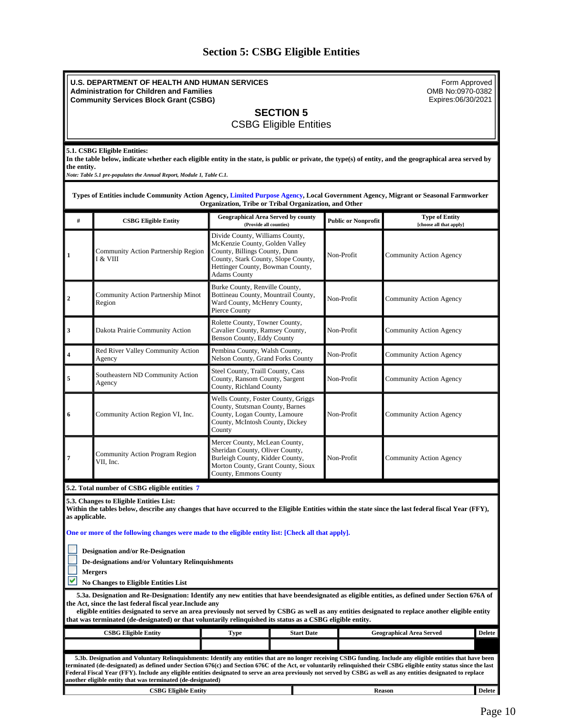# **Section 5: CSBG Eligible Entities**

<span id="page-9-0"></span>

|                | <b>U.S. DEPARTMENT OF HEALTH AND HUMAN SERVICES</b><br><b>Administration for Children and Families</b><br><b>Community Services Block Grant (CSBG)</b>                                                                                                                                                                                                                                                                                                                                                     |                                                                                                                                                                                                      |                   |                            | Form Approved<br>OMB No:0970-0382<br>Expires:06/30/2021 |               |  |  |
|----------------|------------------------------------------------------------------------------------------------------------------------------------------------------------------------------------------------------------------------------------------------------------------------------------------------------------------------------------------------------------------------------------------------------------------------------------------------------------------------------------------------------------|------------------------------------------------------------------------------------------------------------------------------------------------------------------------------------------------------|-------------------|----------------------------|---------------------------------------------------------|---------------|--|--|
|                | <b>SECTION 5</b><br><b>CSBG Eligible Entities</b>                                                                                                                                                                                                                                                                                                                                                                                                                                                          |                                                                                                                                                                                                      |                   |                            |                                                         |               |  |  |
| the entity.    | 5.1. CSBG Eligible Entities:<br>In the table below, indicate whether each eligible entity in the state, is public or private, the type(s) of entity, and the geographical area served by<br>Note: Table 5.1 pre-populates the Annual Report, Module 1, Table C.1.<br>Types of Entities include Community Action Agency, Limited Purpose Agency, Local Government Agency, Migrant or Seasonal Farmworker                                                                                                    |                                                                                                                                                                                                      |                   |                            |                                                         |               |  |  |
| #              | <b>CSBG Eligible Entity</b>                                                                                                                                                                                                                                                                                                                                                                                                                                                                                | Organization, Tribe or Tribal Organization, and Other<br><b>Geographical Area Served by county</b><br>(Provide all counties)                                                                         |                   | <b>Public or Nonprofit</b> | <b>Type of Entity</b><br>[choose all that apply]        |               |  |  |
| 1              | Community Action Partnership Region<br>I & VIII                                                                                                                                                                                                                                                                                                                                                                                                                                                            | Divide County, Williams County,<br>McKenzie County, Golden Valley<br>County, Billings County, Dunn<br>County, Stark County, Slope County,<br>Hettinger County, Bowman County,<br><b>Adams County</b> |                   | Non-Profit                 | Community Action Agency                                 |               |  |  |
| 2              | Community Action Partnership Minot<br>Region                                                                                                                                                                                                                                                                                                                                                                                                                                                               | Burke County, Renville County,<br>Bottineau County, Mountrail County,<br>Ward County, McHenry County,<br>Pierce County                                                                               |                   | Non-Profit                 | <b>Community Action Agency</b>                          |               |  |  |
| 3              | Dakota Prairie Community Action                                                                                                                                                                                                                                                                                                                                                                                                                                                                            | Rolette County, Towner County,<br>Cavalier County, Ramsey County,<br>Benson County, Eddy County                                                                                                      |                   | Non-Profit                 | Community Action Agency                                 |               |  |  |
|                | Red River Valley Community Action<br>Agency                                                                                                                                                                                                                                                                                                                                                                                                                                                                | Pembina County, Walsh County,<br>Nelson County, Grand Forks County                                                                                                                                   |                   | Non-Profit                 | Community Action Agency                                 |               |  |  |
| 5              | Southeastern ND Community Action<br>Agency                                                                                                                                                                                                                                                                                                                                                                                                                                                                 | Steel County, Traill County, Cass<br>County, Ransom County, Sargent<br>County, Richland County                                                                                                       |                   | Non-Profit                 | Community Action Agency                                 |               |  |  |
| 6              | Community Action Region VI, Inc.                                                                                                                                                                                                                                                                                                                                                                                                                                                                           | Wells County, Foster County, Griggs<br>County, Stutsman County, Barnes<br>County, Logan County, Lamoure<br>County, McIntosh County, Dickey<br>County                                                 |                   | Non-Profit                 | Community Action Agency                                 |               |  |  |
| 7              | Mercer County, McLean County,<br>Sheridan County, Oliver County,<br>Community Action Program Region<br>Burleigh County, Kidder County,<br>Non-Profit<br>Community Action Agency<br>VII, Inc.<br>Morton County, Grant County, Sioux<br>County, Emmons County                                                                                                                                                                                                                                                |                                                                                                                                                                                                      |                   |                            |                                                         |               |  |  |
|                | 5.2. Total number of CSBG eligible entities 7                                                                                                                                                                                                                                                                                                                                                                                                                                                              |                                                                                                                                                                                                      |                   |                            |                                                         |               |  |  |
| as applicable. | 5.3. Changes to Eligible Entities List:<br>Within the tables below, describe any changes that have occurred to the Eligible Entities within the state since the last federal fiscal Year (FFY),                                                                                                                                                                                                                                                                                                            |                                                                                                                                                                                                      |                   |                            |                                                         |               |  |  |
|                | One or more of the following changes were made to the eligible entity list: [Check all that apply].                                                                                                                                                                                                                                                                                                                                                                                                        |                                                                                                                                                                                                      |                   |                            |                                                         |               |  |  |
|                | <b>Designation and/or Re-Designation</b><br>De-designations and/or Voluntary Relinquishments<br><b>Mergers</b><br><b>No Changes to Eligible Entities List</b>                                                                                                                                                                                                                                                                                                                                              |                                                                                                                                                                                                      |                   |                            |                                                         |               |  |  |
|                | 5.3a. Designation and Re-Designation: Identify any new entities that have beendesignated as eligible entities, as defined under Section 676A of<br>the Act, since the last federal fiscal year. Include any<br>eligible entities designated to serve an area previously not served by CSBG as well as any entities designated to replace another eligible entity<br>that was terminated (de-designated) or that voluntarily relinquished its status as a CSBG eligible entity.                             |                                                                                                                                                                                                      |                   |                            |                                                         |               |  |  |
|                | <b>CSBG Eligible Entity</b>                                                                                                                                                                                                                                                                                                                                                                                                                                                                                | Type                                                                                                                                                                                                 | <b>Start Date</b> |                            | <b>Geographical Area Served</b>                         | <b>Delete</b> |  |  |
|                | 5.3b. Designation and Voluntary Relinquishments: Identify any entities that are no longer receiving CSBG funding. Include any eligible entities that have been<br>terminated (de-designated) as defined under Section 676(c) and Section 676C of the Act, or voluntarily relinquished their CSBG eligible entity status since the last<br>Federal Fiscal Year (FFY). Include any eligible entities designated to serve an area previously not served by CSBG as well as any entities designated to replace |                                                                                                                                                                                                      |                   |                            |                                                         |               |  |  |
|                | another eligible entity that was terminated (de-designated)<br><b>CSBG Eligible Entity</b>                                                                                                                                                                                                                                                                                                                                                                                                                 |                                                                                                                                                                                                      |                   |                            | <b>Reason</b>                                           | <b>Delete</b> |  |  |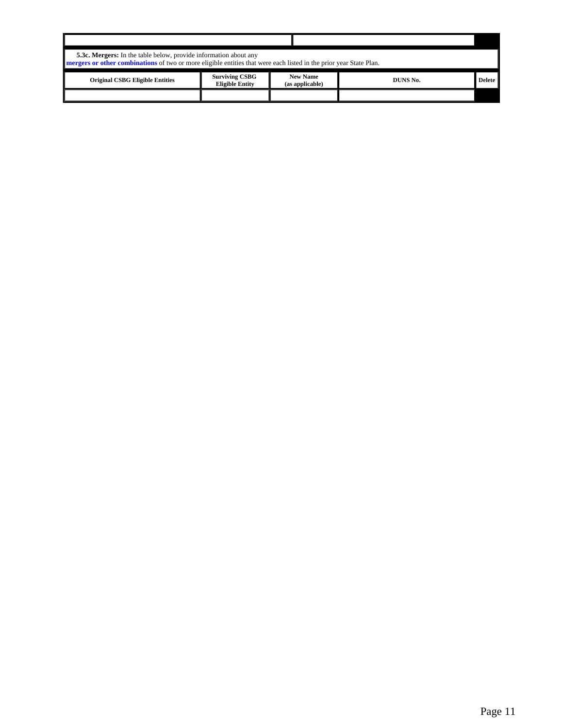| <b>5.3c. Mergers:</b> In the table below, provide information about any<br><b>negers</b> or other combinations of two or more eligible entities that were each listed in the prior year State Plan. |                                                 |                                    |          |        |  |  |  |
|-----------------------------------------------------------------------------------------------------------------------------------------------------------------------------------------------------|-------------------------------------------------|------------------------------------|----------|--------|--|--|--|
| <b>Original CSBG Eligible Entities</b>                                                                                                                                                              | <b>Surviving CSBG</b><br><b>Eligible Entity</b> | <b>New Name</b><br>(as applicable) | DUNS No. | Delete |  |  |  |
|                                                                                                                                                                                                     |                                                 |                                    |          |        |  |  |  |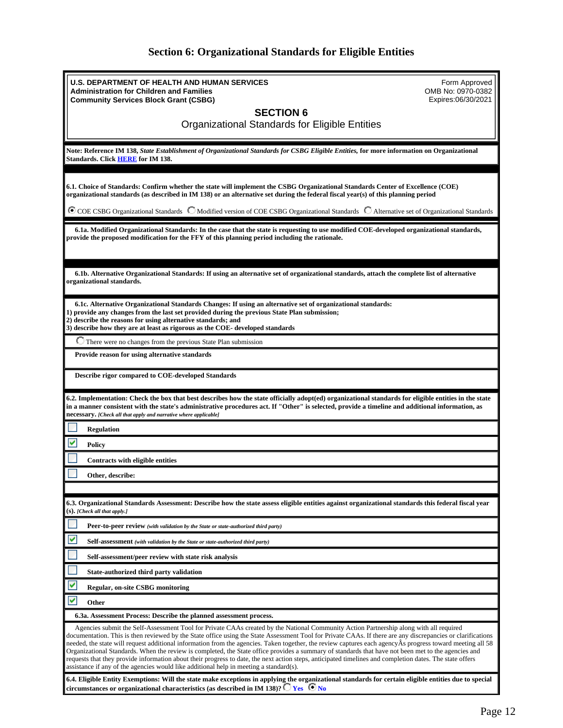# **Section 6: Organizational Standards for Eligible Entities**

<span id="page-11-0"></span>

| <b>U.S. DEPARTMENT OF HEALTH AND HUMAN SERVICES</b><br>Form Approved<br>OMB No: 0970-0382<br><b>Administration for Children and Families</b><br>Expires:06/30/2021<br><b>Community Services Block Grant (CSBG)</b>                                                                                                                                                                                                                                                                                                                                                                                                                                                                                                                                                                                                                                                               |
|----------------------------------------------------------------------------------------------------------------------------------------------------------------------------------------------------------------------------------------------------------------------------------------------------------------------------------------------------------------------------------------------------------------------------------------------------------------------------------------------------------------------------------------------------------------------------------------------------------------------------------------------------------------------------------------------------------------------------------------------------------------------------------------------------------------------------------------------------------------------------------|
| <b>SECTION 6</b><br>Organizational Standards for Eligible Entities                                                                                                                                                                                                                                                                                                                                                                                                                                                                                                                                                                                                                                                                                                                                                                                                               |
| Note: Reference IM 138, State Establishment of Organizational Standards for CSBG Eligible Entities, for more information on Organizational<br>Standards. Click <b>HERE</b> for IM 138.                                                                                                                                                                                                                                                                                                                                                                                                                                                                                                                                                                                                                                                                                           |
| 6.1. Choice of Standards: Confirm whether the state will implement the CSBG Organizational Standards Center of Excellence (COE)<br>organizational standards (as described in IM 138) or an alternative set during the federal fiscal year(s) of this planning period                                                                                                                                                                                                                                                                                                                                                                                                                                                                                                                                                                                                             |
| $\bullet$ COE CSBG Organizational Standards $\degree$ Modified version of COE CSBG Organizational Standards $\degree$ Alternative set of Organizational Standards                                                                                                                                                                                                                                                                                                                                                                                                                                                                                                                                                                                                                                                                                                                |
| 6.1a. Modified Organizational Standards: In the case that the state is requesting to use modified COE-developed organizational standards,<br>provide the proposed modification for the FFY of this planning period including the rationale.                                                                                                                                                                                                                                                                                                                                                                                                                                                                                                                                                                                                                                      |
| 6.1b. Alternative Organizational Standards: If using an alternative set of organizational standards, attach the complete list of alternative<br>organizational standards.                                                                                                                                                                                                                                                                                                                                                                                                                                                                                                                                                                                                                                                                                                        |
| 6.1c. Alternative Organizational Standards Changes: If using an alternative set of organizational standards:<br>1) provide any changes from the last set provided during the previous State Plan submission;<br>2) describe the reasons for using alternative standards; and<br>3) describe how they are at least as rigorous as the COE- developed standards                                                                                                                                                                                                                                                                                                                                                                                                                                                                                                                    |
| $\Box$ There were no changes from the previous State Plan submission                                                                                                                                                                                                                                                                                                                                                                                                                                                                                                                                                                                                                                                                                                                                                                                                             |
| Provide reason for using alternative standards                                                                                                                                                                                                                                                                                                                                                                                                                                                                                                                                                                                                                                                                                                                                                                                                                                   |
| Describe rigor compared to COE-developed Standards                                                                                                                                                                                                                                                                                                                                                                                                                                                                                                                                                                                                                                                                                                                                                                                                                               |
| 6.2. Implementation: Check the box that best describes how the state officially adopt(ed) organizational standards for eligible entities in the state<br>in a manner consistent with the state's administrative procedures act. If "Other" is selected, provide a timeline and additional information, as<br>necessary. [Check all that apply and narrative where applicable]                                                                                                                                                                                                                                                                                                                                                                                                                                                                                                    |
| <b>Regulation</b>                                                                                                                                                                                                                                                                                                                                                                                                                                                                                                                                                                                                                                                                                                                                                                                                                                                                |
| Policy                                                                                                                                                                                                                                                                                                                                                                                                                                                                                                                                                                                                                                                                                                                                                                                                                                                                           |
| Contracts with eligible entities                                                                                                                                                                                                                                                                                                                                                                                                                                                                                                                                                                                                                                                                                                                                                                                                                                                 |
| Other, describe:                                                                                                                                                                                                                                                                                                                                                                                                                                                                                                                                                                                                                                                                                                                                                                                                                                                                 |
|                                                                                                                                                                                                                                                                                                                                                                                                                                                                                                                                                                                                                                                                                                                                                                                                                                                                                  |
| 6.3. Organizational Standards Assessment: Describe how the state assess eligible entities against organizational standards this federal fiscal vear<br>(S). [Check all that apply.]                                                                                                                                                                                                                                                                                                                                                                                                                                                                                                                                                                                                                                                                                              |
| Peer-to-peer review (with validation by the State or state-authorized third party)                                                                                                                                                                                                                                                                                                                                                                                                                                                                                                                                                                                                                                                                                                                                                                                               |
| V<br><b>Self-assessment</b> (with validation by the State or state-authorized third party)                                                                                                                                                                                                                                                                                                                                                                                                                                                                                                                                                                                                                                                                                                                                                                                       |
| Self-assessment/peer review with state risk analysis                                                                                                                                                                                                                                                                                                                                                                                                                                                                                                                                                                                                                                                                                                                                                                                                                             |
| State-authorized third party validation                                                                                                                                                                                                                                                                                                                                                                                                                                                                                                                                                                                                                                                                                                                                                                                                                                          |
| <b>Regular, on-site CSBG monitoring</b>                                                                                                                                                                                                                                                                                                                                                                                                                                                                                                                                                                                                                                                                                                                                                                                                                                          |
| v<br>Other                                                                                                                                                                                                                                                                                                                                                                                                                                                                                                                                                                                                                                                                                                                                                                                                                                                                       |
| 6.3a. Assessment Process: Describe the planned assessment process.                                                                                                                                                                                                                                                                                                                                                                                                                                                                                                                                                                                                                                                                                                                                                                                                               |
| Agencies submit the Self-Assessment Tool for Private CAAs created by the National Community Action Partnership along with all required<br>documentation. This is then reviewed by the State office using the State Assessment Tool for Private CAAs. If there are any discrepancies or clarifications<br>needed, the state will request additional information from the agencies. Taken together, the review captures each agency As progress toward meeting all 58<br>Organizational Standards. When the review is completed, the State office provides a summary of standards that have not been met to the agencies and<br>requests that they provide information about their progress to date, the next action steps, anticipated timelines and completion dates. The state offers<br>assistance if any of the agencies would like additional help in meeting a standard(s). |
| 6.4. Eligible Entity Exemptions: Will the state make exceptions in applying the organizational standards for certain eligible entities due to special<br>circumstances or organizational characteristics (as described in IM 138)? $\bigcirc$ Yes $\bigcirc$ No                                                                                                                                                                                                                                                                                                                                                                                                                                                                                                                                                                                                                  |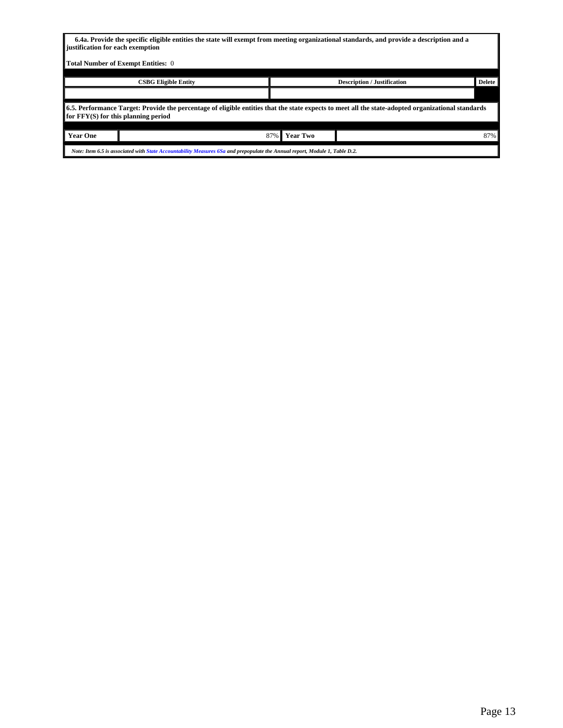|                                                                                                                                                                                           | 6.4a. Provide the specific eligible entities the state will exempt from meeting organizational standards, and provide a description and a<br>iustification for each exemption |                                                     |  |     |
|-------------------------------------------------------------------------------------------------------------------------------------------------------------------------------------------|-------------------------------------------------------------------------------------------------------------------------------------------------------------------------------|-----------------------------------------------------|--|-----|
|                                                                                                                                                                                           | Total Number of Exempt Entities: 0                                                                                                                                            |                                                     |  |     |
|                                                                                                                                                                                           |                                                                                                                                                                               |                                                     |  |     |
|                                                                                                                                                                                           | <b>CSBG Eligible Entity</b>                                                                                                                                                   | <b>Delete</b><br><b>Description / Justification</b> |  |     |
|                                                                                                                                                                                           |                                                                                                                                                                               |                                                     |  |     |
| 6.5. Performance Target: Provide the percentage of eligible entities that the state expects to meet all the state-adopted organizational standards<br>for FFY(S) for this planning period |                                                                                                                                                                               |                                                     |  |     |
|                                                                                                                                                                                           |                                                                                                                                                                               |                                                     |  |     |
| <b>Year One</b>                                                                                                                                                                           | 87%<br><b>Year Two</b>                                                                                                                                                        |                                                     |  | 87% |
| Note: Item 6.5 is associated with State Accountability Measures 6Sa and prepopulate the Annual report, Module 1, Table D.2.                                                               |                                                                                                                                                                               |                                                     |  |     |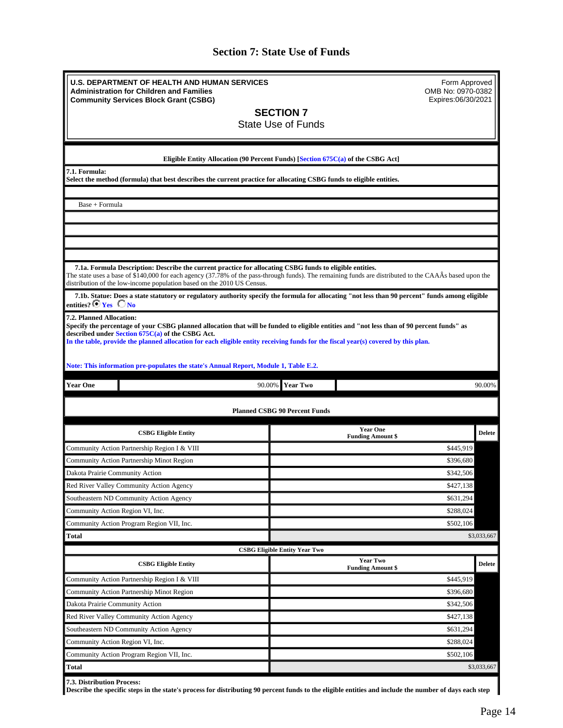# **Section 7: State Use of Funds**

<span id="page-13-0"></span>

| <b>U.S. DEPARTMENT OF HEALTH AND HUMAN SERVICES</b><br>Form Approved<br>OMB No: 0970-0382<br><b>Administration for Children and Families</b>                                                                                                                                                                                                                     |                                                                                                                      |                                                                                                                                                        |               |  |  |
|------------------------------------------------------------------------------------------------------------------------------------------------------------------------------------------------------------------------------------------------------------------------------------------------------------------------------------------------------------------|----------------------------------------------------------------------------------------------------------------------|--------------------------------------------------------------------------------------------------------------------------------------------------------|---------------|--|--|
|                                                                                                                                                                                                                                                                                                                                                                  | <b>Community Services Block Grant (CSBG)</b>                                                                         | Expires:06/30/2021                                                                                                                                     |               |  |  |
|                                                                                                                                                                                                                                                                                                                                                                  |                                                                                                                      | <b>SECTION 7</b>                                                                                                                                       |               |  |  |
| <b>State Use of Funds</b>                                                                                                                                                                                                                                                                                                                                        |                                                                                                                      |                                                                                                                                                        |               |  |  |
|                                                                                                                                                                                                                                                                                                                                                                  |                                                                                                                      |                                                                                                                                                        |               |  |  |
|                                                                                                                                                                                                                                                                                                                                                                  |                                                                                                                      | Eligible Entity Allocation (90 Percent Funds) [Section 675C(a) of the CSBG Act]                                                                        |               |  |  |
| 7.1. Formula:                                                                                                                                                                                                                                                                                                                                                    |                                                                                                                      |                                                                                                                                                        |               |  |  |
|                                                                                                                                                                                                                                                                                                                                                                  | Select the method (formula) that best describes the current practice for allocating CSBG funds to eligible entities. |                                                                                                                                                        |               |  |  |
| Base + Formula                                                                                                                                                                                                                                                                                                                                                   |                                                                                                                      |                                                                                                                                                        |               |  |  |
|                                                                                                                                                                                                                                                                                                                                                                  |                                                                                                                      |                                                                                                                                                        |               |  |  |
|                                                                                                                                                                                                                                                                                                                                                                  |                                                                                                                      |                                                                                                                                                        |               |  |  |
|                                                                                                                                                                                                                                                                                                                                                                  |                                                                                                                      |                                                                                                                                                        |               |  |  |
|                                                                                                                                                                                                                                                                                                                                                                  |                                                                                                                      |                                                                                                                                                        |               |  |  |
|                                                                                                                                                                                                                                                                                                                                                                  | 7.1a. Formula Description: Describe the current practice for allocating CSBG funds to eligible entities.             | The state uses a base of \$140,000 for each agency (37.78% of the pass-through funds). The remaining funds are distributed to the CAAÂs based upon the |               |  |  |
|                                                                                                                                                                                                                                                                                                                                                                  | distribution of the low-income population based on the 2010 US Census.                                               |                                                                                                                                                        |               |  |  |
| entities? $\bullet$ Yes $\bullet$ No                                                                                                                                                                                                                                                                                                                             |                                                                                                                      | 7.1b. Statue: Does a state statutory or regulatory authority specify the formula for allocating "not less than 90 percent" funds among eligible        |               |  |  |
| 7.2. Planned Allocation:<br>Specify the percentage of your CSBG planned allocation that will be funded to eligible entities and "not less than of 90 percent funds" as<br>described under Section 675C(a) of the CSBG Act.<br>In the table, provide the planned allocation for each eligible entity receiving funds for the fiscal year(s) covered by this plan. |                                                                                                                      |                                                                                                                                                        |               |  |  |
|                                                                                                                                                                                                                                                                                                                                                                  |                                                                                                                      |                                                                                                                                                        |               |  |  |
|                                                                                                                                                                                                                                                                                                                                                                  | Note: This information pre-populates the state's Annual Report, Module 1, Table E.2.                                 |                                                                                                                                                        |               |  |  |
|                                                                                                                                                                                                                                                                                                                                                                  |                                                                                                                      |                                                                                                                                                        |               |  |  |
|                                                                                                                                                                                                                                                                                                                                                                  |                                                                                                                      |                                                                                                                                                        |               |  |  |
| <b>Year One</b>                                                                                                                                                                                                                                                                                                                                                  | 90.00%                                                                                                               | <b>Year Two</b>                                                                                                                                        | 90.00%        |  |  |
|                                                                                                                                                                                                                                                                                                                                                                  |                                                                                                                      |                                                                                                                                                        |               |  |  |
|                                                                                                                                                                                                                                                                                                                                                                  |                                                                                                                      | <b>Planned CSBG 90 Percent Funds</b>                                                                                                                   |               |  |  |
|                                                                                                                                                                                                                                                                                                                                                                  | <b>CSBG Eligible Entity</b>                                                                                          | <b>Year One</b>                                                                                                                                        | <b>Delete</b> |  |  |
|                                                                                                                                                                                                                                                                                                                                                                  |                                                                                                                      | <b>Funding Amount \$</b>                                                                                                                               |               |  |  |
|                                                                                                                                                                                                                                                                                                                                                                  | Community Action Partnership Region I & VIII                                                                         | \$445,919                                                                                                                                              |               |  |  |
|                                                                                                                                                                                                                                                                                                                                                                  | Community Action Partnership Minot Region                                                                            | \$396,680                                                                                                                                              |               |  |  |
| Dakota Prairie Community Action                                                                                                                                                                                                                                                                                                                                  |                                                                                                                      | \$342,506                                                                                                                                              |               |  |  |
|                                                                                                                                                                                                                                                                                                                                                                  | Red River Valley Community Action Agency                                                                             | \$427,138                                                                                                                                              |               |  |  |
|                                                                                                                                                                                                                                                                                                                                                                  | Southeastern ND Community Action Agency                                                                              | \$631,294                                                                                                                                              |               |  |  |
| Community Action Region VI, Inc.                                                                                                                                                                                                                                                                                                                                 |                                                                                                                      | \$288,024                                                                                                                                              |               |  |  |
|                                                                                                                                                                                                                                                                                                                                                                  | Community Action Program Region VII, Inc.                                                                            | \$502,106                                                                                                                                              |               |  |  |
| Total                                                                                                                                                                                                                                                                                                                                                            |                                                                                                                      |                                                                                                                                                        | \$3,033,667   |  |  |
|                                                                                                                                                                                                                                                                                                                                                                  | <b>CSBG Eligible Entity</b>                                                                                          | <b>CSBG Eligible Entity Year Two</b><br><b>Year Two</b>                                                                                                | <b>Delete</b> |  |  |
|                                                                                                                                                                                                                                                                                                                                                                  |                                                                                                                      | <b>Funding Amount \$</b>                                                                                                                               |               |  |  |
|                                                                                                                                                                                                                                                                                                                                                                  | Community Action Partnership Region I & VIII                                                                         | \$445,919                                                                                                                                              |               |  |  |
|                                                                                                                                                                                                                                                                                                                                                                  | Community Action Partnership Minot Region                                                                            | \$396,680                                                                                                                                              |               |  |  |
| Dakota Prairie Community Action                                                                                                                                                                                                                                                                                                                                  |                                                                                                                      | \$342,506                                                                                                                                              |               |  |  |
|                                                                                                                                                                                                                                                                                                                                                                  | Red River Valley Community Action Agency                                                                             | \$427,138                                                                                                                                              |               |  |  |
|                                                                                                                                                                                                                                                                                                                                                                  | Southeastern ND Community Action Agency                                                                              | \$631,294                                                                                                                                              |               |  |  |
| Community Action Region VI, Inc.                                                                                                                                                                                                                                                                                                                                 |                                                                                                                      | \$288,024                                                                                                                                              |               |  |  |
|                                                                                                                                                                                                                                                                                                                                                                  | Community Action Program Region VII, Inc.                                                                            | \$502,106                                                                                                                                              |               |  |  |
| <b>Total</b>                                                                                                                                                                                                                                                                                                                                                     |                                                                                                                      |                                                                                                                                                        | \$3,033,667   |  |  |

**Describe the specific steps in the state's process for distributing 90 percent funds to the eligible entities and include the number of days each step**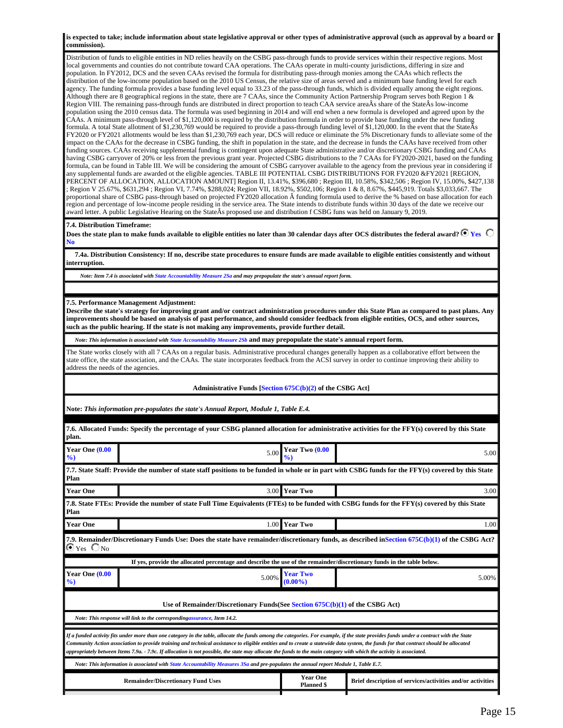**is expected to take; include information about state legislative approval or other types of administrative approval (such as approval by a board or commission).**

Distribution of funds to eligible entities in ND relies heavily on the CSBG pass-through funds to provide services within their respective regions. Most local governments and counties do not contribute toward CAA operations. The CAAs operate in multi-county jurisdictions, differing in size and population. In FY2012, DCS and the seven CAAs revised the formula for distributing pass-through monies among the CAAs which reflects the distribution of the low-income population based on the 2010 US Census, the relative size of areas served and a minimum base funding level for each agency. The funding formula provides a base funding level equal to 33.23 of the pass-through funds, which is divided equally among the eight regions. Although there are 8 geographical regions in the state, there are 7 CAAs, since the Community Action Partnership Program serves both Region 1 & Region VIII. The remaining pass-through funds are distributed in direct proportion to teach CAA service areaÂs share of the StateÂs low-income population using the 2010 census data. The formula was used beginning in 2014 and will end when a new formula is developed and agreed upon by the CAAs. A minimum pass-through level of \$1,120,000 is required by the distribution formula in order to provide base funding under the new funding formula. A total State allotment of \$1,230,769 would be required to provide a pass-through funding level of \$1,120,000. In the event that the State  $\hat{A}$ s FY2020 or FY2021 allotments would be less than \$1,230,769 each year, DCS will reduce or eliminate the 5% Discretionary funds to alleviate some of the impact on the CAAs for the decrease in CSBG funding, the shift in population in the state, and the decrease in funds the CAAs have received from other funding sources. CAAs receiving supplemental funding is contingent upon adequate State administrative and/or discretionary CSBG funding and CAAs having CSBG carryover of 20% or less from the previous grant year. Projected CSBG distributions to the 7 CAAs for FY2020-2021, based on the funding formula, can be found in Table III. We will be considering the amount of CSBG carryover available to the agency from the previous year in considering if any supplemental funds are awarded ot the eligible agencies. TABLE III POTENTIAL CSBG DISTRIBUTIONS FOR FY2020 &FY2021 [REGION, PERCENT OF ALLOCATION, ALLOCATION AMOUNT] Region II, 13.41%, \$396,680 ; Region III, 10.58%, \$342,506 ; Region IV, 15.00%, \$427,138 ; Region V 25.67%, \$631,294 ; Region VI, 7.74%, \$288,024; Region VII, 18.92%, \$502,106; Region 1 & 8, 8.67%, \$445,919. Totals \$3,033,667. The proportional share of CSBG pass-through based on projected FY2020 allocation A funding formula used to derive the % based on base allocation for each region and percentage of low-income people residing in the service area. The State intends to distribute funds within 30 days of the date we receive our award letter. A public Legislative Hearing on the StateÂs proposed use and distribution f CSBG funs was held on January 9, 2019.

#### **7.4. Distribution Timeframe:**

Does the state plan to make funds available to eligible entities no later than 30 calendar days after OCS distributes the federal award?  $\bf{C}$   $\bf{Yes}$   $\bf{C}$ **No** 

 **7.4a. Distribution Consistency: If no, describe state procedures to ensure funds are made available to eligible entities consistently and without interruption.**

*Note: Item 7.4 is associated with State Accountability Measure 2Sa and may prepopulate the state's annual report form.*

#### **7.5. Performance Management Adjustment:**

**Describe the state's strategy for improving grant and/or contract administration procedures under this State Plan as compared to past plans. Any improvements should be based on analysis of past performance, and should consider feedback from eligible entities, OCS, and other sources, such as the public hearing. If the state is not making any improvements, provide further detail.**

*Note: This information is associated with State Accountability Measure 2Sb* **and may prepopulate the state's annual report form.**

The State works closely with all 7 CAAs on a regular basis. Administrative procedural changes generally happen as a collaborative effort between the state office, the state association, and the CAAs. The state incorporates feedback from the ACSI survey in order to continue improving their ability to address the needs of the agencies.

#### **Administrative Funds [Section 675C(b)(2) of the CSBG Act]**

**Note:** *This information pre-populates the state's Annual Report, Module 1, Table E.4.*

| plan.                                                  | 7.6. Allocated Funds: Specify the percentage of your CSBG planned allocation for administrative activities for the FFY(s) covered by this State                                                                                                                                                                                                                                                                                                                                                                                                          |                                      |                                                            |  |
|--------------------------------------------------------|----------------------------------------------------------------------------------------------------------------------------------------------------------------------------------------------------------------------------------------------------------------------------------------------------------------------------------------------------------------------------------------------------------------------------------------------------------------------------------------------------------------------------------------------------------|--------------------------------------|------------------------------------------------------------|--|
| Year One (0.00<br>$\%$                                 | 5.00                                                                                                                                                                                                                                                                                                                                                                                                                                                                                                                                                     | Year Two (0.00                       | 5.00                                                       |  |
| Plan                                                   | 7.7. State Staff: Provide the number of state staff positions to be funded in whole or in part with CSBG funds for the FFY(s) covered by this State                                                                                                                                                                                                                                                                                                                                                                                                      |                                      |                                                            |  |
| <b>Year One</b>                                        |                                                                                                                                                                                                                                                                                                                                                                                                                                                                                                                                                          | 3.00 Year Two                        | 3.00                                                       |  |
| Plan                                                   | 7.8. State FTEs: Provide the number of state Full Time Equivalents (FTEs) to be funded with CSBG funds for the FFY(s) covered by this State                                                                                                                                                                                                                                                                                                                                                                                                              |                                      |                                                            |  |
| <b>Year One</b>                                        | 1.00                                                                                                                                                                                                                                                                                                                                                                                                                                                                                                                                                     | <b>Year Two</b>                      | 1.00                                                       |  |
| $\bm{\mathsf{\Theta}}$ Yes $\bm{\mathsf{\bigcirc}}$ No | 7.9. Remainder/Discretionary Funds Use: Does the state have remainder/discretionary funds, as described in Section 675C(b)(1) of the CSBG Act?                                                                                                                                                                                                                                                                                                                                                                                                           |                                      |                                                            |  |
|                                                        | If yes, provide the allocated percentage and describe the use of the remainder/discretionary funds in the table below.                                                                                                                                                                                                                                                                                                                                                                                                                                   |                                      |                                                            |  |
| Year One (0.00<br>$\%$                                 | 5.00%                                                                                                                                                                                                                                                                                                                                                                                                                                                                                                                                                    | <b>Year Two</b><br>$(0.00\%$         | 5.00%                                                      |  |
|                                                        |                                                                                                                                                                                                                                                                                                                                                                                                                                                                                                                                                          |                                      |                                                            |  |
|                                                        | Use of Remainder/Discretionary Funds(See Section $675C(b)(1)$ of the CSBG Act)                                                                                                                                                                                                                                                                                                                                                                                                                                                                           |                                      |                                                            |  |
|                                                        | Note: This response will link to the correspondingassurance, Item 14.2.                                                                                                                                                                                                                                                                                                                                                                                                                                                                                  |                                      |                                                            |  |
|                                                        | If a funded activity fits under more than one category in the table, allocate the funds among the categories. For example, if the state provides funds under a contract with the State<br>Community Action association to provide training and technical assistance to eligible entities and to create a statewide data system, the funds for that contract should be allocated<br>appropriately between Items 7.9a. - 7.9c. If allocation is not possible, the state may allocate the funds to the main category with which the activity is associated. |                                      |                                                            |  |
|                                                        | Note: This information is associated with State Accountability Measures 3Sa and pre-populates the annual report Module 1, Table E.7.                                                                                                                                                                                                                                                                                                                                                                                                                     |                                      |                                                            |  |
|                                                        | <b>Remainder/Discretionary Fund Uses</b>                                                                                                                                                                                                                                                                                                                                                                                                                                                                                                                 | <b>Year One</b><br><b>Planned \$</b> | Brief description of services/activities and/or activities |  |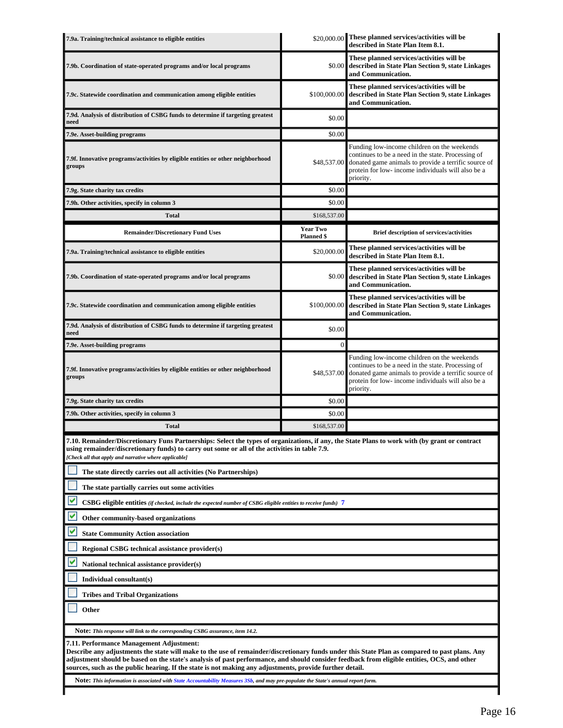| \$20,000.00 These planned services/activities will be<br>7.9a. Training/technical assistance to eligible entities<br>described in State Plan Item 8.1.                                                                                                                                                                                                                                                                                               |                                      |                                                                                                                                                                                                                              |  |  |
|------------------------------------------------------------------------------------------------------------------------------------------------------------------------------------------------------------------------------------------------------------------------------------------------------------------------------------------------------------------------------------------------------------------------------------------------------|--------------------------------------|------------------------------------------------------------------------------------------------------------------------------------------------------------------------------------------------------------------------------|--|--|
| 7.9b. Coordination of state-operated programs and/or local programs                                                                                                                                                                                                                                                                                                                                                                                  | \$0.00                               | These planned services/activities will be<br>described in State Plan Section 9, state Linkages<br>and Communication.                                                                                                         |  |  |
| 7.9c. Statewide coordination and communication among eligible entities                                                                                                                                                                                                                                                                                                                                                                               | \$100,000.00                         | These planned services/activities will be<br>described in State Plan Section 9, state Linkages<br>and Communication.                                                                                                         |  |  |
| 7.9d. Analysis of distribution of CSBG funds to determine if targeting greatest<br>need                                                                                                                                                                                                                                                                                                                                                              | \$0.00                               |                                                                                                                                                                                                                              |  |  |
| 7.9e. Asset-building programs                                                                                                                                                                                                                                                                                                                                                                                                                        | \$0.00                               |                                                                                                                                                                                                                              |  |  |
| 7.9f. Innovative programs/activities by eligible entities or other neighborhood<br>groups                                                                                                                                                                                                                                                                                                                                                            | \$48,537.00                          | Funding low-income children on the weekends<br>continues to be a need in the state. Processing of<br>donated game animals to provide a terrific source of<br>protein for low- income individuals will also be a<br>priority. |  |  |
| 7.9g. State charity tax credits                                                                                                                                                                                                                                                                                                                                                                                                                      | \$0.00                               |                                                                                                                                                                                                                              |  |  |
| 7.9h. Other activities, specify in column 3                                                                                                                                                                                                                                                                                                                                                                                                          | \$0.00                               |                                                                                                                                                                                                                              |  |  |
| <b>Total</b>                                                                                                                                                                                                                                                                                                                                                                                                                                         | \$168,537.00                         |                                                                                                                                                                                                                              |  |  |
| <b>Remainder/Discretionary Fund Uses</b>                                                                                                                                                                                                                                                                                                                                                                                                             | <b>Year Two</b><br><b>Planned</b> \$ | <b>Brief description of services/activities</b>                                                                                                                                                                              |  |  |
| 7.9a. Training/technical assistance to eligible entities                                                                                                                                                                                                                                                                                                                                                                                             | \$20,000.00                          | These planned services/activities will be<br>described in State Plan Item 8.1.                                                                                                                                               |  |  |
| 7.9b. Coordination of state-operated programs and/or local programs                                                                                                                                                                                                                                                                                                                                                                                  | \$0.00                               | These planned services/activities will be<br>described in State Plan Section 9, state Linkages<br>and Communication.                                                                                                         |  |  |
| 7.9c. Statewide coordination and communication among eligible entities                                                                                                                                                                                                                                                                                                                                                                               | \$100,000.00                         | These planned services/activities will be<br>described in State Plan Section 9, state Linkages<br>and Communication.                                                                                                         |  |  |
| 7.9d. Analysis of distribution of CSBG funds to determine if targeting greatest<br>need                                                                                                                                                                                                                                                                                                                                                              | \$0.00                               |                                                                                                                                                                                                                              |  |  |
| 7.9e. Asset-building programs                                                                                                                                                                                                                                                                                                                                                                                                                        | $\Omega$                             |                                                                                                                                                                                                                              |  |  |
| 7.9f. Innovative programs/activities by eligible entities or other neighborhood<br>groups                                                                                                                                                                                                                                                                                                                                                            | \$48,537.00                          | Funding low-income children on the weekends<br>continues to be a need in the state. Processing of<br>donated game animals to provide a terrific source of<br>protein for low- income individuals will also be a<br>priority. |  |  |
| 7.9g. State charity tax credits                                                                                                                                                                                                                                                                                                                                                                                                                      | \$0.00                               |                                                                                                                                                                                                                              |  |  |
| 7.9h. Other activities, specify in column 3                                                                                                                                                                                                                                                                                                                                                                                                          | \$0.00                               |                                                                                                                                                                                                                              |  |  |
| <b>Total</b>                                                                                                                                                                                                                                                                                                                                                                                                                                         | \$168,537.00                         |                                                                                                                                                                                                                              |  |  |
| 7.10. Remainder/Discretionary Funs Partnerships: Select the types of organizations, if any, the State Plans to work with (by grant or contract<br>using remainder/discretionary funds) to carry out some or all of the activities in table 7.9.<br>[Check all that apply and narrative where applicable]                                                                                                                                             |                                      |                                                                                                                                                                                                                              |  |  |
| The state directly carries out all activities (No Partnerships)                                                                                                                                                                                                                                                                                                                                                                                      |                                      |                                                                                                                                                                                                                              |  |  |
| The state partially carries out some activities                                                                                                                                                                                                                                                                                                                                                                                                      |                                      |                                                                                                                                                                                                                              |  |  |
| <b>CSBG</b> eligible entities (if checked, include the expected number of CSBG eligible entities to receive funds) 7                                                                                                                                                                                                                                                                                                                                 |                                      |                                                                                                                                                                                                                              |  |  |
| Other community-based organizations                                                                                                                                                                                                                                                                                                                                                                                                                  |                                      |                                                                                                                                                                                                                              |  |  |
| <b>State Community Action association</b>                                                                                                                                                                                                                                                                                                                                                                                                            |                                      |                                                                                                                                                                                                                              |  |  |
| Regional CSBG technical assistance provider(s)                                                                                                                                                                                                                                                                                                                                                                                                       |                                      |                                                                                                                                                                                                                              |  |  |
| National technical assistance provider(s)                                                                                                                                                                                                                                                                                                                                                                                                            |                                      |                                                                                                                                                                                                                              |  |  |
| Individual consultant(s)                                                                                                                                                                                                                                                                                                                                                                                                                             |                                      |                                                                                                                                                                                                                              |  |  |
| <b>Tribes and Tribal Organizations</b>                                                                                                                                                                                                                                                                                                                                                                                                               |                                      |                                                                                                                                                                                                                              |  |  |
| Other                                                                                                                                                                                                                                                                                                                                                                                                                                                |                                      |                                                                                                                                                                                                                              |  |  |
| Note: This response will link to the corresponding CSBG assurance, item 14.2.                                                                                                                                                                                                                                                                                                                                                                        |                                      |                                                                                                                                                                                                                              |  |  |
| 7.11. Performance Management Adjustment:<br>Describe any adjustments the state will make to the use of remainder/discretionary funds under this State Plan as compared to past plans. Any<br>adjustment should be based on the state's analysis of past performance, and should consider feedback from eligible entities, OCS, and other<br>sources, such as the public hearing. If the state is not making any adjustments, provide further detail. |                                      |                                                                                                                                                                                                                              |  |  |
| Note: This information is associated with State Accountability Measures 3Sb, and may pre-populate the State's annual report form.                                                                                                                                                                                                                                                                                                                    |                                      |                                                                                                                                                                                                                              |  |  |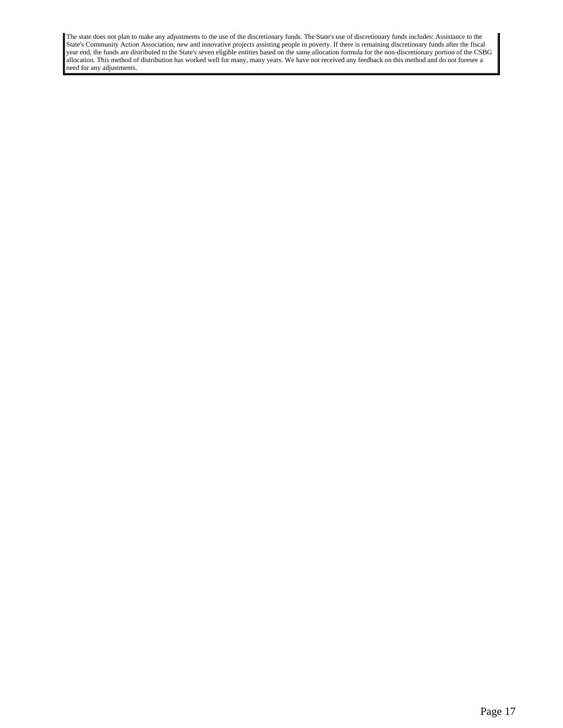The state does not plan to make any adjustments to the use of the discretionary funds. The State's use of discretionary funds includes: Assistance to the State's Community Action Association, new and innovative projects assisting people in poverty. If there is remaining discretionary funds after the fiscal year end, the funds are distributed to the State's seven eligible entities based on the same allocation formula for the non-discretionary portion of the CSBG allocation. This method of distribution has worked well for many, many years. We have not received any feedback on this method and do not foresee a need for any adjustments.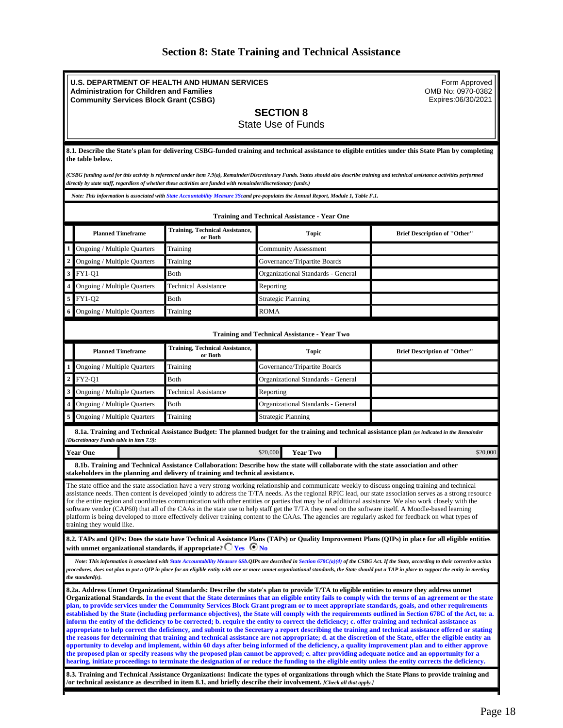|  |  |  |  |  |  | <b>Section 8: State Training and Technical Assistance</b> |
|--|--|--|--|--|--|-----------------------------------------------------------|
|--|--|--|--|--|--|-----------------------------------------------------------|

<span id="page-17-0"></span>

|                                                                                                                                                                                                                                                                                                                                                                                                                                                                                                                                                                                                                                                                                                                                                                                                                         | <b>U.S. DEPARTMENT OF HEALTH AND HUMAN SERVICES</b><br>Form Approved<br>OMB No: 0970-0382<br><b>Administration for Children and Families</b><br>Expires:06/30/2021<br><b>Community Services Block Grant (CSBG)</b>                                                                                                                                                                                              |                                                                                                                 |                                                                                                                                                                                                                                                                                                                                                                                                                                                                                                                                                                      |                                                                                                                                                                                                                                                                                                                                                                                                                                                                                                                                                                                                                                                                                                                                                                                                                                                                                                                                                                                                                                                                                                                                                                                                                                            |  |
|-------------------------------------------------------------------------------------------------------------------------------------------------------------------------------------------------------------------------------------------------------------------------------------------------------------------------------------------------------------------------------------------------------------------------------------------------------------------------------------------------------------------------------------------------------------------------------------------------------------------------------------------------------------------------------------------------------------------------------------------------------------------------------------------------------------------------|-----------------------------------------------------------------------------------------------------------------------------------------------------------------------------------------------------------------------------------------------------------------------------------------------------------------------------------------------------------------------------------------------------------------|-----------------------------------------------------------------------------------------------------------------|----------------------------------------------------------------------------------------------------------------------------------------------------------------------------------------------------------------------------------------------------------------------------------------------------------------------------------------------------------------------------------------------------------------------------------------------------------------------------------------------------------------------------------------------------------------------|--------------------------------------------------------------------------------------------------------------------------------------------------------------------------------------------------------------------------------------------------------------------------------------------------------------------------------------------------------------------------------------------------------------------------------------------------------------------------------------------------------------------------------------------------------------------------------------------------------------------------------------------------------------------------------------------------------------------------------------------------------------------------------------------------------------------------------------------------------------------------------------------------------------------------------------------------------------------------------------------------------------------------------------------------------------------------------------------------------------------------------------------------------------------------------------------------------------------------------------------|--|
|                                                                                                                                                                                                                                                                                                                                                                                                                                                                                                                                                                                                                                                                                                                                                                                                                         | <b>SECTION 8</b><br><b>State Use of Funds</b>                                                                                                                                                                                                                                                                                                                                                                   |                                                                                                                 |                                                                                                                                                                                                                                                                                                                                                                                                                                                                                                                                                                      |                                                                                                                                                                                                                                                                                                                                                                                                                                                                                                                                                                                                                                                                                                                                                                                                                                                                                                                                                                                                                                                                                                                                                                                                                                            |  |
|                                                                                                                                                                                                                                                                                                                                                                                                                                                                                                                                                                                                                                                                                                                                                                                                                         | the table below.                                                                                                                                                                                                                                                                                                                                                                                                |                                                                                                                 |                                                                                                                                                                                                                                                                                                                                                                                                                                                                                                                                                                      | 8.1. Describe the State's plan for delivering CSBG-funded training and technical assistance to eligible entities under this State Plan by completing                                                                                                                                                                                                                                                                                                                                                                                                                                                                                                                                                                                                                                                                                                                                                                                                                                                                                                                                                                                                                                                                                       |  |
|                                                                                                                                                                                                                                                                                                                                                                                                                                                                                                                                                                                                                                                                                                                                                                                                                         |                                                                                                                                                                                                                                                                                                                                                                                                                 | directly by state staff, regardless of whether these activities are funded with remainder/discretionary funds.) | (CSBG funding used for this activity is referenced under item 7.9(a), Remainder/Discretionary Funds. States should also describe training and technical assistance activities performed                                                                                                                                                                                                                                                                                                                                                                              |                                                                                                                                                                                                                                                                                                                                                                                                                                                                                                                                                                                                                                                                                                                                                                                                                                                                                                                                                                                                                                                                                                                                                                                                                                            |  |
|                                                                                                                                                                                                                                                                                                                                                                                                                                                                                                                                                                                                                                                                                                                                                                                                                         |                                                                                                                                                                                                                                                                                                                                                                                                                 |                                                                                                                 | Note: This information is associated with State Accountability Measure 3Scand pre-populates the Annual Report, Module 1, Table F.1.                                                                                                                                                                                                                                                                                                                                                                                                                                  |                                                                                                                                                                                                                                                                                                                                                                                                                                                                                                                                                                                                                                                                                                                                                                                                                                                                                                                                                                                                                                                                                                                                                                                                                                            |  |
|                                                                                                                                                                                                                                                                                                                                                                                                                                                                                                                                                                                                                                                                                                                                                                                                                         |                                                                                                                                                                                                                                                                                                                                                                                                                 |                                                                                                                 | <b>Training and Technical Assistance - Year One</b>                                                                                                                                                                                                                                                                                                                                                                                                                                                                                                                  |                                                                                                                                                                                                                                                                                                                                                                                                                                                                                                                                                                                                                                                                                                                                                                                                                                                                                                                                                                                                                                                                                                                                                                                                                                            |  |
|                                                                                                                                                                                                                                                                                                                                                                                                                                                                                                                                                                                                                                                                                                                                                                                                                         | <b>Planned Timeframe</b>                                                                                                                                                                                                                                                                                                                                                                                        | <b>Training, Technical Assistance,</b><br>or Both                                                               | <b>Topic</b>                                                                                                                                                                                                                                                                                                                                                                                                                                                                                                                                                         | <b>Brief Description of "Other"</b>                                                                                                                                                                                                                                                                                                                                                                                                                                                                                                                                                                                                                                                                                                                                                                                                                                                                                                                                                                                                                                                                                                                                                                                                        |  |
|                                                                                                                                                                                                                                                                                                                                                                                                                                                                                                                                                                                                                                                                                                                                                                                                                         | Ongoing / Multiple Quarters                                                                                                                                                                                                                                                                                                                                                                                     | Training                                                                                                        | <b>Community Assessment</b>                                                                                                                                                                                                                                                                                                                                                                                                                                                                                                                                          |                                                                                                                                                                                                                                                                                                                                                                                                                                                                                                                                                                                                                                                                                                                                                                                                                                                                                                                                                                                                                                                                                                                                                                                                                                            |  |
|                                                                                                                                                                                                                                                                                                                                                                                                                                                                                                                                                                                                                                                                                                                                                                                                                         | Ongoing / Multiple Quarters                                                                                                                                                                                                                                                                                                                                                                                     | Training                                                                                                        | Governance/Tripartite Boards                                                                                                                                                                                                                                                                                                                                                                                                                                                                                                                                         |                                                                                                                                                                                                                                                                                                                                                                                                                                                                                                                                                                                                                                                                                                                                                                                                                                                                                                                                                                                                                                                                                                                                                                                                                                            |  |
| $\overline{\mathbf{3}}$                                                                                                                                                                                                                                                                                                                                                                                                                                                                                                                                                                                                                                                                                                                                                                                                 | <b>FY1-Q1</b>                                                                                                                                                                                                                                                                                                                                                                                                   | Both                                                                                                            | Organizational Standards - General                                                                                                                                                                                                                                                                                                                                                                                                                                                                                                                                   |                                                                                                                                                                                                                                                                                                                                                                                                                                                                                                                                                                                                                                                                                                                                                                                                                                                                                                                                                                                                                                                                                                                                                                                                                                            |  |
|                                                                                                                                                                                                                                                                                                                                                                                                                                                                                                                                                                                                                                                                                                                                                                                                                         | Ongoing / Multiple Quarters                                                                                                                                                                                                                                                                                                                                                                                     | <b>Technical Assistance</b>                                                                                     | Reporting                                                                                                                                                                                                                                                                                                                                                                                                                                                                                                                                                            |                                                                                                                                                                                                                                                                                                                                                                                                                                                                                                                                                                                                                                                                                                                                                                                                                                                                                                                                                                                                                                                                                                                                                                                                                                            |  |
| 5                                                                                                                                                                                                                                                                                                                                                                                                                                                                                                                                                                                                                                                                                                                                                                                                                       | FY1-Q2                                                                                                                                                                                                                                                                                                                                                                                                          | Both                                                                                                            | <b>Strategic Planning</b>                                                                                                                                                                                                                                                                                                                                                                                                                                                                                                                                            |                                                                                                                                                                                                                                                                                                                                                                                                                                                                                                                                                                                                                                                                                                                                                                                                                                                                                                                                                                                                                                                                                                                                                                                                                                            |  |
| 6                                                                                                                                                                                                                                                                                                                                                                                                                                                                                                                                                                                                                                                                                                                                                                                                                       | Ongoing / Multiple Quarters                                                                                                                                                                                                                                                                                                                                                                                     | Training                                                                                                        | ROMA                                                                                                                                                                                                                                                                                                                                                                                                                                                                                                                                                                 |                                                                                                                                                                                                                                                                                                                                                                                                                                                                                                                                                                                                                                                                                                                                                                                                                                                                                                                                                                                                                                                                                                                                                                                                                                            |  |
|                                                                                                                                                                                                                                                                                                                                                                                                                                                                                                                                                                                                                                                                                                                                                                                                                         |                                                                                                                                                                                                                                                                                                                                                                                                                 |                                                                                                                 | <b>Training and Technical Assistance - Year Two</b>                                                                                                                                                                                                                                                                                                                                                                                                                                                                                                                  |                                                                                                                                                                                                                                                                                                                                                                                                                                                                                                                                                                                                                                                                                                                                                                                                                                                                                                                                                                                                                                                                                                                                                                                                                                            |  |
|                                                                                                                                                                                                                                                                                                                                                                                                                                                                                                                                                                                                                                                                                                                                                                                                                         | <b>Planned Timeframe</b>                                                                                                                                                                                                                                                                                                                                                                                        | <b>Training, Technical Assistance,</b><br>or Both                                                               | <b>Topic</b>                                                                                                                                                                                                                                                                                                                                                                                                                                                                                                                                                         | <b>Brief Description of "Other"</b>                                                                                                                                                                                                                                                                                                                                                                                                                                                                                                                                                                                                                                                                                                                                                                                                                                                                                                                                                                                                                                                                                                                                                                                                        |  |
|                                                                                                                                                                                                                                                                                                                                                                                                                                                                                                                                                                                                                                                                                                                                                                                                                         | Ongoing / Multiple Quarters                                                                                                                                                                                                                                                                                                                                                                                     | Training                                                                                                        | Governance/Tripartite Boards                                                                                                                                                                                                                                                                                                                                                                                                                                                                                                                                         |                                                                                                                                                                                                                                                                                                                                                                                                                                                                                                                                                                                                                                                                                                                                                                                                                                                                                                                                                                                                                                                                                                                                                                                                                                            |  |
| $\overline{2}$                                                                                                                                                                                                                                                                                                                                                                                                                                                                                                                                                                                                                                                                                                                                                                                                          | <b>FY2-Q1</b>                                                                                                                                                                                                                                                                                                                                                                                                   | Both                                                                                                            | Organizational Standards - General                                                                                                                                                                                                                                                                                                                                                                                                                                                                                                                                   |                                                                                                                                                                                                                                                                                                                                                                                                                                                                                                                                                                                                                                                                                                                                                                                                                                                                                                                                                                                                                                                                                                                                                                                                                                            |  |
|                                                                                                                                                                                                                                                                                                                                                                                                                                                                                                                                                                                                                                                                                                                                                                                                                         | Ongoing / Multiple Quarters                                                                                                                                                                                                                                                                                                                                                                                     | <b>Technical Assistance</b>                                                                                     | Reporting                                                                                                                                                                                                                                                                                                                                                                                                                                                                                                                                                            |                                                                                                                                                                                                                                                                                                                                                                                                                                                                                                                                                                                                                                                                                                                                                                                                                                                                                                                                                                                                                                                                                                                                                                                                                                            |  |
|                                                                                                                                                                                                                                                                                                                                                                                                                                                                                                                                                                                                                                                                                                                                                                                                                         | Ongoing / Multiple Quarters                                                                                                                                                                                                                                                                                                                                                                                     | Both                                                                                                            | Organizational Standards - General                                                                                                                                                                                                                                                                                                                                                                                                                                                                                                                                   |                                                                                                                                                                                                                                                                                                                                                                                                                                                                                                                                                                                                                                                                                                                                                                                                                                                                                                                                                                                                                                                                                                                                                                                                                                            |  |
| 5                                                                                                                                                                                                                                                                                                                                                                                                                                                                                                                                                                                                                                                                                                                                                                                                                       | Ongoing / Multiple Quarters                                                                                                                                                                                                                                                                                                                                                                                     | Training                                                                                                        | <b>Strategic Planning</b>                                                                                                                                                                                                                                                                                                                                                                                                                                                                                                                                            |                                                                                                                                                                                                                                                                                                                                                                                                                                                                                                                                                                                                                                                                                                                                                                                                                                                                                                                                                                                                                                                                                                                                                                                                                                            |  |
|                                                                                                                                                                                                                                                                                                                                                                                                                                                                                                                                                                                                                                                                                                                                                                                                                         | /Discretionary Funds table in item 7.9):                                                                                                                                                                                                                                                                                                                                                                        |                                                                                                                 | 8.1a. Training and Technical Assistance Budget: The planned budget for the training and technical assistance plan (as indicated in the Remainder                                                                                                                                                                                                                                                                                                                                                                                                                     |                                                                                                                                                                                                                                                                                                                                                                                                                                                                                                                                                                                                                                                                                                                                                                                                                                                                                                                                                                                                                                                                                                                                                                                                                                            |  |
| <b>Year One</b><br>\$20,000<br><b>Year Two</b><br>\$20,000                                                                                                                                                                                                                                                                                                                                                                                                                                                                                                                                                                                                                                                                                                                                                              |                                                                                                                                                                                                                                                                                                                                                                                                                 |                                                                                                                 |                                                                                                                                                                                                                                                                                                                                                                                                                                                                                                                                                                      |                                                                                                                                                                                                                                                                                                                                                                                                                                                                                                                                                                                                                                                                                                                                                                                                                                                                                                                                                                                                                                                                                                                                                                                                                                            |  |
| 8.1b. Training and Technical Assistance Collaboration: Describe how the state will collaborate with the state association and other<br>stakeholders in the planning and delivery of training and technical assistance.                                                                                                                                                                                                                                                                                                                                                                                                                                                                                                                                                                                                  |                                                                                                                                                                                                                                                                                                                                                                                                                 |                                                                                                                 |                                                                                                                                                                                                                                                                                                                                                                                                                                                                                                                                                                      |                                                                                                                                                                                                                                                                                                                                                                                                                                                                                                                                                                                                                                                                                                                                                                                                                                                                                                                                                                                                                                                                                                                                                                                                                                            |  |
| The state office and the state association have a very strong working relationship and communicate weekly to discuss ongoing training and technical<br>assistance needs. Then content is developed jointly to address the T/TA needs. As the regional RPIC lead, our state association serves as a strong resource<br>for the entire region and coordinates communication with other entities or parties that may be of additional assistance. We also work closely with the<br>software vendor (CAP60) that all of the CAAs in the state use to help staff get the T/TA they need on the software itself. A Moodle-based learning<br>platform is being developed to more effectively deliver training content to the CAAs. The agencies are regularly asked for feedback on what types of<br>training they would like. |                                                                                                                                                                                                                                                                                                                                                                                                                 |                                                                                                                 |                                                                                                                                                                                                                                                                                                                                                                                                                                                                                                                                                                      |                                                                                                                                                                                                                                                                                                                                                                                                                                                                                                                                                                                                                                                                                                                                                                                                                                                                                                                                                                                                                                                                                                                                                                                                                                            |  |
|                                                                                                                                                                                                                                                                                                                                                                                                                                                                                                                                                                                                                                                                                                                                                                                                                         |                                                                                                                                                                                                                                                                                                                                                                                                                 | with unmet organizational standards, if appropriate? $\Box$ Yes $\Box$ No                                       |                                                                                                                                                                                                                                                                                                                                                                                                                                                                                                                                                                      | 8.2. TAPs and QIPs: Does the state have Technical Assistance Plans (TAPs) or Quality Improvement Plans (QIPs) in place for all eligible entities                                                                                                                                                                                                                                                                                                                                                                                                                                                                                                                                                                                                                                                                                                                                                                                                                                                                                                                                                                                                                                                                                           |  |
|                                                                                                                                                                                                                                                                                                                                                                                                                                                                                                                                                                                                                                                                                                                                                                                                                         | Note: This information is associated with State Accountability Measure 6Sb.QIPs are described in Section 678C(a)(4) of the CSBG Act. If the State, according to their corrective action<br>procedures, does not plan to put a QIP in place for an eligible entity with one or more unmet organizational standards, the State should put a TAP in place to support the entity in meeting<br>the standard $(s)$ . |                                                                                                                 |                                                                                                                                                                                                                                                                                                                                                                                                                                                                                                                                                                      |                                                                                                                                                                                                                                                                                                                                                                                                                                                                                                                                                                                                                                                                                                                                                                                                                                                                                                                                                                                                                                                                                                                                                                                                                                            |  |
|                                                                                                                                                                                                                                                                                                                                                                                                                                                                                                                                                                                                                                                                                                                                                                                                                         |                                                                                                                                                                                                                                                                                                                                                                                                                 |                                                                                                                 | 8.2a. Address Unmet Organizational Standards: Describe the state's plan to provide T/TA to eligible entities to ensure they address unmet<br>inform the entity of the deficiency to be corrected; b. require the entity to correct the deficiency; c. offer training and technical assistance as<br>the proposed plan or specify reasons why the proposed plan cannot be approved; e. after providing adequate notice and an opportunity for a<br>/or technical assistance as described in item 8.1, and briefly describe their involvement. [Check all that apply.] | Organizational Standards. In the event that the State determines that an eligible entity fails to comply with the terms of an agreement or the state<br>plan, to provide services under the Community Services Block Grant program or to meet appropriate standards, goals, and other requirements<br>established by the State (including performance objectives), the State will comply with the requirements outlined in Section 678C of the Act, to: a.<br>appropriate to help correct the deficiency, and submit to the Secretary a report describing the training and technical assistance offered or stating<br>the reasons for determining that training and technical assistance are not appropriate; d. at the discretion of the State, offer the eligible entity an<br>opportunity to develop and implement, within 60 days after being informed of the deficiency, a quality improvement plan and to either approve<br>hearing, initiate proceedings to terminate the designation of or reduce the funding to the eligible entity unless the entity corrects the deficiency.<br>8.3. Training and Technical Assistance Organizations: Indicate the types of organizations through which the State Plans to provide training and |  |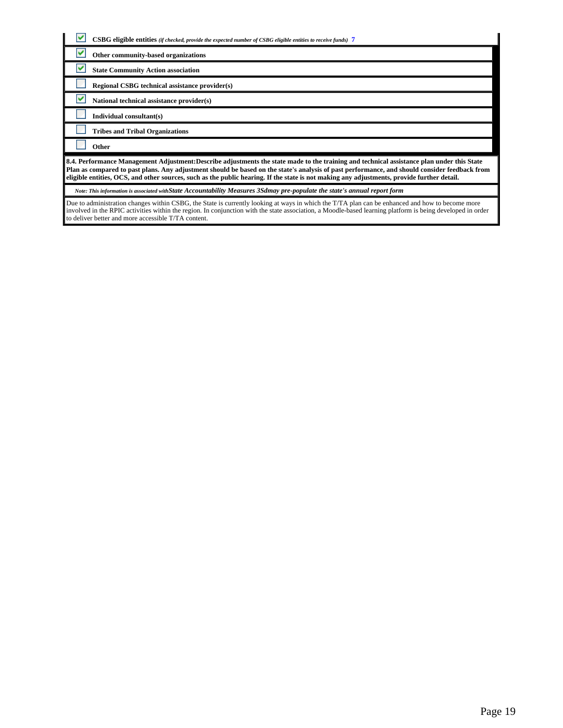| <b>CSBG</b> eligible entities (if checked, provide the expected number of CSBG eligible entities to receive funds) 7                                                                                                                                                                                                                                                                                                                      |
|-------------------------------------------------------------------------------------------------------------------------------------------------------------------------------------------------------------------------------------------------------------------------------------------------------------------------------------------------------------------------------------------------------------------------------------------|
| v<br>Other community-based organizations                                                                                                                                                                                                                                                                                                                                                                                                  |
| v<br><b>State Community Action association</b>                                                                                                                                                                                                                                                                                                                                                                                            |
| Regional CSBG technical assistance provider(s)                                                                                                                                                                                                                                                                                                                                                                                            |
| National technical assistance provider(s)                                                                                                                                                                                                                                                                                                                                                                                                 |
| Individual consultant(s)                                                                                                                                                                                                                                                                                                                                                                                                                  |
| <b>Tribes and Tribal Organizations</b>                                                                                                                                                                                                                                                                                                                                                                                                    |
| Other                                                                                                                                                                                                                                                                                                                                                                                                                                     |
| 8.4. Performance Management Adjustment: Describe adjustments the state made to the training and technical assistance plan under this State<br>Plan as compared to past plans. Any adjustment should be based on the state's analysis of past performance, and should consider feedback from<br>eligible entities, OCS, and other sources, such as the public hearing. If the state is not making any adjustments, provide further detail. |
| Note: This information is associated withState Accountability Measures 3Sdmay pre-populate the state's annual report form                                                                                                                                                                                                                                                                                                                 |
| Due to administration changes within CSBG, the State is currently looking at ways in which the T/TA plan can be enhanced and how to become more<br>involved in the RPIC activities within the region. In conjunction with the state association, a Moodle-based learning platform is being developed in order<br>to deliver better and more accessible T/TA content.                                                                      |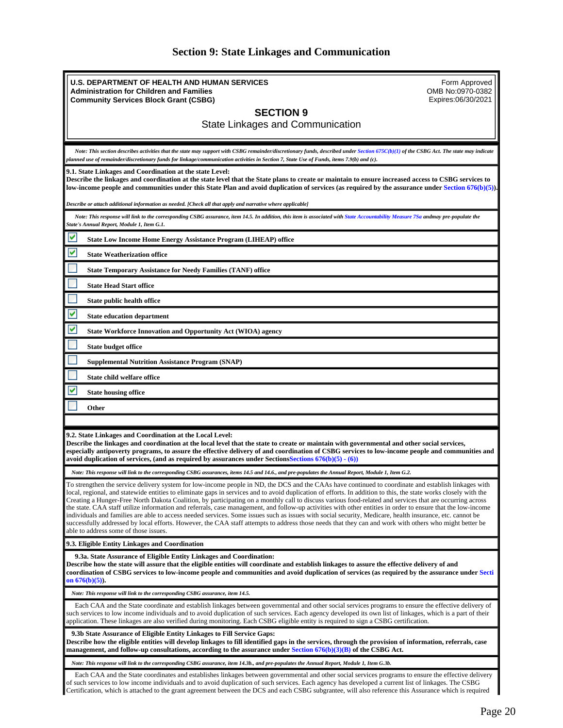| <b>Section 9: State Linkages and Communication</b> |  |  |  |  |  |
|----------------------------------------------------|--|--|--|--|--|
|----------------------------------------------------|--|--|--|--|--|

<span id="page-19-0"></span>

| U.S. DEPARTMENT OF HEALTH AND HUMAN SERVICES<br>Form Approved<br>OMB No:0970-0382<br><b>Administration for Children and Families</b><br>Expires:06/30/2021<br><b>Community Services Block Grant (CSBG)</b>                                                                                                                                                                                                                                                                                                                                                                                                                                                                                                                                                                                                                                                                                                                                                                                                          |
|---------------------------------------------------------------------------------------------------------------------------------------------------------------------------------------------------------------------------------------------------------------------------------------------------------------------------------------------------------------------------------------------------------------------------------------------------------------------------------------------------------------------------------------------------------------------------------------------------------------------------------------------------------------------------------------------------------------------------------------------------------------------------------------------------------------------------------------------------------------------------------------------------------------------------------------------------------------------------------------------------------------------|
| <b>SECTION 9</b>                                                                                                                                                                                                                                                                                                                                                                                                                                                                                                                                                                                                                                                                                                                                                                                                                                                                                                                                                                                                    |
| State Linkages and Communication                                                                                                                                                                                                                                                                                                                                                                                                                                                                                                                                                                                                                                                                                                                                                                                                                                                                                                                                                                                    |
|                                                                                                                                                                                                                                                                                                                                                                                                                                                                                                                                                                                                                                                                                                                                                                                                                                                                                                                                                                                                                     |
| Note: This section describes activities that the state may support with CSBG remainder/discretionary funds, described under Section 675C(b)(1) of the CSBG Act. The state may indicate<br>planned use of remainder/discretionary funds for linkage/communication activities in Section 7, State Use of Funds, items 7.9(b) and (c).                                                                                                                                                                                                                                                                                                                                                                                                                                                                                                                                                                                                                                                                                 |
| 9.1. State Linkages and Coordination at the state Level:<br>Describe the linkages and coordination at the state level that the State plans to create or maintain to ensure increased access to CSBG services to<br>low-income people and communities under this State Plan and avoid duplication of services (as required by the assurance under Section 676(b)(5)).                                                                                                                                                                                                                                                                                                                                                                                                                                                                                                                                                                                                                                                |
| [Describe or attach additional information as needed. [Check all that apply and narrative where applicable                                                                                                                                                                                                                                                                                                                                                                                                                                                                                                                                                                                                                                                                                                                                                                                                                                                                                                          |
| Note: This response will link to the corresponding CSBG assurance, item 14.5. In addition, this item is associated with State Accountability Measure 7Sa andmay pre-populate the<br>State's Annual Report, Module 1, Item G.1.                                                                                                                                                                                                                                                                                                                                                                                                                                                                                                                                                                                                                                                                                                                                                                                      |
| v<br><b>State Low Income Home Energy Assistance Program (LIHEAP) office</b>                                                                                                                                                                                                                                                                                                                                                                                                                                                                                                                                                                                                                                                                                                                                                                                                                                                                                                                                         |
| v<br><b>State Weatherization office</b>                                                                                                                                                                                                                                                                                                                                                                                                                                                                                                                                                                                                                                                                                                                                                                                                                                                                                                                                                                             |
| <b>State Temporary Assistance for Needy Families (TANF) office</b>                                                                                                                                                                                                                                                                                                                                                                                                                                                                                                                                                                                                                                                                                                                                                                                                                                                                                                                                                  |
| <b>State Head Start office</b>                                                                                                                                                                                                                                                                                                                                                                                                                                                                                                                                                                                                                                                                                                                                                                                                                                                                                                                                                                                      |
| State public health office                                                                                                                                                                                                                                                                                                                                                                                                                                                                                                                                                                                                                                                                                                                                                                                                                                                                                                                                                                                          |
| V<br><b>State education department</b>                                                                                                                                                                                                                                                                                                                                                                                                                                                                                                                                                                                                                                                                                                                                                                                                                                                                                                                                                                              |
| ⊻<br><b>State Workforce Innovation and Opportunity Act (WIOA) agency</b>                                                                                                                                                                                                                                                                                                                                                                                                                                                                                                                                                                                                                                                                                                                                                                                                                                                                                                                                            |
| State budget office                                                                                                                                                                                                                                                                                                                                                                                                                                                                                                                                                                                                                                                                                                                                                                                                                                                                                                                                                                                                 |
| <b>Supplemental Nutrition Assistance Program (SNAP)</b>                                                                                                                                                                                                                                                                                                                                                                                                                                                                                                                                                                                                                                                                                                                                                                                                                                                                                                                                                             |
| State child welfare office                                                                                                                                                                                                                                                                                                                                                                                                                                                                                                                                                                                                                                                                                                                                                                                                                                                                                                                                                                                          |
|                                                                                                                                                                                                                                                                                                                                                                                                                                                                                                                                                                                                                                                                                                                                                                                                                                                                                                                                                                                                                     |
| <b>State housing office</b>                                                                                                                                                                                                                                                                                                                                                                                                                                                                                                                                                                                                                                                                                                                                                                                                                                                                                                                                                                                         |
| Other                                                                                                                                                                                                                                                                                                                                                                                                                                                                                                                                                                                                                                                                                                                                                                                                                                                                                                                                                                                                               |
|                                                                                                                                                                                                                                                                                                                                                                                                                                                                                                                                                                                                                                                                                                                                                                                                                                                                                                                                                                                                                     |
| 9.2. State Linkages and Coordination at the Local Level:<br>Describe the linkages and coordination at the local level that the state to create or maintain with governmental and other social services,<br>especially antipoverty programs, to assure the effective delivery of and coordination of CSBG services to low-income people and communities and<br>avoid duplication of services, (and as required by assurances under Sections Sections $676(b)(5) \cdot (6)$ )                                                                                                                                                                                                                                                                                                                                                                                                                                                                                                                                         |
| Note: This response will link to the corresponding CSBG assurances, items 14.5 and 14.6., and pre-populates the Annual Report, Module 1, Item G.2.                                                                                                                                                                                                                                                                                                                                                                                                                                                                                                                                                                                                                                                                                                                                                                                                                                                                  |
| To strengthen the service delivery system for low-income people in ND, the DCS and the CAAs have continued to coordinate and establish linkages with<br>local, regional, and statewide entities to eliminate gaps in services and to avoid duplication of efforts. In addition to this, the state works closely with the<br>Creating a Hunger-Free North Dakota Coalition, by participating on a monthly call to discuss various food-related and services that are occurring across<br>the state. CAA staff utilize information and referrals, case management, and follow-up activities with other entities in order to ensure that the low-income<br>individuals and families are able to access needed services. Some issues such as issues with social security, Medicare, health insurance, etc. cannot be<br>successfully addressed by local efforts. However, the CAA staff attempts to address those needs that they can and work with others who might better be<br>able to address some of those issues. |
| 9.3. Eligible Entity Linkages and Coordination                                                                                                                                                                                                                                                                                                                                                                                                                                                                                                                                                                                                                                                                                                                                                                                                                                                                                                                                                                      |
| 9.3a. State Assurance of Eligible Entity Linkages and Coordination:<br>Describe how the state will assure that the eligible entities will coordinate and establish linkages to assure the effective delivery of and<br>coordination of CSBG services to low-income people and communities and avoid duplication of services (as required by the assurance under Secti<br>on $676(b)(5)$ ).                                                                                                                                                                                                                                                                                                                                                                                                                                                                                                                                                                                                                          |
| Note: This response will link to the corresponding CSBG assurance, item 14.5.                                                                                                                                                                                                                                                                                                                                                                                                                                                                                                                                                                                                                                                                                                                                                                                                                                                                                                                                       |
| Each CAA and the State coordinate and establish linkages between governmental and other social services programs to ensure the effective delivery of<br>such services to low income individuals and to avoid duplication of such services. Each agency developed its own list of linkages, which is a part of their<br>application. These linkages are also verified during monitoring. Each CSBG eligible entity is required to sign a CSBG certification.                                                                                                                                                                                                                                                                                                                                                                                                                                                                                                                                                         |
| 9.3b State Assurance of Eligible Entity Linkages to Fill Service Gaps:<br>Describe how the eligible entities will develop linkages to fill identified gaps in the services, through the provision of information, referrals, case<br>management, and follow-up consultations, according to the assurance under Section 676(b)(3)(B) of the CSBG Act.                                                                                                                                                                                                                                                                                                                                                                                                                                                                                                                                                                                                                                                                |
| Note: This response will link to the corresponding CSBG assurance, item 14.3b., and pre-populates the Annual Report, Module 1, Item G.3b.                                                                                                                                                                                                                                                                                                                                                                                                                                                                                                                                                                                                                                                                                                                                                                                                                                                                           |
| Each CAA and the State coordinates and establishes linkages between governmental and other social services programs to ensure the effective delivery<br>of such services to low income individuals and to avoid duplication of such services. Each agency has developed a current list of linkages. The CSBG                                                                                                                                                                                                                                                                                                                                                                                                                                                                                                                                                                                                                                                                                                        |

Certification, which is attached to the grant agreement between the DCS and each CSBG subgrantee, will also reference this Assurance which is required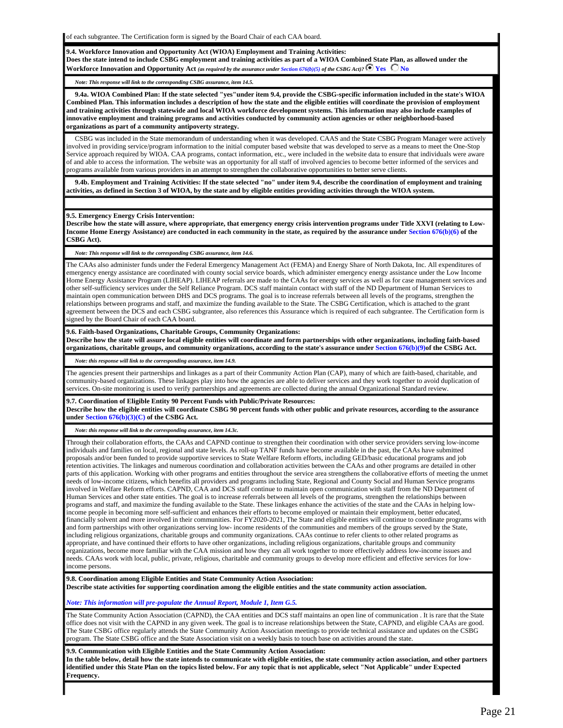of each subgrantee. The Certification form is signed by the Board Chair of each CAA board.

**9.4. Workforce Innovation and Opportunity Act (WIOA) Employment and Training Activities: Does the state intend to include CSBG employment and training activities as part of a WIOA Combined State Plan, as allowed under the Workforce Innovation and Opportunity Act** *(as required by the assurance under Section 676(b)(5) of the CSBG Act)?*  $\bullet$  Yes  $\bullet$  No

*Note: This response will link to the corresponding CSBG assurance, item 14.5.*

 **9.4a. WIOA Combined Plan: If the state selected "yes"under item 9.4, provide the CSBG-specific information included in the state's WIOA Combined Plan. This information includes a description of how the state and the eligible entities will coordinate the provision of employment and training activities through statewide and local WIOA workforce development systems. This information may also include examples of innovative employment and training programs and activities conducted by community action agencies or other neighborhood-based organizations as part of a community antipoverty strategy.**

 CSBG was included in the State memorandum of understanding when it was developed. CAAS and the State CSBG Program Manager were actively involved in providing service/program information to the initial computer based website that was developed to serve as a means to meet the One-Stop Service approach required by WIOA. CAA programs, contact information, etc., were included in the website data to ensure that individuals were aware of and able to access the information. The website was an opportunity for all staff of involved agencies to become better informed of the services and programs available from various providers in an attempt to strengthen the collaborative opportunities to better serve clients.

 **9.4b. Employment and Training Activities: If the state selected "no" under item 9.4, describe the coordination of employment and training activities, as defined in Section 3 of WIOA, by the state and by eligible entities providing activities through the WIOA system.**

### **9.5. Emergency Energy Crisis Intervention:**

**Describe how the state will assure, where appropriate, that emergency energy crisis intervention programs under Title XXVI (relating to Low-Income Home Energy Assistance) are conducted in each community in the state, as required by the assurance under Section 676(b)(6) of the CSBG Act).**

*Note: This response will link to the corresponding CSBG assurance, item 14.6.*

The CAAs also administer funds under the Federal Emergency Management Act (FEMA) and Energy Share of North Dakota, Inc. All expenditures of emergency energy assistance are coordinated with county social service boards, which administer emergency energy assistance under the Low Income Home Energy Assistance Program (LIHEAP). LIHEAP referrals are made to the CAAs for energy services as well as for case management services and other self-sufficiency services under the Self Reliance Program. DCS staff maintain contact with staff of the ND Department of Human Services to maintain open communication between DHS and DCS programs. The goal is to increase referrals between all levels of the programs, strengthen the relationships between programs and staff, and maximize the funding available to the State. The CSBG Certification, which is attached to the grant agreement between the DCS and each CSBG subgrantee, also references this Assurance which is required of each subgrantee. The Certification form is signed by the Board Chair of each CAA board.

### **9.6. Faith-based Organizations, Charitable Groups, Community Organizations:**

**Describe how the state will assure local eligible entities will coordinate and form partnerships with other organizations, including faith-based organizations, charitable groups, and community organizations, according to the state's assurance under Section 676(b)(9)of the CSBG Act.**

*Note: this response will link to the corresponding assurance, item 14.9.*

The agencies present their partnerships and linkages as a part of their Community Action Plan (CAP), many of which are faith-based, charitable, and community-based organizations. These linkages play into how the agencies are able to deliver services and they work together to avoid duplication of services. On-site monitoring is used to verify partnerships and agreements are collected during the annual Organizational Standard review.

## **9.7. Coordination of Eligible Entity 90 Percent Funds with Public/Private Resources:**

**Describe how the eligible entities will coordinate CSBG 90 percent funds with other public and private resources, according to the assurance under Section 676(b)(3)(C) of the CSBG Act.**

*Note: this response will link to the corresponding assurance, item 14.3c.*

Through their collaboration efforts, the CAAs and CAPND continue to strengthen their coordination with other service providers serving low-income individuals and families on local, regional and state levels. As roll-up TANF funds have become available in the past, the CAAs have submitted proposals and/or been funded to provide supportive services to State Welfare Reform efforts, including GED/basic educational programs and job retention activities. The linkages and numerous coordination and collaboration activities between the CAAs and other programs are detailed in other parts of this application. Working with other programs and entities throughout the service area strengthens the collaborative efforts of meeting the unmet needs of low-income citizens, which benefits all providers and programs including State, Regional and County Social and Human Service programs involved in Welfare Reform efforts. CAPND, CAA and DCS staff continue to maintain open communication with staff from the ND Department of Human Services and other state entities. The goal is to increase referrals between all levels of the programs, strengthen the relationships between programs and staff, and maximize the funding available to the State. These linkages enhance the activities of the state and the CAAs in helping lowincome people in becoming more self-sufficient and enhances their efforts to become employed or maintain their employment, better educated, financially solvent and more involved in their communities. For FY2020-2021, The State and eligible entities will continue to coordinate programs with and form partnerships with other organizations serving low- income residents of the communities and members of the groups served by the State, including religious organizations, charitable groups and community organizations. CAAs continue to refer clients to other related programs as appropriate, and have continued their efforts to have other organizations, including religious organizations, charitable groups and community organizations, become more familiar with the CAA mission and how they can all work together to more effectively address low-income issues and needs. CAAs work with local, public, private, religious, charitable and community groups to develop more efficient and effective services for lowincome persons.

**9.8. Coordination among Eligible Entities and State Community Action Association: Describe state activities for supporting coordination among the eligible entities and the state community action association.**

*Note: This information will pre-populate the Annual Report, Module 1, Item G.5.*

The State Community Action Association (CAPND), the CAA entities and DCS staff maintains an open line of communication . It is rare that the State office does not visit with the CAPND in any given week. The goal is to increase relationships between the State, CAPND, and eligible CAAs are good. The State CSBG office regularly attends the State Community Action Association meetings to provide technical assistance and updates on the CSBG program. The State CSBG office and the State Association visit on a weekly basis to touch base on activities around the state.

## **9.9. Communication with Eligible Entities and the State Community Action Association:**

**In the table below, detail how the state intends to communicate with eligible entities, the state community action association, and other partners identified under this State Plan on the topics listed below. For any topic that is not applicable, select "Not Applicable" under Expected Frequency.**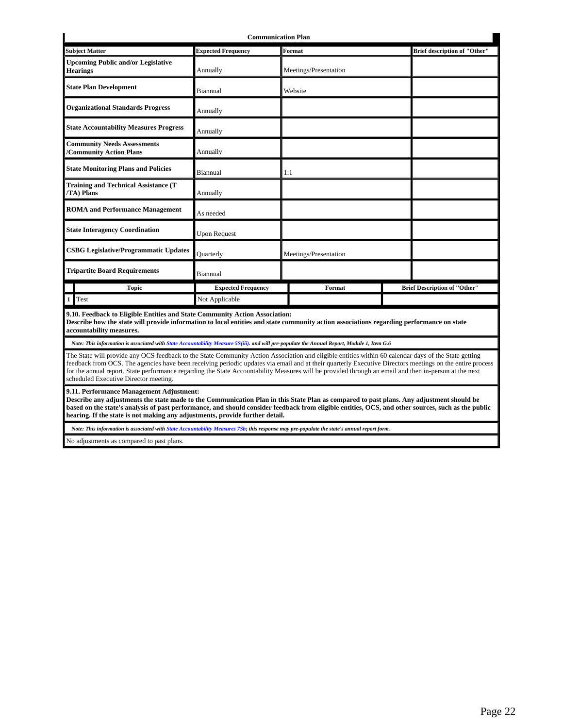| <b>Communication Plan</b>                                                   |                           |                       |                                     |  |  |
|-----------------------------------------------------------------------------|---------------------------|-----------------------|-------------------------------------|--|--|
| <b>Subject Matter</b>                                                       | <b>Expected Frequency</b> | Format                | <b>Brief description of "Other"</b> |  |  |
| <b>Upcoming Public and/or Legislative</b><br><b>Hearings</b>                | Annually                  | Meetings/Presentation |                                     |  |  |
| <b>State Plan Development</b>                                               | Biannual                  | Website               |                                     |  |  |
| <b>Organizational Standards Progress</b>                                    | Annually                  |                       |                                     |  |  |
| <b>State Accountability Measures Progress</b>                               | Annually                  |                       |                                     |  |  |
| <b>Community Needs Assessments</b><br>/Community Action Plans               | Annually                  |                       |                                     |  |  |
| <b>State Monitoring Plans and Policies</b>                                  | Biannual                  | 1:1                   |                                     |  |  |
| <b>Training and Technical Assistance (T</b><br>/TA) Plans                   | Annually                  |                       |                                     |  |  |
| <b>ROMA</b> and Performance Management                                      | As needed                 |                       |                                     |  |  |
| <b>State Interagency Coordination</b>                                       | <b>Upon Request</b>       |                       |                                     |  |  |
| <b>CSBG Legislative/Programmatic Updates</b>                                | Quarterly                 | Meetings/Presentation |                                     |  |  |
| <b>Tripartite Board Requirements</b>                                        | Biannual                  |                       |                                     |  |  |
| <b>Topic</b>                                                                | <b>Expected Frequency</b> | Format                | <b>Brief Description of "Other"</b> |  |  |
| Test<br>1 <sup>1</sup>                                                      | Not Applicable            |                       |                                     |  |  |
| 9.10. Feedback to Eligible Entities and State Community Action Association: |                           |                       |                                     |  |  |

**9.10. Feedback to Eligible Entities and State Community Action Association:**

**Describe how the state will provide information to local entities and state community action associations regarding performance on state accountability measures.**

*Note: This information is associated with State Accountability Measure 5S(iii). and will pre-populate the Annual Report, Module 1, Item G.6*

The State will provide any OCS feedback to the State Community Action Association and eligible entities within 60 calendar days of the State getting feedback from OCS. The agencies have been receiving periodic updates via email and at their quarterly Executive Directors meetings on the entire process for the annual report. State performance regarding the State Accountability Measures will be provided through an email and then in-person at the next scheduled Executive Director meeting.

**9.11. Performance Management Adjustment:**

**Describe any adjustments the state made to the Communication Plan in this State Plan as compared to past plans. Any adjustment should be based on the state's analysis of past performance, and should consider feedback from eligible entities, OCS, and other sources, such as the public hearing. If the state is not making any adjustments, provide further detail.**

*Note: This information is associated with State Accountability Measures 7Sb; this response may pre-populate the state's annual report form.*

No adjustments as compared to past plans.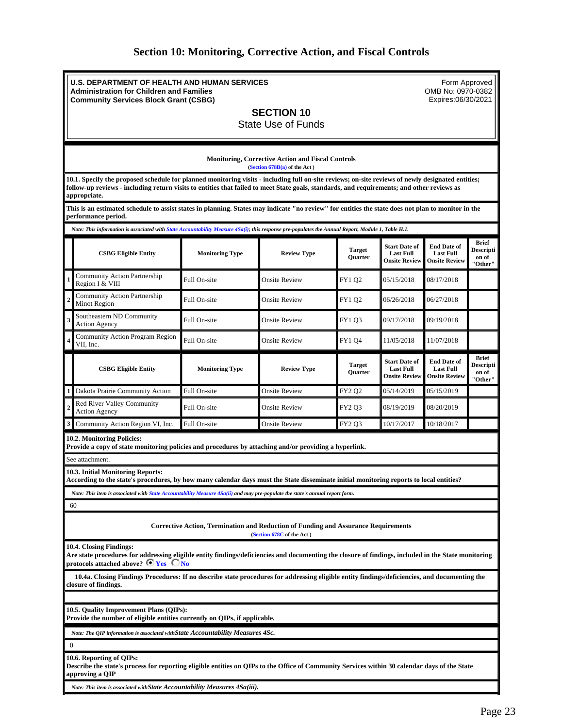## **Section 10: Monitoring, Corrective Action, and Fiscal Controls**

<span id="page-22-0"></span>**U.S. DEPARTMENT OF HEALTH AND HUMAN SERVICES Administration for Children and Families Community Services Block Grant (CSBG)**

Form Approved OMB No: 0970-0382 Expires:06/30/2021

**SECTION 10**

State Use of Funds

**Monitoring, Corrective Action and Fiscal Controls (Section 678B(a) of the Act ) 10.1. Specify the proposed schedule for planned monitoring visits - including full on-site reviews; on-site reviews of newly designated entities; follow-up reviews - including return visits to entities that failed to meet State goals, standards, and requirements; and other reviews as appropriate. This is an estimated schedule to assist states in planning. States may indicate "no review" for entities the state does not plan to monitor in the performance period.** *Note: This information is associated with State Accountability Measure 4Sa(i); this response pre-populates the Annual Report, Module 1, Table H.1.* **CSBG Eligible Entity Monitoring Type Review Type Target Quarter Start Date of Last Full Onsite Review End Date of Last Full Onsite Review Brief Descripti on of "Other" Community Action Partnership**<br>Region I & VIII Community Action I at the Singh Tell On-site Community Action I & VIII COMENCIL CONSIDERATION CONSIDERATION CON<br>Region I & VIII **<sup>2</sup>** Community Action Partnership Community Action Fathership Full On-site **Community Community Action Full On-site** On-site **Community Action** 1 and 27/2018 **<sup>3</sup>** Southeastern ND Community South Agency **Full On-site** Onsite Review FY1 Q3 09/17/2018 09/19/2018 09/19/2018 **<sup>4</sup>** Community Action Program Region UII, Inc. FV1 Q4  $\parallel$  11/05/2018 11/07/2018 11/07/2018 FULL On-site  $\parallel$  Onsite Review FY1 Q4  $\parallel$  11/05/2018 11/07/2018 **CSBG Eligible Entity Monitoring Type Review Type Target Quarter Start Date of Last Full Onsite Review End Date of Last Full Onsite Review Brief Descripti on of "Other" Dakota Prairie Community Action** Full On-site **Numerical Constant Community Action** FY2 Q2 05/14/2019 05/15/2019 **<sup>2</sup>** Red River Valley Community Action Agency Community Full On-site Consite Review FY2 Q3 08/19/2019 08/20/2019 **Community Action Region VI, Inc.** FIGURE FULL On-site **FIGURE Review** FY2 Q3 10/17/2017 10/18/2017 **10.2. Monitoring Policies: Provide a copy of state monitoring policies and procedures by attaching and/or providing a hyperlink.** See attachment. **10.3. Initial Monitoring Reports: According to the state's procedures, by how many calendar days must the State disseminate initial monitoring reports to local entities?** *Note: This item is associated with State Accountability Measure 4Sa(ii) and may pre-populate the state's annual report form.* 60 **Corrective Action, Termination and Reduction of Funding and Assurance Requirements (Section 678C of the Act ) 10.4. Closing Findings: Are state procedures for addressing eligible entity findings/deficiencies and documenting the closure of findings, included in the State monitoring** 

protocols attached above? **F** Yes C No

 **10.4a. Closing Findings Procedures: If no describe state procedures for addressing eligible entity findings/deficiencies, and documenting the closure of findings.**

**10.5. Quality Improvement Plans (QIPs):**

**Provide the number of eligible entities currently on QIPs, if applicable.**

*Note: The QIP information is associated withState Accountability Measures 4Sc.*

0

### **10.6. Reporting of QIPs:**

**Describe the state's process for reporting eligible entities on QIPs to the Office of Community Services within 30 calendar days of the State approving a QIP**

*Note: This item is associated withState Accountability Measures 4Sa(iii).*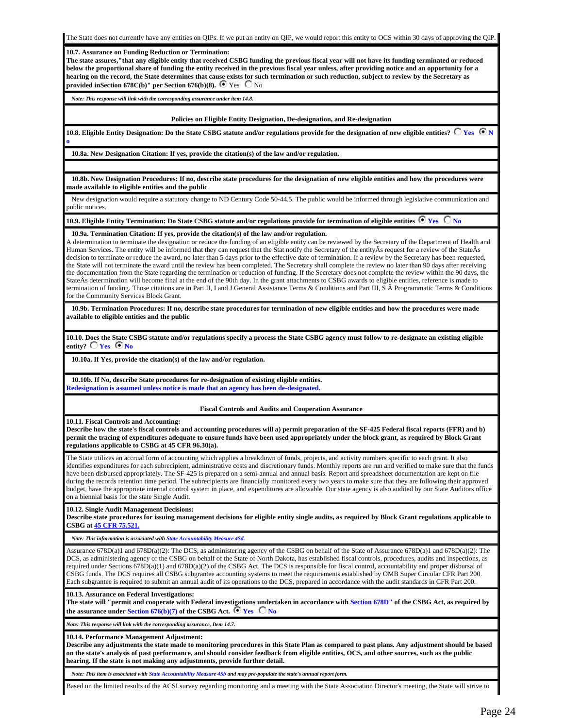#### **10.7. Assurance on Funding Reduction or Termination:**

**The state assures,"that any eligible entity that received CSBG funding the previous fiscal year will not have its funding terminated or reduced below the proportional share of funding the entity received in the previous fiscal year unless, after providing notice and an opportunity for a hearing on the record, the State determines that cause exists for such termination or such reduction, subject to review by the Secretary as provided inSection 678C(b)**" per Section 676(b)(8).  $\bullet$  Yes  $\bullet$  No

*Note: This response will link with the corresponding assurance under item 14.8.*

#### **Policies on Eligible Entity Designation, De-designation, and Re-designation**

10.8. Eligible Entity Designation: Do the State CSBG statute and/or regulations provide for the designation of new eligible entities?  $\bigcirc$  Yes  $\,\bigcirc$  N **o** 

**10.8a. New Designation Citation: If yes, provide the citation(s) of the law and/or regulation.**

 **10.8b. New Designation Procedures: If no, describe state procedures for the designation of new eligible entities and how the procedures were made available to eligible entities and the public**

 New designation would require a statutory change to ND Century Code 50-44.5. The public would be informed through legislative communication and public notices.

### **10.9. Eligible Entity Termination: Do State CSBG statute and/or regulations provide for termination of eligible entities**  $\bullet$  **Yes**  $\bullet$  **No**

#### **10.9a. Termination Citation: If yes, provide the citation(s) of the law and/or regulation.**

A determination to terminate the designation or reduce the funding of an eligible entity can be reviewed by the Secretary of the Department of Health and Human Services. The entity will be informed that they can request that the Stat notify the Secretary of the entityÂs request for a review of the StateÂs decision to terminate or reduce the award, no later than 5 days prior to the effective date of termination. If a review by the Secretary has been requested, the State will not terminate the award until the review has been completed. The Secretary shall complete the review no later than 90 days after receiving the documentation from the State regarding the termination or reduction of funding. If the Secretary does not complete the review within the 90 days, the StateÂs determination will become final at the end of the 90th day. In the grant attachments to CSBG awards to eligible entities, reference is made to termination of funding. Those citations are in Part II, I and J General Assistance Terms & Conditions and Part III,  $\tilde{S}$   $\tilde{A}$  Programmatic Terms & Conditions for the Community Services Block Grant.

 **10.9b. Termination Procedures: If no, describe state procedures for termination of new eligible entities and how the procedures were made available to eligible entities and the public**

**10.10. Does the State CSBG statute and/or regulations specify a process the State CSBG agency must follow to re-designate an existing eligible**  entity?  $\Box$  **Yes**  $\Box$  **No** 

**10.10a. If Yes, provide the citation(s) of the law and/or regulation.**

 **10.10b. If No, describe State procedures for re-designation of existing eligible entities. Redesignation is assumed unless notice is made that an agency has been de-designated.**

## **Fiscal Controls and Audits and Cooperation Assurance**

**10.11. Fiscal Controls and Accounting:**

**Describe how the state's fiscal controls and accounting procedures will a) permit preparation of the SF-425 Federal fiscal reports (FFR) and b) permit the tracing of expenditures adequate to ensure funds have been used appropriately under the block grant, as required by Block Grant regulations applicable to CSBG at 45 CFR 96.30(a).**

The State utilizes an accrual form of accounting which applies a breakdown of funds, projects, and activity numbers specific to each grant. It also identifies expenditures for each subrecipient, administrative costs and discretionary funds. Monthly reports are run and verified to make sure that the funds have been disbursed appropriately. The SF-425 is prepared on a semi-annual and annual basis. Report and spreadsheet documentation are kept on file during the records retention time period. The subrecipients are financially monitored every two years to make sure that they are following their approved budget, have the appropriate internal control system in place, and expenditures are allowable. Our state agency is also audited by our State Auditors office on a biennial basis for the state Single Audit.

## **10.12. Single Audit Management Decisions:**

**Describe state procedures for issuing management decisions for eligible entity single audits, as required by Block Grant regulations applicable to CSBG at [45 CFR 75.521.](https://www.law.cornell.edu/cfr/text/45/75.521)**

*Note: This information is associated with State Accountability Measure 4Sd.*

Assurance 678D(a)1 and 678D(a)(2): The DCS, as administering agency of the CSBG on behalf of the State of Assurance 678D(a)1 and 678D(a)(2): The DCS, as administering agency of the CSBG on behalf of the State of North Dakota, has established fiscal controls, procedures, audits and inspections, as required under Sections 678D(a)(1) and 678D(a)(2) of the CSBG Act. The DCS is responsible for fiscal control, accountability and proper disbursal of CSBG funds. The DCS requires all CSBG subgrantee accounting systems to meet the requirements established by OMB Super Circular CFR Part 200. Each subgrantee is required to submit an annual audit of its operations to the DCS, prepared in accordance with the audit standards in CFR Part 200.

#### **10.13. Assurance on Federal Investigations:**

**The state will "permit and cooperate with Federal investigations undertaken in accordance with Section 678D" of the CSBG Act, as required by the assurance under Section 676(b)(7) of the CSBG Act.**  $\begin{array}{|c|c|c|c|c|c|}\hline \end{array}$  No

*Note: This response will link with the corresponding assurance, Item 14.7.*

#### **10.14. Performance Management Adjustment:**

**Describe any adjustments the state made to monitoring procedures in this State Plan as compared to past plans. Any adjustment should be based on the state's analysis of past performance, and should consider feedback from eligible entities, OCS, and other sources, such as the public hearing. If the state is not making any adjustments, provide further detail.**

*Note: This item is associated with State Accountability Measure 4Sb and may pre-populate the state's annual report form.*

Based on the limited results of the ACSI survey regarding monitoring and a meeting with the State Association Director's meeting, the State will strive to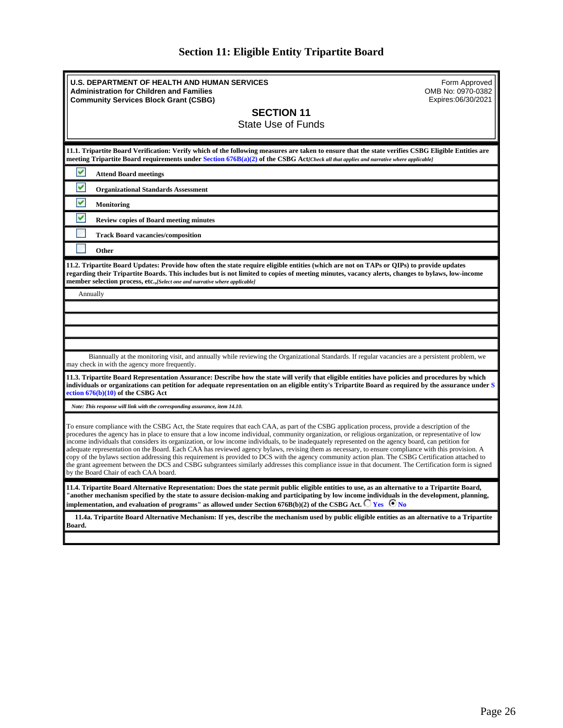| <b>Section 11: Eligible Entity Tripartite Board</b> |  |  |  |  |  |
|-----------------------------------------------------|--|--|--|--|--|
|-----------------------------------------------------|--|--|--|--|--|

<span id="page-25-0"></span>

| <b>U.S. DEPARTMENT OF HEALTH AND HUMAN SERVICES</b><br>Form Approved<br>OMB No: 0970-0382<br><b>Administration for Children and Families</b><br>Expires:06/30/2021<br><b>Community Services Block Grant (CSBG)</b><br><b>SECTION 11</b><br><b>State Use of Funds</b>                                                                                                                                                                                                                                                                                                                                                                                                                                                                                                                                                                                                                                                                                                            |
|---------------------------------------------------------------------------------------------------------------------------------------------------------------------------------------------------------------------------------------------------------------------------------------------------------------------------------------------------------------------------------------------------------------------------------------------------------------------------------------------------------------------------------------------------------------------------------------------------------------------------------------------------------------------------------------------------------------------------------------------------------------------------------------------------------------------------------------------------------------------------------------------------------------------------------------------------------------------------------|
| 11.1. Tripartite Board Verification: Verify which of the following measures are taken to ensure that the state verifies CSBG Eligible Entities are<br>meeting Tripartite Board requirements under Section 676B(a)(2) of the CSBG Act/Check all that applies and narrative where applicable]                                                                                                                                                                                                                                                                                                                                                                                                                                                                                                                                                                                                                                                                                     |
| v<br><b>Attend Board meetings</b>                                                                                                                                                                                                                                                                                                                                                                                                                                                                                                                                                                                                                                                                                                                                                                                                                                                                                                                                               |
| ٧<br><b>Organizational Standards Assessment</b>                                                                                                                                                                                                                                                                                                                                                                                                                                                                                                                                                                                                                                                                                                                                                                                                                                                                                                                                 |
| ٧<br><b>Monitoring</b>                                                                                                                                                                                                                                                                                                                                                                                                                                                                                                                                                                                                                                                                                                                                                                                                                                                                                                                                                          |
| v<br><b>Review copies of Board meeting minutes</b>                                                                                                                                                                                                                                                                                                                                                                                                                                                                                                                                                                                                                                                                                                                                                                                                                                                                                                                              |
| <b>Track Board vacancies/composition</b>                                                                                                                                                                                                                                                                                                                                                                                                                                                                                                                                                                                                                                                                                                                                                                                                                                                                                                                                        |
| Other                                                                                                                                                                                                                                                                                                                                                                                                                                                                                                                                                                                                                                                                                                                                                                                                                                                                                                                                                                           |
| 11.2. Tripartite Board Updates: Provide how often the state require eligible entities (which are not on TAPs or QIPs) to provide updates<br>regarding their Tripartite Boards. This includes but is not limited to copies of meeting minutes, vacancy alerts, changes to bylaws, low-income<br>member selection process, etc., [Select one and narrative where applicable]                                                                                                                                                                                                                                                                                                                                                                                                                                                                                                                                                                                                      |
| Annually                                                                                                                                                                                                                                                                                                                                                                                                                                                                                                                                                                                                                                                                                                                                                                                                                                                                                                                                                                        |
|                                                                                                                                                                                                                                                                                                                                                                                                                                                                                                                                                                                                                                                                                                                                                                                                                                                                                                                                                                                 |
|                                                                                                                                                                                                                                                                                                                                                                                                                                                                                                                                                                                                                                                                                                                                                                                                                                                                                                                                                                                 |
|                                                                                                                                                                                                                                                                                                                                                                                                                                                                                                                                                                                                                                                                                                                                                                                                                                                                                                                                                                                 |
| Biannually at the monitoring visit, and annually while reviewing the Organizational Standards. If regular vacancies are a persistent problem, we<br>may check in with the agency more frequently.                                                                                                                                                                                                                                                                                                                                                                                                                                                                                                                                                                                                                                                                                                                                                                               |
| 11.3. Tripartite Board Representation Assurance: Describe how the state will verify that eligible entities have policies and procedures by which<br>individuals or organizations can petition for adequate representation on an eligible entity's Tripartite Board as required by the assurance under S<br>ection $676(b)(10)$ of the CSBG Act                                                                                                                                                                                                                                                                                                                                                                                                                                                                                                                                                                                                                                  |
| Note: This response will link with the corresponding assurance, item 14.10.                                                                                                                                                                                                                                                                                                                                                                                                                                                                                                                                                                                                                                                                                                                                                                                                                                                                                                     |
| To ensure compliance with the CSBG Act, the State requires that each CAA, as part of the CSBG application process, provide a description of the<br>procedures the agency has in place to ensure that a low income individual, community organization, or religious organization, or representative of low<br>income individuals that considers its organization, or low income individuals, to be inadequately represented on the agency board, can petition for<br>adequate representation on the Board. Each CAA has reviewed agency bylaws, revising them as necessary, to ensure compliance with this provision. A<br>copy of the bylaws section addressing this requirement is provided to DCS with the agency community action plan. The CSBG Certification attached to<br>the grant agreement between the DCS and CSBG subgrantees similarly addresses this compliance issue in that document. The Certification form is signed<br>by the Board Chair of each CAA board. |
| 11.4. Tripartite Board Alternative Representation: Does the state permit public eligible entities to use, as an alternative to a Tripartite Board,<br>"another mechanism specified by the state to assure decision-making and participating by low income individuals in the development, planning,<br>implementation, and evaluation of programs" as allowed under Section 676B(b)(2) of the CSBG Act. $\bigcirc$ Yes $\bigcirc$ No                                                                                                                                                                                                                                                                                                                                                                                                                                                                                                                                            |
| 11.4a. Tripartite Board Alternative Mechanism: If yes, describe the mechanism used by public eligible entities as an alternative to a Tripartite<br>Board.                                                                                                                                                                                                                                                                                                                                                                                                                                                                                                                                                                                                                                                                                                                                                                                                                      |
|                                                                                                                                                                                                                                                                                                                                                                                                                                                                                                                                                                                                                                                                                                                                                                                                                                                                                                                                                                                 |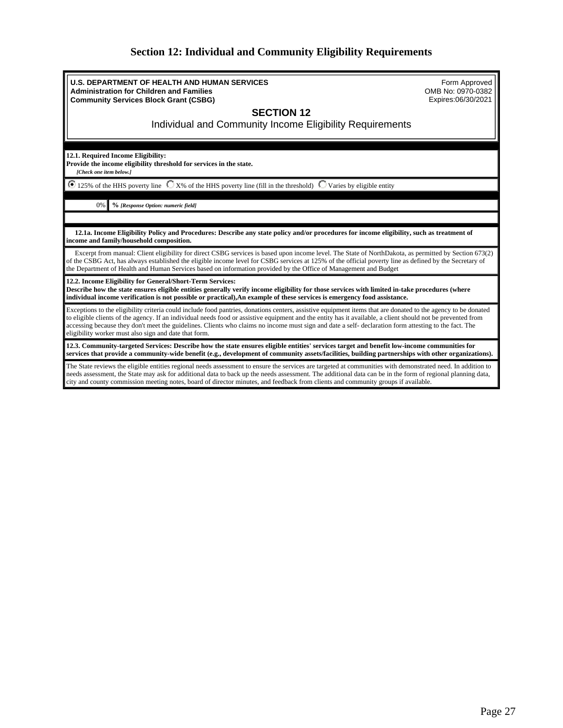# **Section 12: Individual and Community Eligibility Requirements**

<span id="page-26-0"></span>

| <b>U.S. DEPARTMENT OF HEALTH AND HUMAN SERVICES</b><br><b>Administration for Children and Families</b><br><b>Community Services Block Grant (CSBG)</b>                                                                                                                                                                                                                                                                                                                                                                                          | Form Approved<br>OMB No: 0970-0382<br>Expires:06/30/2021 |  |
|-------------------------------------------------------------------------------------------------------------------------------------------------------------------------------------------------------------------------------------------------------------------------------------------------------------------------------------------------------------------------------------------------------------------------------------------------------------------------------------------------------------------------------------------------|----------------------------------------------------------|--|
| <b>SECTION 12</b><br>Individual and Community Income Eligibility Requirements                                                                                                                                                                                                                                                                                                                                                                                                                                                                   |                                                          |  |
| 12.1. Required Income Eligibility:<br>Provide the income eligibility threshold for services in the state.<br>[Check one item below.]                                                                                                                                                                                                                                                                                                                                                                                                            |                                                          |  |
| $\bullet$ 125% of the HHS poverty line $\circ$ X% of the HHS poverty line (fill in the threshold) $\circ$ Varies by eligible entity                                                                                                                                                                                                                                                                                                                                                                                                             |                                                          |  |
| 0%<br>% [Response Option: numeric field]                                                                                                                                                                                                                                                                                                                                                                                                                                                                                                        |                                                          |  |
|                                                                                                                                                                                                                                                                                                                                                                                                                                                                                                                                                 |                                                          |  |
| 12.1a. Income Eligibility Policy and Procedures: Describe any state policy and/or procedures for income eligibility, such as treatment of<br>income and family/household composition.                                                                                                                                                                                                                                                                                                                                                           |                                                          |  |
| Excerpt from manual: Client eligibility for direct CSBG services is based upon income level. The State of NorthDakota, as permitted by Section 673(2)<br>of the CSBG Act, has always established the eligible income level for CSBG services at 125% of the official poverty line as defined by the Secretary of<br>the Department of Health and Human Services based on information provided by the Office of Management and Budget                                                                                                            |                                                          |  |
| 12.2. Income Eligibility for General/Short-Term Services:<br>Describe how the state ensures eligible entities generally verify income eligibility for those services with limited in-take procedures (where<br>individual income verification is not possible or practical), An example of these services is emergency food assistance.                                                                                                                                                                                                         |                                                          |  |
| Exceptions to the eligibility criteria could include food pantries, donations centers, assistive equipment items that are donated to the agency to be donated<br>to eligible clients of the agency. If an individual needs food or assistive equipment and the entity has it available, a client should not be prevented from<br>accessing because they don't meet the guidelines. Clients who claims no income must sign and date a self- declaration form attesting to the fact. The<br>eligibility worker must also sign and date that form. |                                                          |  |
| 12.3. Community-targeted Services: Describe how the state ensures eligible entities' services target and benefit low-income communities for<br>services that provide a community-wide benefit (e.g., development of community assets/facilities, building partnerships with other organizations).                                                                                                                                                                                                                                               |                                                          |  |
| The State reviews the eligible entities regional needs assessment to ensure the services are targeted at communities with demonstrated need. In addition to<br>needs assessment, the State may ask for additional data to back up the needs assessment. The additional data can be in the form of regional planning data,<br>city and county commission meeting notes, board of director minutes, and feedback from clients and community groups if available.                                                                                  |                                                          |  |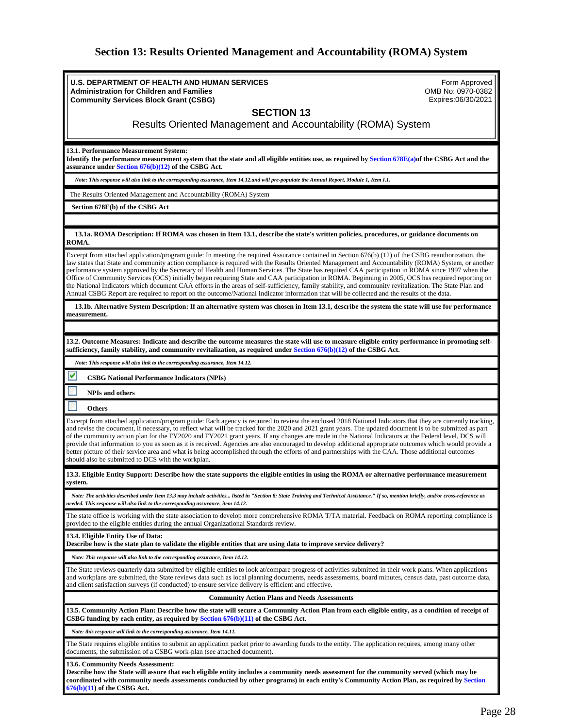# **Section 13: Results Oriented Management and Accountability (ROMA) System**

<span id="page-27-0"></span>

| <b>U.S. DEPARTMENT OF HEALTH AND HUMAN SERVICES</b><br>Form Approved                                                                                                                                                                                                                                                                                                                                                           |
|--------------------------------------------------------------------------------------------------------------------------------------------------------------------------------------------------------------------------------------------------------------------------------------------------------------------------------------------------------------------------------------------------------------------------------|
| <b>Administration for Children and Families</b><br>OMB No: 0970-0382                                                                                                                                                                                                                                                                                                                                                           |
| Expires:06/30/2021<br><b>Community Services Block Grant (CSBG)</b>                                                                                                                                                                                                                                                                                                                                                             |
| <b>SECTION 13</b>                                                                                                                                                                                                                                                                                                                                                                                                              |
| Results Oriented Management and Accountability (ROMA) System                                                                                                                                                                                                                                                                                                                                                                   |
|                                                                                                                                                                                                                                                                                                                                                                                                                                |
| 13.1. Performance Measurement System:                                                                                                                                                                                                                                                                                                                                                                                          |
| Identify the performance measurement system that the state and all eligible entities use, as required by Section 678E(a)of the CSBG Act and the<br>assurance under Section $676(b)(12)$ of the CSBG Act.                                                                                                                                                                                                                       |
| Note: This response will also link to the corresponding assurance, Item 14.12.and will pre-populate the Annual Report, Module 1, Item I.1.                                                                                                                                                                                                                                                                                     |
| The Results Oriented Management and Accountability (ROMA) System                                                                                                                                                                                                                                                                                                                                                               |
| Section 678E(b) of the CSBG Act                                                                                                                                                                                                                                                                                                                                                                                                |
|                                                                                                                                                                                                                                                                                                                                                                                                                                |
| 13.1a. ROMA Description: If ROMA was chosen in Item 13.1, describe the state's written policies, procedures, or guidance documents on<br>ROMA.                                                                                                                                                                                                                                                                                 |
| Excerpt from attached application/program guide: In meeting the required Assurance contained in Section 676(b) (12) of the CSBG reauthorization, the                                                                                                                                                                                                                                                                           |
| law states that State and community action compliance is required with the Results Oriented Management and Accountability (ROMA) System, or another<br>performance system approved by the Secretary of Health and Human Services. The State has required CAA participation in ROMA since 1997 when the                                                                                                                         |
| Office of Community Services (OCS) initially began requiring State and CAA participation in ROMA. Beginning in 2005, OCS has required reporting on                                                                                                                                                                                                                                                                             |
| the National Indicators which document CAA efforts in the areas of self-sufficiency, family stability, and community revitalization. The State Plan and<br>Annual CSBG Report are required to report on the outcome/National Indicator information that will be collected and the results of the data.                                                                                                                         |
| 13.1b. Alternative System Description: If an alternative system was chosen in Item 13.1, describe the system the state will use for performance<br>measurement.                                                                                                                                                                                                                                                                |
|                                                                                                                                                                                                                                                                                                                                                                                                                                |
| 13.2. Outcome Measures: Indicate and describe the outcome measures the state will use to measure eligible entity performance in promoting self-<br>sufficiency, family stability, and community revitalization, as required under Section 676(b)(12) of the CSBG Act.                                                                                                                                                          |
| Note: This response will also link to the corresponding assurance, Item 14.12.                                                                                                                                                                                                                                                                                                                                                 |
| M<br><b>CSBG National Performance Indicators (NPIs)</b>                                                                                                                                                                                                                                                                                                                                                                        |
| <b>NPIs and others</b>                                                                                                                                                                                                                                                                                                                                                                                                         |
| <b>Others</b>                                                                                                                                                                                                                                                                                                                                                                                                                  |
| Excerpt from attached application/program guide: Each agency is required to review the enclosed 2018 National Indicators that they are currently tracking,                                                                                                                                                                                                                                                                     |
| and revise the document, if necessary, to reflect what will be tracked for the 2020 and 2021 grant years. The updated document is to be submitted as part                                                                                                                                                                                                                                                                      |
| of the community action plan for the FY2020 and FY2021 grant years. If any changes are made in the National Indicators at the Federal level, DCS will<br>provide that information to you as soon as it is received. Agencies are also encouraged to develop additional appropriate outcomes which would provide a                                                                                                              |
| better picture of their service area and what is being accomplished through the efforts of and partnerships with the CAA. Those additional outcomes<br>should also be submitted to DCS with the workplan.                                                                                                                                                                                                                      |
| 13.3. Eligible Entity Support: Describe how the state supports the eligible entities in using the ROMA or alternative performance measurement                                                                                                                                                                                                                                                                                  |
| system.                                                                                                                                                                                                                                                                                                                                                                                                                        |
| Note: The activities described under Item 13.3 may include activities listed in "Section 8: State Training and Technical Assistance." If so, mention briefly, and/or cross-reference as<br>needed. This response will also link to the corresponding assurance, item 14.12.                                                                                                                                                    |
| The state office is working with the state association to develop more comprehensive ROMA T/TA material. Feedback on ROMA reporting compliance is<br>provided to the eligible entities during the annual Organizational Standards review.                                                                                                                                                                                      |
| 13.4. Eligible Entity Use of Data:<br>Describe how is the state plan to validate the eligible entities that are using data to improve service delivery?                                                                                                                                                                                                                                                                        |
| Note: This response will also link to the corresponding assurance, Item 14.12.                                                                                                                                                                                                                                                                                                                                                 |
| The State reviews quarterly data submitted by eligible entities to look at/compare progress of activities submitted in their work plans. When applications<br>and workplans are submitted, the State reviews data such as local planning documents, needs assessments, board minutes, census data, past outcome data,<br>and client satisfaction surveys (if conducted) to ensure service delivery is efficient and effective. |
| <b>Community Action Plans and Needs Assessments</b>                                                                                                                                                                                                                                                                                                                                                                            |
| 13.5. Community Action Plan: Describe how the state will secure a Community Action Plan from each eligible entity, as a condition of receipt of<br>CSBG funding by each entity, as required by Section $676(b)(11)$ of the CSBG Act.                                                                                                                                                                                           |
| Note: this response will link to the corresponding assurance, Item 14.11.                                                                                                                                                                                                                                                                                                                                                      |
| The State requires eligible entities to submit an application packet prior to awarding funds to the entity. The application requires, among many other<br>documents, the submission of a CSBG work-plan (see attached document).                                                                                                                                                                                               |
| 13.6. Community Needs Assessment:<br>Describe how the State will assure that each eligible entity includes a community needs assessment for the community served (which may be<br>coordinated with community needs assessments conducted by other programs) in each entity's Community Action Plan, as required by Section                                                                                                     |

**676(b)(11) of the CSBG Act.**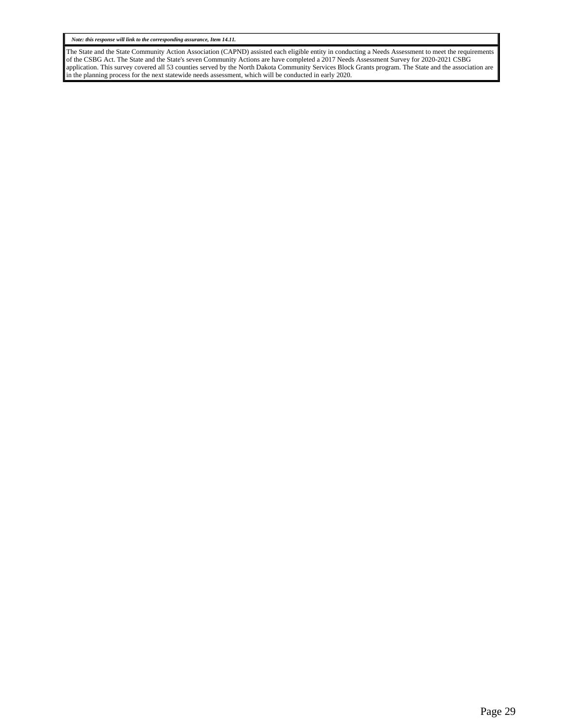*Note: this response will link to the corresponding assurance, Item 14.11.*

The State and the State Community Action Association (CAPND) assisted each eligible entity in conducting a Needs Assessment to meet the requirements of the CSBG Act. The State and the State's seven Community Actions are have completed a 2017 Needs Assessment Survey for 2020-2021 CSBG application. This survey covered all 53 counties served by the North Dakota Community Services Block Grants program. The State and the association are in the planning process for the next statewide needs assessment, which will be conducted in early 2020.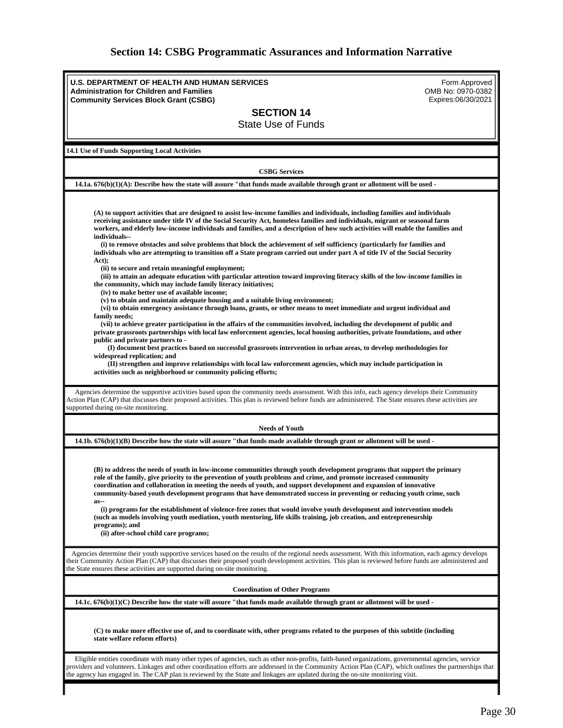# **Section 14: CSBG Programmatic Assurances and Information Narrative**

<span id="page-29-0"></span>

| <b>U.S. DEPARTMENT OF HEALTH AND HUMAN SERVICES</b><br><b>Administration for Children and Families</b>                                                                                                                                                                                                           | Form Approved<br>OMB No: 0970-0382 |
|------------------------------------------------------------------------------------------------------------------------------------------------------------------------------------------------------------------------------------------------------------------------------------------------------------------|------------------------------------|
| <b>Community Services Block Grant (CSBG)</b>                                                                                                                                                                                                                                                                     | Expires:06/30/2021                 |
| <b>SECTION 14</b>                                                                                                                                                                                                                                                                                                |                                    |
| <b>State Use of Funds</b>                                                                                                                                                                                                                                                                                        |                                    |
|                                                                                                                                                                                                                                                                                                                  |                                    |
| 14.1 Use of Funds Supporting Local Activities                                                                                                                                                                                                                                                                    |                                    |
|                                                                                                                                                                                                                                                                                                                  |                                    |
| <b>CSBG Services</b>                                                                                                                                                                                                                                                                                             |                                    |
| 14.1a. $676(b)(1)(A)$ : Describe how the state will assure "that funds made available through grant or allotment will be used -                                                                                                                                                                                  |                                    |
|                                                                                                                                                                                                                                                                                                                  |                                    |
| (A) to support activities that are designed to assist low-income families and individuals, including families and individuals                                                                                                                                                                                    |                                    |
| receiving assistance under title IV of the Social Security Act, homeless families and individuals, migrant or seasonal farm                                                                                                                                                                                      |                                    |
| workers, and elderly low-income individuals and families, and a description of how such activities will enable the families and<br>individuals--                                                                                                                                                                 |                                    |
| (i) to remove obstacles and solve problems that block the achievement of self sufficiency (particularly for families and                                                                                                                                                                                         |                                    |
| individuals who are attempting to transition off a State program carried out under part A of title IV of the Social Security<br>Act);                                                                                                                                                                            |                                    |
| (ii) to secure and retain meaningful employment;                                                                                                                                                                                                                                                                 |                                    |
| (iii) to attain an adequate education with particular attention toward improving literacy skills of the low-income families in<br>the community, which may include family literacy initiatives;                                                                                                                  |                                    |
| (iv) to make better use of available income;                                                                                                                                                                                                                                                                     |                                    |
| (v) to obtain and maintain adequate housing and a suitable living environment;                                                                                                                                                                                                                                   |                                    |
| (vi) to obtain emergency assistance through loans, grants, or other means to meet immediate and urgent individual and<br>family needs;                                                                                                                                                                           |                                    |
| (vii) to achieve greater participation in the affairs of the communities involved, including the development of public and                                                                                                                                                                                       |                                    |
| private grassroots partnerships with local law enforcement agencies, local housing authorities, private foundations, and other<br>public and private partners to -                                                                                                                                               |                                    |
| (I) document best practices based on successful grassroots intervention in urban areas, to develop methodologies for                                                                                                                                                                                             |                                    |
| widespread replication; and<br>(II) strengthen and improve relationships with local law enforcement agencies, which may include participation in                                                                                                                                                                 |                                    |
| activities such as neighborhood or community policing efforts;                                                                                                                                                                                                                                                   |                                    |
|                                                                                                                                                                                                                                                                                                                  |                                    |
| Agencies determine the supportive activities based upon the community needs assessment. With this info, each agency develops their Community<br>Action Plan (CAP) that discusses their proposed activities. This plan is reviewed before funds are administered. The State ensures these activities are          |                                    |
| supported during on-site monitoring.                                                                                                                                                                                                                                                                             |                                    |
| <b>Needs of Youth</b>                                                                                                                                                                                                                                                                                            |                                    |
| $14.1b. 676(b)(1)(B)$ Describe how the state will assure "that funds made available through grant or allotment will be used -                                                                                                                                                                                    |                                    |
|                                                                                                                                                                                                                                                                                                                  |                                    |
|                                                                                                                                                                                                                                                                                                                  |                                    |
| (B) to address the needs of youth in low-income communities through youth development programs that support the primary<br>role of the family, give priority to the prevention of youth problems and crime, and promote increased community                                                                      |                                    |
| coordination and collaboration in meeting the needs of youth, and support development and expansion of innovative                                                                                                                                                                                                |                                    |
| community-based youth development programs that have demonstrated success in preventing or reducing youth crime, such<br>$as-$                                                                                                                                                                                   |                                    |
| (i) programs for the establishment of violence-free zones that would involve youth development and intervention models                                                                                                                                                                                           |                                    |
| (such as models involving youth mediation, youth mentoring, life skills training, job creation, and entrepreneurship<br>programs); and                                                                                                                                                                           |                                    |
| (ii) after-school child care programs;                                                                                                                                                                                                                                                                           |                                    |
|                                                                                                                                                                                                                                                                                                                  |                                    |
| Agencies determine their youth supportive services based on the results of the regional needs assessment. With this information, each agency develops                                                                                                                                                            |                                    |
| their Community Action Plan (CAP) that discusses their proposed youth development activities. This plan is reviewed before funds are administered and<br>the State ensures these activities are supported during on-site monitoring.                                                                             |                                    |
|                                                                                                                                                                                                                                                                                                                  |                                    |
| <b>Coordination of Other Programs</b>                                                                                                                                                                                                                                                                            |                                    |
| 14.1c. $676(b)(1)(C)$ Describe how the state will assure "that funds made available through grant or allotment will be used -                                                                                                                                                                                    |                                    |
|                                                                                                                                                                                                                                                                                                                  |                                    |
| (C) to make more effective use of, and to coordinate with, other programs related to the purposes of this subtitle (including                                                                                                                                                                                    |                                    |
| state welfare reform efforts)                                                                                                                                                                                                                                                                                    |                                    |
|                                                                                                                                                                                                                                                                                                                  |                                    |
| Eligible entities coordinate with many other types of agencies, such as other non-profits, faith-based organizations, governmental agencies, service<br>providers and volunteers. Linkages and other coordination efforts are addressed in the Community Action Plan (CAP), which outlines the partnerships that |                                    |
| the agency has engaged in. The CAP plan is reviewed by the State and linkages are updated during the on-site monitoring visit.                                                                                                                                                                                   |                                    |
|                                                                                                                                                                                                                                                                                                                  |                                    |
|                                                                                                                                                                                                                                                                                                                  |                                    |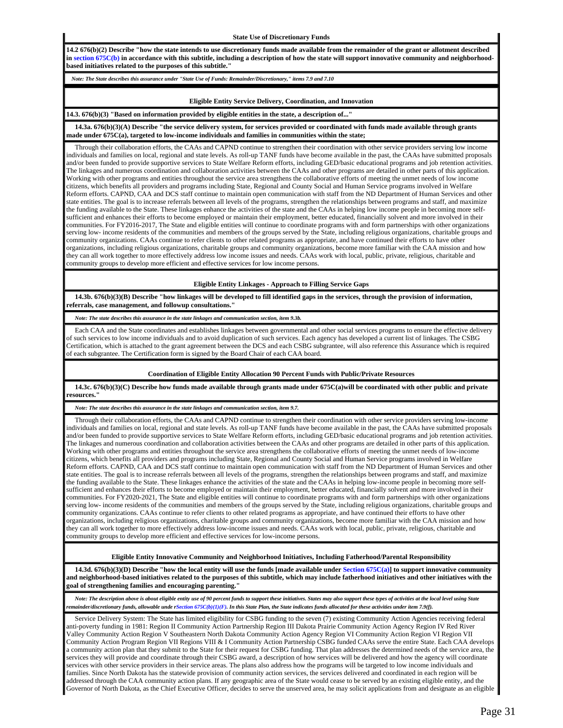#### **State Use of Discretionary Funds**

**14.2 676(b)(2) Describe "how the state intends to use discretionary funds made available from the remainder of the grant or allotment described**  in section 675C(b) in accordance with this subtitle, including a description of how the state will support innovative community and neighborhood**based initiatives related to the purposes of this subtitle."**

*Note: The State describes this assurance under "State Use of Funds: Remainder/Discretionary," items 7.9 and 7.10*

### **Eligible Entity Service Delivery, Coordination, and Innovation**

**14.3. 676(b)(3) "Based on information provided by eligible entities in the state, a description of..."**

 **14.3a. 676(b)(3)(A) Describe "the service delivery system, for services provided or coordinated with funds made available through grants made under 675C(a), targeted to low-income individuals and families in communities within the state;**

 Through their collaboration efforts, the CAAs and CAPND continue to strengthen their coordination with other service providers serving low income individuals and families on local, regional and state levels. As roll-up TANF funds have become available in the past, the CAAs have submitted proposals and/or been funded to provide supportive services to State Welfare Reform efforts, including GED/basic educational programs and job retention activities. The linkages and numerous coordination and collaboration activities between the CAAs and other programs are detailed in other parts of this application. Working with other programs and entities throughout the service area strengthens the collaborative efforts of meeting the unmet needs of low income citizens, which benefits all providers and programs including State, Regional and County Social and Human Service programs involved in Welfare Reform efforts. CAPND, CAA and DCS staff continue to maintain open communication with staff from the ND Department of Human Services and other state entities. The goal is to increase referrals between all levels of the programs, strengthen the relationships between programs and staff, and maximize the funding available to the State. These linkages enhance the activities of the state and the CAAs in helping low income people in becoming more selfsufficient and enhances their efforts to become employed or maintain their employment, better educated, financially solvent and more involved in their communities. For FY2016-2017, The State and eligible entities will continue to coordinate programs with and form partnerships with other organizations serving low- income residents of the communities and members of the groups served by the State, including religious organizations, charitable groups and community organizations. CAAs continue to refer clients to other related programs as appropriate, and have continued their efforts to have other organizations, including religious organizations, charitable groups and community organizations, become more familiar with the CAA mission and how they can all work together to more effectively address low income issues and needs. CAAs work with local, public, private, religious, charitable and community groups to develop more efficient and effective services for low income persons.

### **Eligible Entity Linkages - Approach to Filling Service Gaps**

 **14.3b. 676(b)(3)(B) Describe "how linkages will be developed to fill identified gaps in the services, through the provision of information, referrals, case management, and followup consultations."**

*Note: The state describes this assurance in the state linkages and communication section, item 9.3b.*

 Each CAA and the State coordinates and establishes linkages between governmental and other social services programs to ensure the effective delivery of such services to low income individuals and to avoid duplication of such services. Each agency has developed a current list of linkages. The CSBG Certification, which is attached to the grant agreement between the DCS and each CSBG subgrantee, will also reference this Assurance which is required of each subgrantee. The Certification form is signed by the Board Chair of each CAA board.

#### **Coordination of Eligible Entity Allocation 90 Percent Funds with Public/Private Resources**

 **14.3c. 676(b)(3)(C) Describe how funds made available through grants made under 675C(a)will be coordinated with other public and private resources."**

## *Note: The state describes this assurance in the state linkages and communication section, item 9.7.*

 Through their collaboration efforts, the CAAs and CAPND continue to strengthen their coordination with other service providers serving low-income individuals and families on local, regional and state levels. As roll-up TANF funds have become available in the past, the CAAs have submitted proposals and/or been funded to provide supportive services to State Welfare Reform efforts, including GED/basic educational programs and job retention activities. The linkages and numerous coordination and collaboration activities between the CAAs and other programs are detailed in other parts of this application. Working with other programs and entities throughout the service area strengthens the collaborative efforts of meeting the unmet needs of low-income citizens, which benefits all providers and programs including State, Regional and County Social and Human Service programs involved in Welfare Reform efforts. CAPND, CAA and DCS staff continue to maintain open communication with staff from the ND Department of Human Services and other state entities. The goal is to increase referrals between all levels of the programs, strengthen the relationships between programs and staff, and maximize the funding available to the State. These linkages enhance the activities of the state and the CAAs in helping low-income people in becoming more selfsufficient and enhances their efforts to become employed or maintain their employment, better educated, financially solvent and more involved in their communities. For FY2020-2021, The State and eligible entities will continue to coordinate programs with and form partnerships with other organizations serving low- income residents of the communities and members of the groups served by the State, including religious organizations, charitable groups and community organizations. CAAs continue to refer clients to other related programs as appropriate, and have continued their efforts to have other organizations, including religious organizations, charitable groups and community organizations, become more familiar with the CAA mission and how they can all work together to more effectively address low-income issues and needs. CAAs work with local, public, private, religious, charitable and community groups to develop more efficient and effective services for low-income persons.

## **Eligible Entity Innovative Community and Neighborhood Initiatives, Including Fatherhood/Parental Responsibility**

 **14.3d. 676(b)(3)(D) Describe "how the local entity will use the funds [made available under Section 675C(a)] to support innovative community and neighborhood-based initiatives related to the purposes of this subtitle, which may include fatherhood initiatives and other initiatives with the goal of strengthening families and encouraging parenting."**

 *Note: The description above is about eligible entity use of 90 percent funds to support these initiatives. States may also support these types of activities at the local level using State remainder/discretionary funds, allowable unde rSection 675C(b)(1)(F). In this State Plan, the State indicates funds allocated for these activities under item 7.9(f).*

 Service Delivery System: The State has limited eligibility for CSBG funding to the seven (7) existing Community Action Agencies receiving federal anti-poverty funding in 1981: Region II Community Action Partnership Region III Dakota Prairie Community Action Agency Region IV Red River Valley Community Action Region V Southeastern North Dakota Community Action Agency Region VI Community Action Region VI Region VII Community Action Program Region VII Regions VIII & I Community Action Partnership CSBG funded CAAs serve the entire State. Each CAA develops a community action plan that they submit to the State for their request for CSBG funding. That plan addresses the determined needs of the service area, the services they will provide and coordinate through their CSBG award, a description of how services will be delivered and how the agency will coordinate services with other service providers in their service areas. The plans also address how the programs will be targeted to low income individuals and families. Since North Dakota has the statewide provision of community action services, the services delivered and coordinated in each region will be addressed through the CAA community action plans. If any geographic area of the State would cease to be served by an existing eligible entity, and the Governor of North Dakota, as the Chief Executive Officer, decides to serve the unserved area, he may solicit applications from and designate as an eligible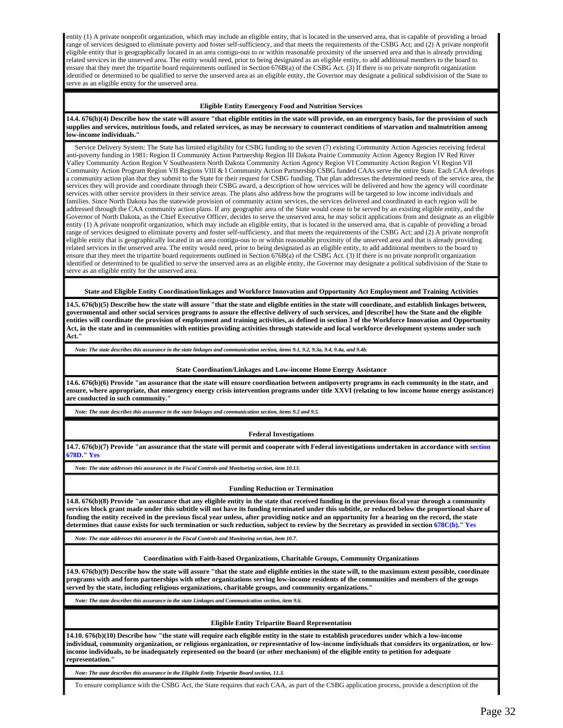entity (1) A private nonprofit organization, which may include an eligible entity, that is located in the unserved area, that is capable of providing a broad range of services designed to eliminate poverty and foster self-sufficiency, and that meets the requirements of the CSBG Act; and (2) A private nonprofit eligible entity that is geographically located in an area contigu-ous to or within reasonable proximity of the unserved area and that is already providing related services in the unserved area. The entity would need, prior to being designated as an eligible entity, to add additional members to the board to ensure that they meet the tripartite board requirements outlined in Section  $676B(a)$  of the CSBG Act. (3) If there is no private nonprofit organization identified or determined to be qualified to serve the unserved area as an eligible entity, the Governor may designate a political subdivision of the State to serve as an eligible entity for the unserved area.

### **Eligible Entity Emergency Food and Nutrition Services**

**14.4. 676(b)(4) Describe how the state will assure "that eligible entities in the state will provide, on an emergency basis, for the provision of such supplies and services, nutritious foods, and related services, as may be necessary to counteract conditions of starvation and malnutrition among low-income individuals."**

 Service Delivery System: The State has limited eligibility for CSBG funding to the seven (7) existing Community Action Agencies receiving federal anti-poverty funding in 1981: Region II Community Action Partnership Region III Dakota Prairie Community Action Agency Region IV Red River Valley Community Action Region V Southeastern North Dakota Community Action Agency Region VI Community Action Region VI Region VII Community Action Program Region VII Regions VIII & I Community Action Partnership CSBG funded CAAs serve the entire State. Each CAA develops a community action plan that they submit to the State for their request for CSBG funding. That plan addresses the determined needs of the service area, the services they will provide and coordinate through their CSBG award, a description of how services will be delivered and how the agency will coordinate services with other service providers in their service areas. The plans also address how the programs will be targeted to low income individuals and families. Since North Dakota has the statewide provision of community action services, the services delivered and coordinated in each region will be addressed through the CAA community action plans. If any geographic area of the State would cease to be served by an existing eligible entity, and the Governor of North Dakota, as the Chief Executive Officer, decides to serve the unserved area, he may solicit applications from and designate as an eligible entity (1) A private nonprofit organization, which may include an eligible entity, that is located in the unserved area, that is capable of providing a broad range of services designed to eliminate poverty and foster self-sufficiency, and that meets the requirements of the CSBG Act; and (2) A private nonprofit eligible entity that is geographically located in an area contigu-ous to or within reasonable proximity of the unserved area and that is already providing related services in the unserved area. The entity would need, prior to being designated as an eligible entity, to add additional members to the board to ensure that they meet the tripartite board requirements outlined in Section  $676B(a)$  of the CSBG Act. (3) If there is no private nonprofit organization identified or determined to be qualified to serve the unserved area as an eligible entity, the Governor may designate a political subdivision of the State to serve as an eligible entity for the unserved area.

**State and Eligible Entity Coordination/linkages and Workforce Innovation and Opportunity Act Employment and Training Activities**

**14.5. 676(b)(5) Describe how the state will assure "that the state and eligible entities in the state will coordinate, and establish linkages between, governmental and other social services programs to assure the effective delivery of such services, and [describe] how the State and the eligible entities will coordinate the provision of employment and training activities, as defined in section 3 of the Workforce Innovation and Opportunity Act, in the state and in communities with entities providing activities through statewide and local workforce development systems under such Act."**

*Note: The state describes this assurance in the state linkages and communication section, items 9.1, 9.2, 9.3a, 9.4, 9.4a, and 9.4b.*

#### **State Coordination/Linkages and Low-income Home Energy Assistance**

**14.6. 676(b)(6) Provide "an assurance that the state will ensure coordination between antipoverty programs in each community in the state, and ensure, where appropriate, that emergency energy crisis intervention programs under title XXVI (relating to low income home energy assistance) are conducted in such community."**

*Note: The state describes this assurance in the state linkages and communication section, items 9.2 and 9.5.*

**Federal Investigations**

**14.7. 676(b)(7) Provide "an assurance that the state will permit and cooperate with Federal investigations undertaken in accordance with section 678D." Yes**

*Note: The state addresses this assurance in the Fiscal Controls and Monitoring section, item 10.13.*

#### **Funding Reduction or Termination**

**14.8. 676(b)(8) Provide "an assurance that any eligible entity in the state that received funding in the previous fiscal year through a community services block grant made under this subtitle will not have its funding terminated under this subtitle, or reduced below the proportional share of funding the entity received in the previous fiscal year unless, after providing notice and an opportunity for a hearing on the record, the state determines that cause exists for such termination or such reduction, subject to review by the Secretary as provided in section 678C(b)." Yes**

*Note: The state addresses this assurance in the Fiscal Controls and Monitoring section, item 10.7.*

#### **Coordination with Faith-based Organizations, Charitable Groups, Community Organizations**

**14.9. 676(b)(9) Describe how the state will assure "that the state and eligible entities in the state will, to the maximum extent possible, coordinate programs with and form partnerships with other organizations serving low-income residents of the communities and members of the groups served by the state, including religious organizations, charitable groups, and community organizations."**

*Note: The state describes this assurance in the state Linkages and Communication section, item 9.6.*

#### **Eligible Entity Tripartite Board Representation**

**14.10. 676(b)(10) Describe how "the state will require each eligible entity in the state to establish procedures under which a low-income individual, community organization, or religious organization, or representative of low-income individuals that considers its organization, or lowincome individuals, to be inadequately represented on the board (or other mechanism) of the eligible entity to petition for adequate representation."**

*Note: The state describes this assurance in the Eligible Entity Tripartite Board section, 11.3.*

To ensure compliance with the CSBG Act, the State requires that each CAA, as part of the CSBG application process, provide a description of the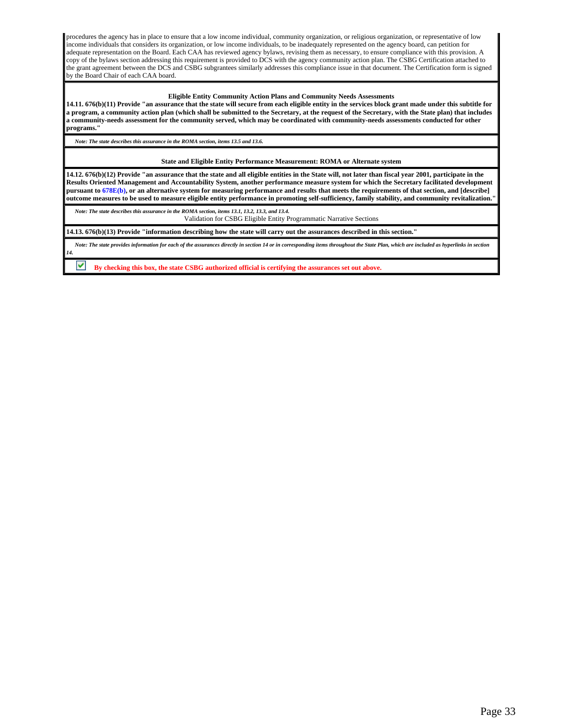procedures the agency has in place to ensure that a low income individual, community organization, or religious organization, or representative of low income individuals that considers its organization, or low income individuals, to be inadequately represented on the agency board, can petition for adequate representation on the Board. Each CAA has reviewed agency bylaws, revising them as necessary, to ensure compliance with this provision. A copy of the bylaws section addressing this requirement is provided to DCS with the agency community action plan. The CSBG Certification attached to the grant agreement between the DCS and CSBG subgrantees similarly addresses this compliance issue in that document. The Certification form is signed by the Board Chair of each CAA board.

### **Eligible Entity Community Action Plans and Community Needs Assessments**

**14.11. 676(b)(11) Provide "an assurance that the state will secure from each eligible entity in the services block grant made under this subtitle for a program, a community action plan (which shall be submitted to the Secretary, at the request of the Secretary, with the State plan) that includes a community-needs assessment for the community served, which may be coordinated with community-needs assessments conducted for other programs."**

*Note: The state describes this assurance in the ROMA section, items 13.5 and 13.6.*

**State and Eligible Entity Performance Measurement: ROMA or Alternate system**

**14.12. 676(b)(12) Provide "an assurance that the state and all eligible entities in the State will, not later than fiscal year 2001, participate in the Results Oriented Management and Accountability System, another performance measure system for which the Secretary facilitated development pursuant to 678E(b), or an alternative system for measuring performance and results that meets the requirements of that section, and [describe] outcome measures to be used to measure eligible entity performance in promoting self-sufficiency, family stability, and community revitalization."**

 *Note: The state describes this assurance in the ROMA section, items 13.1, 13.2, 13.3, and 13.4.* Validation for CSBG Eligible Entity Programmatic Narrative Sections

**14.13. 676(b)(13) Provide "information describing how the state will carry out the assurances described in this section."**

 *Note: The state provides information for each of the assurances directly in section 14 or in corresponding items throughout the State Plan, which are included as hyperlinks in section 14.*

**By checking this box, the state CSBG authorized official is certifying the assurances set out above.**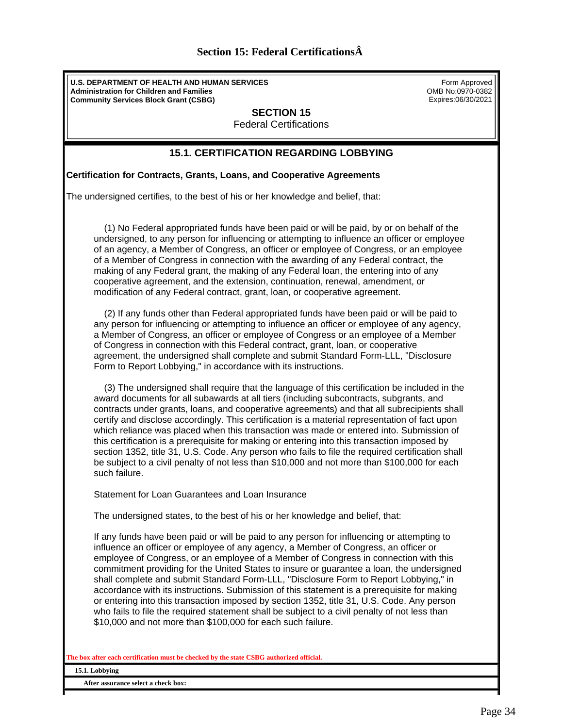| <b>Section 15: Federal Certifications A</b> |  |
|---------------------------------------------|--|
|---------------------------------------------|--|

<span id="page-33-0"></span>**U.S. DEPARTMENT OF HEALTH AND HUMAN SERVICES Administration for Children and Families Community Services Block Grant (CSBG)**

Form Approved OMB No:0970-0382 Expires:06/30/2021

**SECTION 15**

Federal Certifications

## **15.1. CERTIFICATION REGARDING LOBBYING**

**Certification for Contracts, Grants, Loans, and Cooperative Agreements**

The undersigned certifies, to the best of his or her knowledge and belief, that:

 (1) No Federal appropriated funds have been paid or will be paid, by or on behalf of the undersigned, to any person for influencing or attempting to influence an officer or employee of an agency, a Member of Congress, an officer or employee of Congress, or an employee of a Member of Congress in connection with the awarding of any Federal contract, the making of any Federal grant, the making of any Federal loan, the entering into of any cooperative agreement, and the extension, continuation, renewal, amendment, or modification of any Federal contract, grant, loan, or cooperative agreement.

 (2) If any funds other than Federal appropriated funds have been paid or will be paid to any person for influencing or attempting to influence an officer or employee of any agency, a Member of Congress, an officer or employee of Congress or an employee of a Member of Congress in connection with this Federal contract, grant, loan, or cooperative agreement, the undersigned shall complete and submit Standard Form-LLL, "Disclosure Form to Report Lobbying," in accordance with its instructions.

 (3) The undersigned shall require that the language of this certification be included in the award documents for all subawards at all tiers (including subcontracts, subgrants, and contracts under grants, loans, and cooperative agreements) and that all subrecipients shall certify and disclose accordingly. This certification is a material representation of fact upon which reliance was placed when this transaction was made or entered into. Submission of this certification is a prerequisite for making or entering into this transaction imposed by section 1352, title 31, U.S. Code. Any person who fails to file the required certification shall be subject to a civil penalty of not less than \$10,000 and not more than \$100,000 for each such failure.

Statement for Loan Guarantees and Loan Insurance

The undersigned states, to the best of his or her knowledge and belief, that:

If any funds have been paid or will be paid to any person for influencing or attempting to influence an officer or employee of any agency, a Member of Congress, an officer or employee of Congress, or an employee of a Member of Congress in connection with this commitment providing for the United States to insure or guarantee a loan, the undersigned shall complete and submit Standard Form-LLL, "Disclosure Form to Report Lobbying," in accordance with its instructions. Submission of this statement is a prerequisite for making or entering into this transaction imposed by section 1352, title 31, U.S. Code. Any person who fails to file the required statement shall be subject to a civil penalty of not less than \$10,000 and not more than \$100,000 for each such failure.

**The box after each certification must be checked by the state CSBG authorized official.**

**15.1. Lobbying** 

**After assurance select a check box:**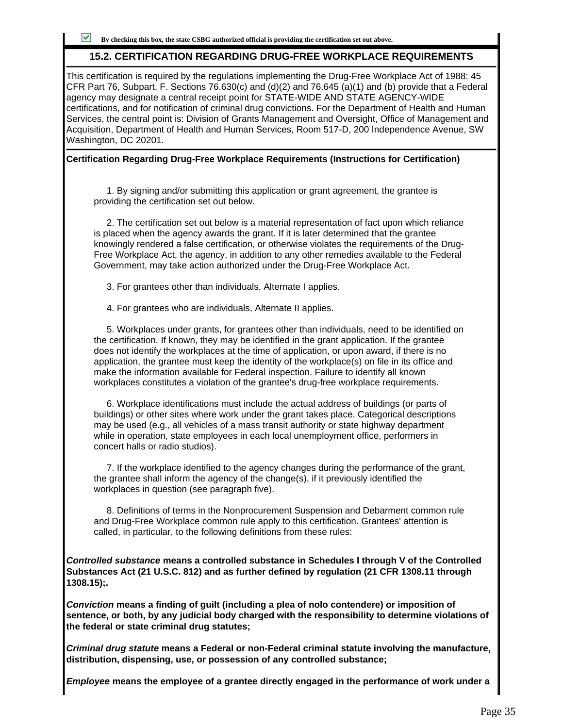## **15.2. CERTIFICATION REGARDING DRUG-FREE WORKPLACE REQUIREMENTS**

This certification is required by the regulations implementing the Drug-Free Workplace Act of 1988: 45 CFR Part 76, Subpart, F. Sections 76.630(c) and (d)(2) and 76.645 (a)(1) and (b) provide that a Federal agency may designate a central receipt point for STATE-WIDE AND STATE AGENCY-WIDE certifications, and for notification of criminal drug convictions. For the Department of Health and Human Services, the central point is: Division of Grants Management and Oversight, Office of Management and Acquisition, Department of Health and Human Services, Room 517-D, 200 Independence Avenue, SW Washington, DC 20201.

## **Certification Regarding Drug-Free Workplace Requirements (Instructions for Certification)**

 1. By signing and/or submitting this application or grant agreement, the grantee is providing the certification set out below.

 2. The certification set out below is a material representation of fact upon which reliance is placed when the agency awards the grant. If it is later determined that the grantee knowingly rendered a false certification, or otherwise violates the requirements of the Drug-Free Workplace Act, the agency, in addition to any other remedies available to the Federal Government, may take action authorized under the Drug-Free Workplace Act.

3. For grantees other than individuals, Alternate I applies.

4. For grantees who are individuals, Alternate II applies.

 5. Workplaces under grants, for grantees other than individuals, need to be identified on the certification. If known, they may be identified in the grant application. If the grantee does not identify the workplaces at the time of application, or upon award, if there is no application, the grantee must keep the identity of the workplace(s) on file in its office and make the information available for Federal inspection. Failure to identify all known workplaces constitutes a violation of the grantee's drug-free workplace requirements.

 6. Workplace identifications must include the actual address of buildings (or parts of buildings) or other sites where work under the grant takes place. Categorical descriptions may be used (e.g., all vehicles of a mass transit authority or state highway department while in operation, state employees in each local unemployment office, performers in concert halls or radio studios).

 7. If the workplace identified to the agency changes during the performance of the grant, the grantee shall inform the agency of the change(s), if it previously identified the workplaces in question (see paragraph five).

 8. Definitions of terms in the Nonprocurement Suspension and Debarment common rule and Drug-Free Workplace common rule apply to this certification. Grantees' attention is called, in particular, to the following definitions from these rules:

**Controlled substance means a controlled substance in Schedules I through V of the Controlled Substances Act (21 U.S.C. 812) and as further defined by regulation (21 CFR 1308.11 through 1308.15);.**

**Conviction means a finding of guilt (including a plea of nolo contendere) or imposition of sentence, or both, by any judicial body charged with the responsibility to determine violations of the federal or state criminal drug statutes;**

**Criminal drug statute means a Federal or non-Federal criminal statute involving the manufacture, distribution, dispensing, use, or possession of any controlled substance;**

**Employee means the employee of a grantee directly engaged in the performance of work under a**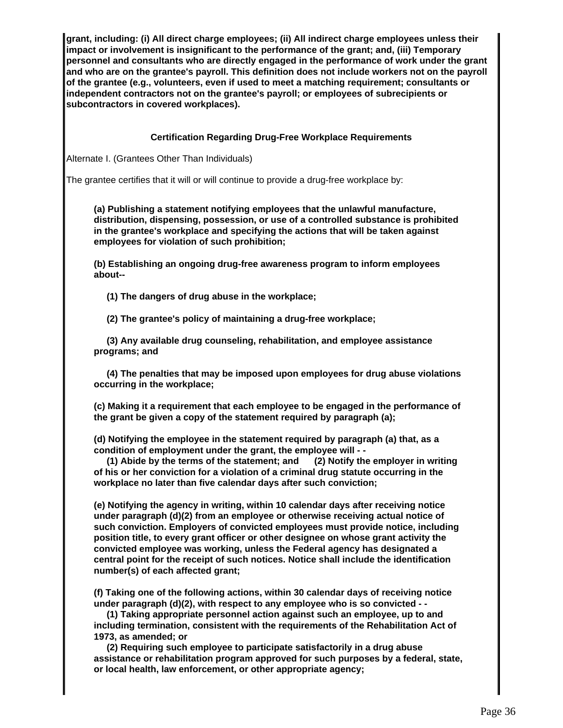**grant, including: (i) All direct charge employees; (ii) All indirect charge employees unless their impact or involvement is insignificant to the performance of the grant; and, (iii) Temporary personnel and consultants who are directly engaged in the performance of work under the grant and who are on the grantee's payroll. This definition does not include workers not on the payroll of the grantee (e.g., volunteers, even if used to meet a matching requirement; consultants or independent contractors not on the grantee's payroll; or employees of subrecipients or subcontractors in covered workplaces).**

## **Certification Regarding Drug-Free Workplace Requirements**

Alternate I. (Grantees Other Than Individuals)

The grantee certifies that it will or will continue to provide a drug-free workplace by:

**(a) Publishing a statement notifying employees that the unlawful manufacture, distribution, dispensing, possession, or use of a controlled substance is prohibited in the grantee's workplace and specifying the actions that will be taken against employees for violation of such prohibition;**

**(b) Establishing an ongoing drug-free awareness program to inform employees about--**

 **(1) The dangers of drug abuse in the workplace;**

 **(2) The grantee's policy of maintaining a drug-free workplace;**

 **(3) Any available drug counseling, rehabilitation, and employee assistance programs; and**

 **(4) The penalties that may be imposed upon employees for drug abuse violations occurring in the workplace;**

**(c) Making it a requirement that each employee to be engaged in the performance of the grant be given a copy of the statement required by paragraph (a);**

**(d) Notifying the employee in the statement required by paragraph (a) that, as a condition of employment under the grant, the employee will - -** (1) Abide by the terms of the statement; and (2) Notify the employer in writing

(1) Abide by the terms of the statement; and **of his or her conviction for a violation of a criminal drug statute occurring in the workplace no later than five calendar days after such conviction;**

**(e) Notifying the agency in writing, within 10 calendar days after receiving notice under paragraph (d)(2) from an employee or otherwise receiving actual notice of such conviction. Employers of convicted employees must provide notice, including position title, to every grant officer or other designee on whose grant activity the convicted employee was working, unless the Federal agency has designated a central point for the receipt of such notices. Notice shall include the identification number(s) of each affected grant;**

**(f) Taking one of the following actions, within 30 calendar days of receiving notice under paragraph (d)(2), with respect to any employee who is so convicted - -**

 **(1) Taking appropriate personnel action against such an employee, up to and including termination, consistent with the requirements of the Rehabilitation Act of 1973, as amended; or**

 **(2) Requiring such employee to participate satisfactorily in a drug abuse assistance or rehabilitation program approved for such purposes by a federal, state, or local health, law enforcement, or other appropriate agency;**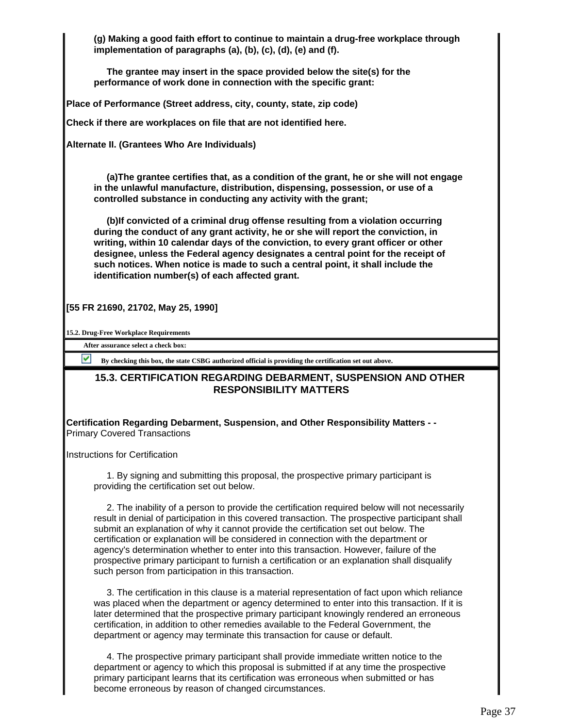**(g) Making a good faith effort to continue to maintain a drug-free workplace through implementation of paragraphs (a), (b), (c), (d), (e) and (f).**

 **The grantee may insert in the space provided below the site(s) for the performance of work done in connection with the specific grant:**

**Place of Performance (Street address, city, county, state, zip code)**

**Check if there are workplaces on file that are not identified here.**

**Alternate II. (Grantees Who Are Individuals)**

 **(a)The grantee certifies that, as a condition of the grant, he or she will not engage in the unlawful manufacture, distribution, dispensing, possession, or use of a controlled substance in conducting any activity with the grant;**

 **(b)If convicted of a criminal drug offense resulting from a violation occurring during the conduct of any grant activity, he or she will report the conviction, in writing, within 10 calendar days of the conviction, to every grant officer or other designee, unless the Federal agency designates a central point for the receipt of such notices. When notice is made to such a central point, it shall include the identification number(s) of each affected grant.**

**[55 FR 21690, 21702, May 25, 1990]**

**15.2. Drug-Free Workplace Requirements**

**After assurance select a check box:**

**By checking this box, the state CSBG authorized official is providing the certification set out above.**

## **15.3. CERTIFICATION REGARDING DEBARMENT, SUSPENSION AND OTHER RESPONSIBILITY MATTERS**

**Certification Regarding Debarment, Suspension, and Other Responsibility Matters - -** Primary Covered Transactions

Instructions for Certification

 1. By signing and submitting this proposal, the prospective primary participant is providing the certification set out below.

 2. The inability of a person to provide the certification required below will not necessarily result in denial of participation in this covered transaction. The prospective participant shall submit an explanation of why it cannot provide the certification set out below. The certification or explanation will be considered in connection with the department or agency's determination whether to enter into this transaction. However, failure of the prospective primary participant to furnish a certification or an explanation shall disqualify such person from participation in this transaction.

 3. The certification in this clause is a material representation of fact upon which reliance was placed when the department or agency determined to enter into this transaction. If it is later determined that the prospective primary participant knowingly rendered an erroneous certification, in addition to other remedies available to the Federal Government, the department or agency may terminate this transaction for cause or default.

 4. The prospective primary participant shall provide immediate written notice to the department or agency to which this proposal is submitted if at any time the prospective primary participant learns that its certification was erroneous when submitted or has become erroneous by reason of changed circumstances.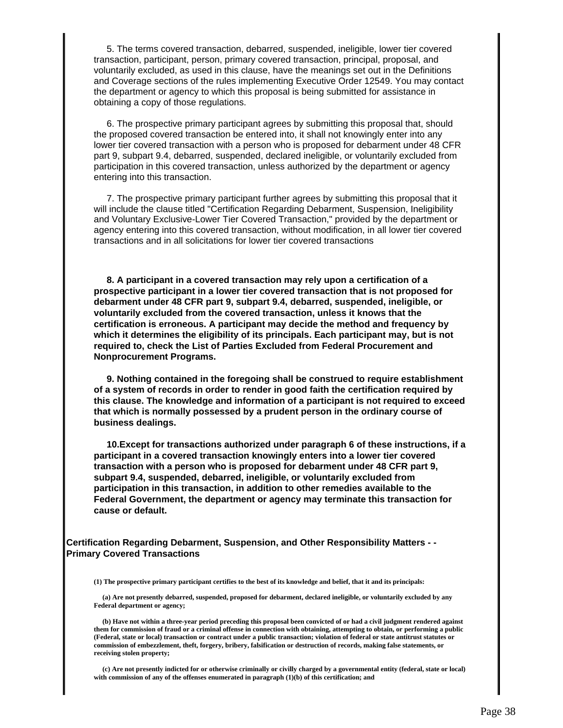5. The terms covered transaction, debarred, suspended, ineligible, lower tier covered transaction, participant, person, primary covered transaction, principal, proposal, and voluntarily excluded, as used in this clause, have the meanings set out in the Definitions and Coverage sections of the rules implementing Executive Order 12549. You may contact the department or agency to which this proposal is being submitted for assistance in obtaining a copy of those regulations.

 6. The prospective primary participant agrees by submitting this proposal that, should the proposed covered transaction be entered into, it shall not knowingly enter into any lower tier covered transaction with a person who is proposed for debarment under 48 CFR part 9, subpart 9.4, debarred, suspended, declared ineligible, or voluntarily excluded from participation in this covered transaction, unless authorized by the department or agency entering into this transaction.

 7. The prospective primary participant further agrees by submitting this proposal that it will include the clause titled "Certification Regarding Debarment, Suspension, Ineligibility and Voluntary Exclusive-Lower Tier Covered Transaction," provided by the department or agency entering into this covered transaction, without modification, in all lower tier covered transactions and in all solicitations for lower tier covered transactions

 **8. A participant in a covered transaction may rely upon a certification of a prospective participant in a lower tier covered transaction that is not proposed for debarment under 48 CFR part 9, subpart 9.4, debarred, suspended, ineligible, or voluntarily excluded from the covered transaction, unless it knows that the certification is erroneous. A participant may decide the method and frequency by which it determines the eligibility of its principals. Each participant may, but is not required to, check the List of Parties Excluded from Federal Procurement and Nonprocurement Programs.**

 **9. Nothing contained in the foregoing shall be construed to require establishment of a system of records in order to render in good faith the certification required by this clause. The knowledge and information of a participant is not required to exceed that which is normally possessed by a prudent person in the ordinary course of business dealings.**

 **10.Except for transactions authorized under paragraph 6 of these instructions, if a participant in a covered transaction knowingly enters into a lower tier covered transaction with a person who is proposed for debarment under 48 CFR part 9, subpart 9.4, suspended, debarred, ineligible, or voluntarily excluded from participation in this transaction, in addition to other remedies available to the Federal Government, the department or agency may terminate this transaction for cause or default.**

**Certification Regarding Debarment, Suspension, and Other Responsibility Matters - - Primary Covered Transactions**

**(1) The prospective primary participant certifies to the best of its knowledge and belief, that it and its principals:**

 **(a) Are not presently debarred, suspended, proposed for debarment, declared ineligible, or voluntarily excluded by any Federal department or agency;**

 **(b) Have not within a three-year period preceding this proposal been convicted of or had a civil judgment rendered against them for commission of fraud or a criminal offense in connection with obtaining, attempting to obtain, or performing a public (Federal, state or local) transaction or contract under a public transaction; violation of federal or state antitrust statutes or commission of embezzlement, theft, forgery, bribery, falsification or destruction of records, making false statements, or receiving stolen property;**

 **(c) Are not presently indicted for or otherwise criminally or civilly charged by a governmental entity (federal, state or local) with commission of any of the offenses enumerated in paragraph (1)(b) of this certification; and**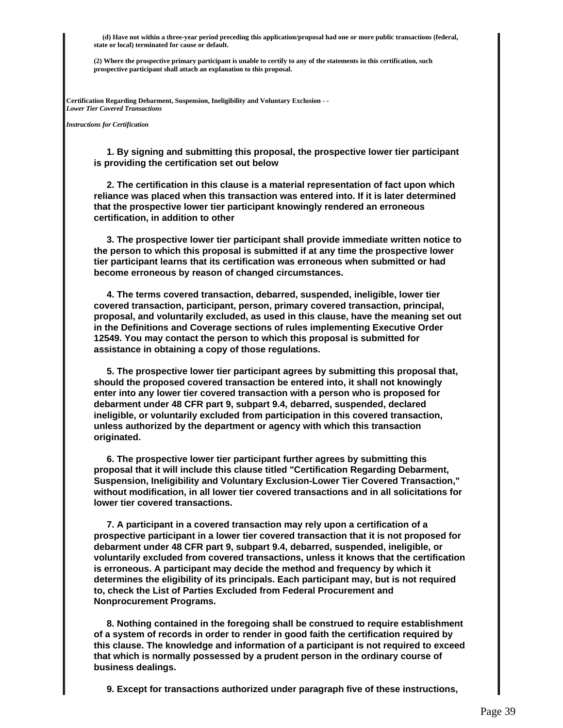**(d) Have not within a three-year period preceding this application/proposal had one or more public transactions (federal, state or local) terminated for cause or default.**

**(2) Where the prospective primary participant is unable to certify to any of the statements in this certification, such prospective participant shall attach an explanation to this proposal.**

**Certification Regarding Debarment, Suspension, Ineligibility and Voluntary Exclusion - -** *Lower Tier Covered Transactions*

*Instructions for Certification*

 **1. By signing and submitting this proposal, the prospective lower tier participant is providing the certification set out below**

 **2. The certification in this clause is a material representation of fact upon which reliance was placed when this transaction was entered into. If it is later determined that the prospective lower tier participant knowingly rendered an erroneous certification, in addition to other**

 **3. The prospective lower tier participant shall provide immediate written notice to the person to which this proposal is submitted if at any time the prospective lower tier participant learns that its certification was erroneous when submitted or had become erroneous by reason of changed circumstances.**

 **4. The terms covered transaction, debarred, suspended, ineligible, lower tier covered transaction, participant, person, primary covered transaction, principal, proposal, and voluntarily excluded, as used in this clause, have the meaning set out in the Definitions and Coverage sections of rules implementing Executive Order 12549. You may contact the person to which this proposal is submitted for assistance in obtaining a copy of those regulations.**

 **5. The prospective lower tier participant agrees by submitting this proposal that, should the proposed covered transaction be entered into, it shall not knowingly enter into any lower tier covered transaction with a person who is proposed for debarment under 48 CFR part 9, subpart 9.4, debarred, suspended, declared ineligible, or voluntarily excluded from participation in this covered transaction, unless authorized by the department or agency with which this transaction originated.**

 **6. The prospective lower tier participant further agrees by submitting this proposal that it will include this clause titled "Certification Regarding Debarment, Suspension, Ineligibility and Voluntary Exclusion-Lower Tier Covered Transaction," without modification, in all lower tier covered transactions and in all solicitations for lower tier covered transactions.**

 **7. A participant in a covered transaction may rely upon a certification of a prospective participant in a lower tier covered transaction that it is not proposed for debarment under 48 CFR part 9, subpart 9.4, debarred, suspended, ineligible, or voluntarily excluded from covered transactions, unless it knows that the certification is erroneous. A participant may decide the method and frequency by which it determines the eligibility of its principals. Each participant may, but is not required to, check the List of Parties Excluded from Federal Procurement and Nonprocurement Programs.**

 **8. Nothing contained in the foregoing shall be construed to require establishment of a system of records in order to render in good faith the certification required by this clause. The knowledge and information of a participant is not required to exceed that which is normally possessed by a prudent person in the ordinary course of business dealings.**

 **9. Except for transactions authorized under paragraph five of these instructions,**